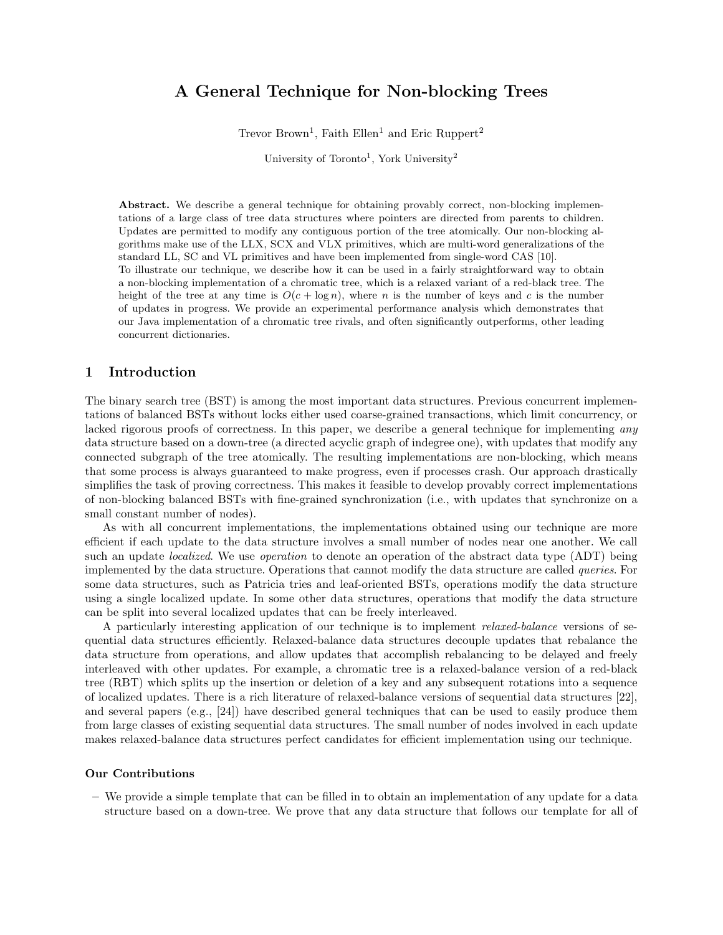# A General Technique for Non-blocking Trees

Trevor Brown<sup>1</sup>, Faith Ellen<sup>1</sup> and Eric Ruppert<sup>2</sup>

University of Toronto<sup>1</sup>, York University<sup>2</sup>

Abstract. We describe a general technique for obtaining provably correct, non-blocking implementations of a large class of tree data structures where pointers are directed from parents to children. Updates are permitted to modify any contiguous portion of the tree atomically. Our non-blocking algorithms make use of the LLX, SCX and VLX primitives, which are multi-word generalizations of the standard LL, SC and VL primitives and have been implemented from single-word CAS [10].

To illustrate our technique, we describe how it can be used in a fairly straightforward way to obtain a non-blocking implementation of a chromatic tree, which is a relaxed variant of a red-black tree. The height of the tree at any time is  $O(c + \log n)$ , where n is the number of keys and c is the number of updates in progress. We provide an experimental performance analysis which demonstrates that our Java implementation of a chromatic tree rivals, and often significantly outperforms, other leading concurrent dictionaries.

# 1 Introduction

The binary search tree (BST) is among the most important data structures. Previous concurrent implementations of balanced BSTs without locks either used coarse-grained transactions, which limit concurrency, or lacked rigorous proofs of correctness. In this paper, we describe a general technique for implementing any data structure based on a down-tree (a directed acyclic graph of indegree one), with updates that modify any connected subgraph of the tree atomically. The resulting implementations are non-blocking, which means that some process is always guaranteed to make progress, even if processes crash. Our approach drastically simplifies the task of proving correctness. This makes it feasible to develop provably correct implementations of non-blocking balanced BSTs with fine-grained synchronization (i.e., with updates that synchronize on a small constant number of nodes).

As with all concurrent implementations, the implementations obtained using our technique are more efficient if each update to the data structure involves a small number of nodes near one another. We call such an update *localized*. We use *operation* to denote an operation of the abstract data type (ADT) being implemented by the data structure. Operations that cannot modify the data structure are called queries. For some data structures, such as Patricia tries and leaf-oriented BSTs, operations modify the data structure using a single localized update. In some other data structures, operations that modify the data structure can be split into several localized updates that can be freely interleaved.

A particularly interesting application of our technique is to implement relaxed-balance versions of sequential data structures efficiently. Relaxed-balance data structures decouple updates that rebalance the data structure from operations, and allow updates that accomplish rebalancing to be delayed and freely interleaved with other updates. For example, a chromatic tree is a relaxed-balance version of a red-black tree (RBT) which splits up the insertion or deletion of a key and any subsequent rotations into a sequence of localized updates. There is a rich literature of relaxed-balance versions of sequential data structures [22], and several papers (e.g., [24]) have described general techniques that can be used to easily produce them from large classes of existing sequential data structures. The small number of nodes involved in each update makes relaxed-balance data structures perfect candidates for efficient implementation using our technique.

### Our Contributions

– We provide a simple template that can be filled in to obtain an implementation of any update for a data structure based on a down-tree. We prove that any data structure that follows our template for all of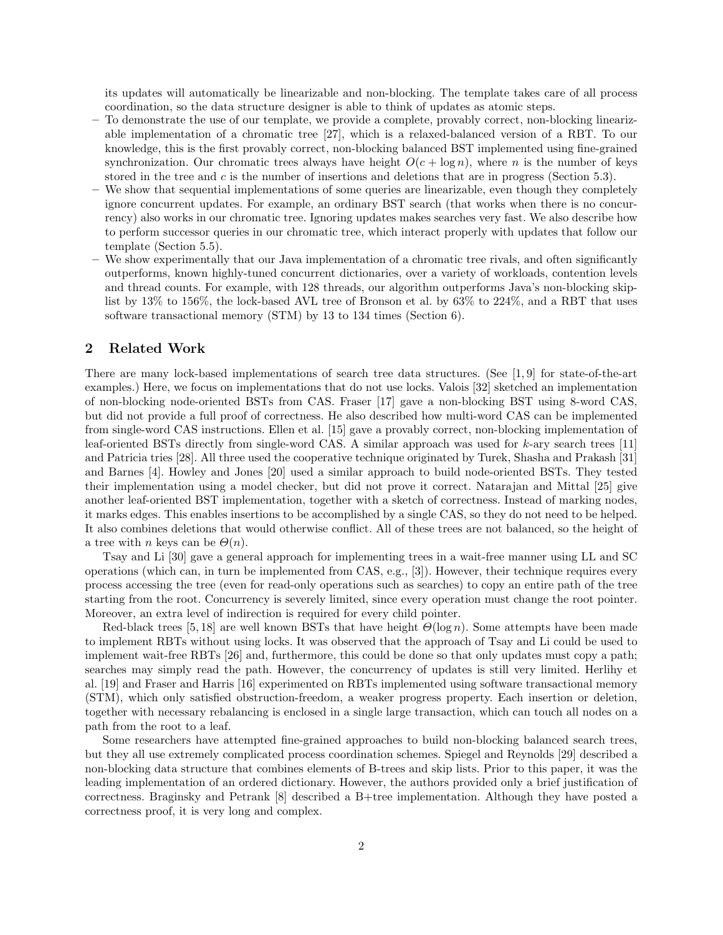its updates will automatically be linearizable and non-blocking. The template takes care of all process coordination, so the data structure designer is able to think of updates as atomic steps.

- To demonstrate the use of our template, we provide a complete, provably correct, non-blocking linearizable implementation of a chromatic tree [27], which is a relaxed-balanced version of a RBT. To our knowledge, this is the first provably correct, non-blocking balanced BST implemented using fine-grained synchronization. Our chromatic trees always have height  $O(c + \log n)$ , where n is the number of keys stored in the tree and c is the number of insertions and deletions that are in progress (Section 5.3).
- We show that sequential implementations of some queries are linearizable, even though they completely ignore concurrent updates. For example, an ordinary BST search (that works when there is no concurrency) also works in our chromatic tree. Ignoring updates makes searches very fast. We also describe how to perform successor queries in our chromatic tree, which interact properly with updates that follow our template (Section 5.5).
- We show experimentally that our Java implementation of a chromatic tree rivals, and often significantly outperforms, known highly-tuned concurrent dictionaries, over a variety of workloads, contention levels and thread counts. For example, with 128 threads, our algorithm outperforms Java's non-blocking skiplist by 13% to 156%, the lock-based AVL tree of Bronson et al. by 63% to 224%, and a RBT that uses software transactional memory (STM) by 13 to 134 times (Section 6).

## 2 Related Work

There are many lock-based implementations of search tree data structures. (See [1, 9] for state-of-the-art examples.) Here, we focus on implementations that do not use locks. Valois [32] sketched an implementation of non-blocking node-oriented BSTs from CAS. Fraser [17] gave a non-blocking BST using 8-word CAS, but did not provide a full proof of correctness. He also described how multi-word CAS can be implemented from single-word CAS instructions. Ellen et al. [15] gave a provably correct, non-blocking implementation of leaf-oriented BSTs directly from single-word CAS. A similar approach was used for k-ary search trees [11] and Patricia tries [28]. All three used the cooperative technique originated by Turek, Shasha and Prakash [31] and Barnes [4]. Howley and Jones [20] used a similar approach to build node-oriented BSTs. They tested their implementation using a model checker, but did not prove it correct. Natarajan and Mittal [25] give another leaf-oriented BST implementation, together with a sketch of correctness. Instead of marking nodes, it marks edges. This enables insertions to be accomplished by a single CAS, so they do not need to be helped. It also combines deletions that would otherwise conflict. All of these trees are not balanced, so the height of a tree with *n* keys can be  $\Theta(n)$ .

Tsay and Li [30] gave a general approach for implementing trees in a wait-free manner using LL and SC operations (which can, in turn be implemented from CAS, e.g., [3]). However, their technique requires every process accessing the tree (even for read-only operations such as searches) to copy an entire path of the tree starting from the root. Concurrency is severely limited, since every operation must change the root pointer. Moreover, an extra level of indirection is required for every child pointer.

Red-black trees [5, 18] are well known BSTs that have height  $\Theta(\log n)$ . Some attempts have been made to implement RBTs without using locks. It was observed that the approach of Tsay and Li could be used to implement wait-free RBTs [26] and, furthermore, this could be done so that only updates must copy a path; searches may simply read the path. However, the concurrency of updates is still very limited. Herlihy et al. [19] and Fraser and Harris [16] experimented on RBTs implemented using software transactional memory (STM), which only satisfied obstruction-freedom, a weaker progress property. Each insertion or deletion, together with necessary rebalancing is enclosed in a single large transaction, which can touch all nodes on a path from the root to a leaf.

Some researchers have attempted fine-grained approaches to build non-blocking balanced search trees, but they all use extremely complicated process coordination schemes. Spiegel and Reynolds [29] described a non-blocking data structure that combines elements of B-trees and skip lists. Prior to this paper, it was the leading implementation of an ordered dictionary. However, the authors provided only a brief justification of correctness. Braginsky and Petrank [8] described a B+tree implementation. Although they have posted a correctness proof, it is very long and complex.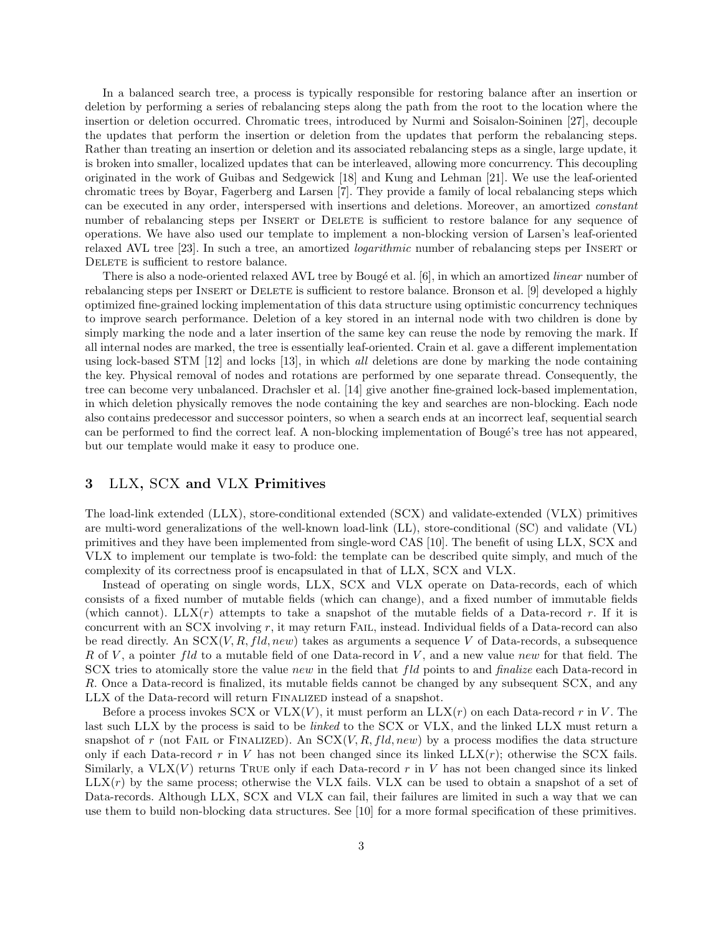In a balanced search tree, a process is typically responsible for restoring balance after an insertion or deletion by performing a series of rebalancing steps along the path from the root to the location where the insertion or deletion occurred. Chromatic trees, introduced by Nurmi and Soisalon-Soininen [27], decouple the updates that perform the insertion or deletion from the updates that perform the rebalancing steps. Rather than treating an insertion or deletion and its associated rebalancing steps as a single, large update, it is broken into smaller, localized updates that can be interleaved, allowing more concurrency. This decoupling originated in the work of Guibas and Sedgewick [18] and Kung and Lehman [21]. We use the leaf-oriented chromatic trees by Boyar, Fagerberg and Larsen [7]. They provide a family of local rebalancing steps which can be executed in any order, interspersed with insertions and deletions. Moreover, an amortized constant number of rebalancing steps per INSERT or DELETE is sufficient to restore balance for any sequence of operations. We have also used our template to implement a non-blocking version of Larsen's leaf-oriented relaxed AVL tree [23]. In such a tree, an amortized *logarithmic* number of rebalancing steps per INSERT or DELETE is sufficient to restore balance.

There is also a node-oriented relaxed AVL tree by Bougé et al. [6], in which an amortized *linear* number of rebalancing steps per INSERT or DELETE is sufficient to restore balance. Bronson et al. [9] developed a highly optimized fine-grained locking implementation of this data structure using optimistic concurrency techniques to improve search performance. Deletion of a key stored in an internal node with two children is done by simply marking the node and a later insertion of the same key can reuse the node by removing the mark. If all internal nodes are marked, the tree is essentially leaf-oriented. Crain et al. gave a different implementation using lock-based STM [12] and locks [13], in which all deletions are done by marking the node containing the key. Physical removal of nodes and rotations are performed by one separate thread. Consequently, the tree can become very unbalanced. Drachsler et al. [14] give another fine-grained lock-based implementation, in which deletion physically removes the node containing the key and searches are non-blocking. Each node also contains predecessor and successor pointers, so when a search ends at an incorrect leaf, sequential search can be performed to find the correct leaf. A non-blocking implementation of Bougé's tree has not appeared, but our template would make it easy to produce one.

# 3 LLX, SCX and VLX Primitives

The load-link extended (LLX), store-conditional extended (SCX) and validate-extended (VLX) primitives are multi-word generalizations of the well-known load-link (LL), store-conditional (SC) and validate (VL) primitives and they have been implemented from single-word CAS [10]. The benefit of using LLX, SCX and VLX to implement our template is two-fold: the template can be described quite simply, and much of the complexity of its correctness proof is encapsulated in that of LLX, SCX and VLX.

Instead of operating on single words, LLX, SCX and VLX operate on Data-records, each of which consists of a fixed number of mutable fields (which can change), and a fixed number of immutable fields (which cannot).  $LLX(r)$  attempts to take a snapshot of the mutable fields of a Data-record r. If it is concurrent with an SCX involving r, it may return Fail, instead. Individual fields of a Data-record can also be read directly. An  $SCX(V, R, fld, new)$  takes as arguments a sequence V of Data-records, a subsequence R of V, a pointer fld to a mutable field of one Data-record in V, and a new value new for that field. The SCX tries to atomically store the value *new* in the field that fld points to and *finalize* each Data-record in R. Once a Data-record is finalized, its mutable fields cannot be changed by any subsequent SCX, and any LLX of the Data-record will return FINALIZED instead of a snapshot.

Before a process invokes SCX or  $V L X(V)$ , it must perform an  $L L X(r)$  on each Data-record r in V. The last such LLX by the process is said to be *linked* to the SCX or VLX, and the linked LLX must return a snapshot of r (not FAIL or FINALIZED). An  $SCX(V, R, fld, new)$  by a process modifies the data structure only if each Data-record r in V has not been changed since its linked  $LLX(r)$ ; otherwise the SCX fails. Similarly, a  $V L X(V)$  returns TRUE only if each Data-record r in V has not been changed since its linked  $LLX(r)$  by the same process; otherwise the VLX fails. VLX can be used to obtain a snapshot of a set of Data-records. Although LLX, SCX and VLX can fail, their failures are limited in such a way that we can use them to build non-blocking data structures. See [10] for a more formal specification of these primitives.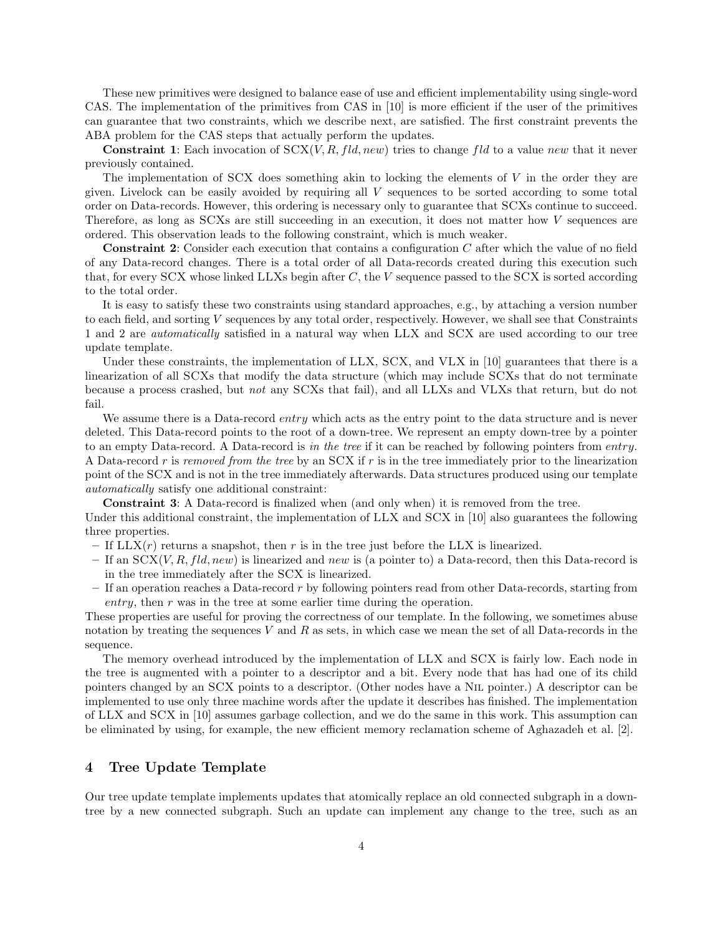These new primitives were designed to balance ease of use and efficient implementability using single-word CAS. The implementation of the primitives from CAS in [10] is more efficient if the user of the primitives can guarantee that two constraints, which we describe next, are satisfied. The first constraint prevents the ABA problem for the CAS steps that actually perform the updates.

**Constraint 1**: Each invocation of  $SCX(V, R, fld, new)$  tries to change fld to a value new that it never previously contained.

The implementation of SCX does something akin to locking the elements of  $V$  in the order they are given. Livelock can be easily avoided by requiring all V sequences to be sorted according to some total order on Data-records. However, this ordering is necessary only to guarantee that SCXs continue to succeed. Therefore, as long as SCXs are still succeeding in an execution, it does not matter how V sequences are ordered. This observation leads to the following constraint, which is much weaker.

**Constraint 2:** Consider each execution that contains a configuration  $C$  after which the value of no field of any Data-record changes. There is a total order of all Data-records created during this execution such that, for every SCX whose linked LLXs begin after C, the V sequence passed to the SCX is sorted according to the total order.

It is easy to satisfy these two constraints using standard approaches, e.g., by attaching a version number to each field, and sorting V sequences by any total order, respectively. However, we shall see that Constraints 1 and 2 are automatically satisfied in a natural way when LLX and SCX are used according to our tree update template.

Under these constraints, the implementation of LLX, SCX, and VLX in [10] guarantees that there is a linearization of all SCXs that modify the data structure (which may include SCXs that do not terminate because a process crashed, but not any SCXs that fail), and all LLXs and VLXs that return, but do not fail.

We assume there is a Data-record *entry* which acts as the entry point to the data structure and is never deleted. This Data-record points to the root of a down-tree. We represent an empty down-tree by a pointer to an empty Data-record. A Data-record is in the tree if it can be reached by following pointers from entry. A Data-record  $r$  is removed from the tree by an SCX if  $r$  is in the tree immediately prior to the linearization point of the SCX and is not in the tree immediately afterwards. Data structures produced using our template automatically satisfy one additional constraint:

Constraint 3: A Data-record is finalized when (and only when) it is removed from the tree.

Under this additional constraint, the implementation of LLX and SCX in [10] also guarantees the following three properties.

- If  $LLX(r)$  returns a snapshot, then r is in the tree just before the LLX is linearized.
- If an  $SCX(V, R, f d, new)$  is linearized and new is (a pointer to) a Data-record, then this Data-record is in the tree immediately after the SCX is linearized.
- $-$  If an operation reaches a Data-record r by following pointers read from other Data-records, starting from entry, then r was in the tree at some earlier time during the operation.

These properties are useful for proving the correctness of our template. In the following, we sometimes abuse notation by treating the sequences  $V$  and  $R$  as sets, in which case we mean the set of all Data-records in the sequence.

The memory overhead introduced by the implementation of LLX and SCX is fairly low. Each node in the tree is augmented with a pointer to a descriptor and a bit. Every node that has had one of its child pointers changed by an SCX points to a descriptor. (Other nodes have a Nil pointer.) A descriptor can be implemented to use only three machine words after the update it describes has finished. The implementation of LLX and SCX in [10] assumes garbage collection, and we do the same in this work. This assumption can be eliminated by using, for example, the new efficient memory reclamation scheme of Aghazadeh et al. [2].

# 4 Tree Update Template

Our tree update template implements updates that atomically replace an old connected subgraph in a downtree by a new connected subgraph. Such an update can implement any change to the tree, such as an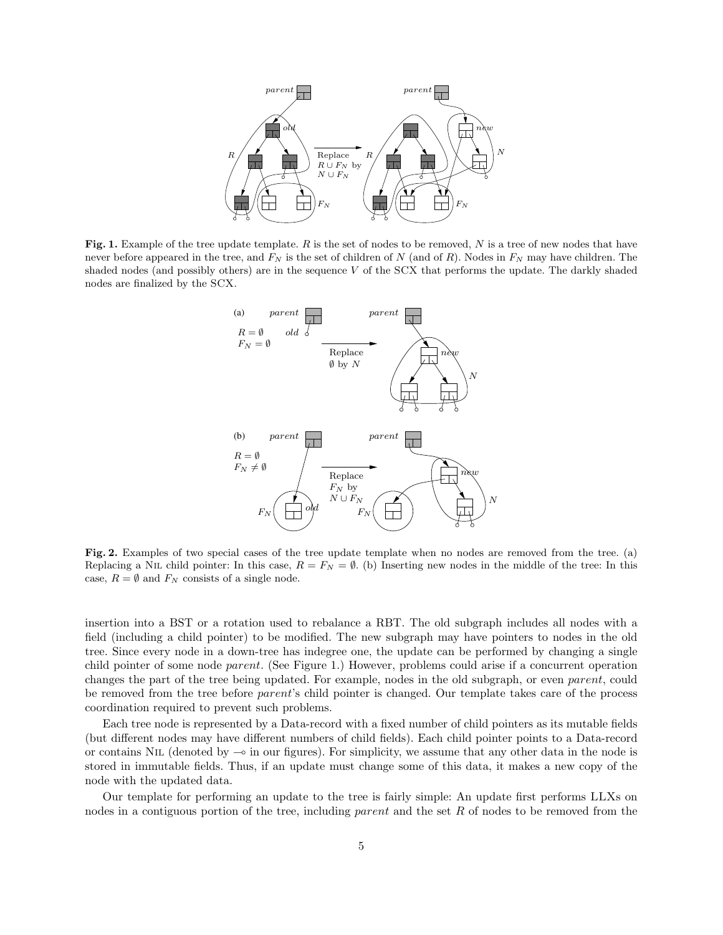

Fig. 1. Example of the tree update template.  $R$  is the set of nodes to be removed,  $N$  is a tree of new nodes that have never before appeared in the tree, and  $F_N$  is the set of children of N (and of R). Nodes in  $F_N$  may have children. The shaded nodes (and possibly others) are in the sequence V of the SCX that performs the update. The darkly shaded nodes are finalized by the SCX.



Fig. 2. Examples of two special cases of the tree update template when no nodes are removed from the tree. (a) Replacing a NIL child pointer: In this case,  $R = F_N = \emptyset$ . (b) Inserting new nodes in the middle of the tree: In this case,  $R = \emptyset$  and  $F_N$  consists of a single node.

insertion into a BST or a rotation used to rebalance a RBT. The old subgraph includes all nodes with a field (including a child pointer) to be modified. The new subgraph may have pointers to nodes in the old tree. Since every node in a down-tree has indegree one, the update can be performed by changing a single child pointer of some node parent. (See Figure 1.) However, problems could arise if a concurrent operation changes the part of the tree being updated. For example, nodes in the old subgraph, or even parent, could be removed from the tree before *parent's* child pointer is changed. Our template takes care of the process coordination required to prevent such problems.

Each tree node is represented by a Data-record with a fixed number of child pointers as its mutable fields (but different nodes may have different numbers of child fields). Each child pointer points to a Data-record or contains NIL (denoted by  $\sim$  in our figures). For simplicity, we assume that any other data in the node is stored in immutable fields. Thus, if an update must change some of this data, it makes a new copy of the node with the updated data.

Our template for performing an update to the tree is fairly simple: An update first performs LLXs on nodes in a contiguous portion of the tree, including *parent* and the set  $R$  of nodes to be removed from the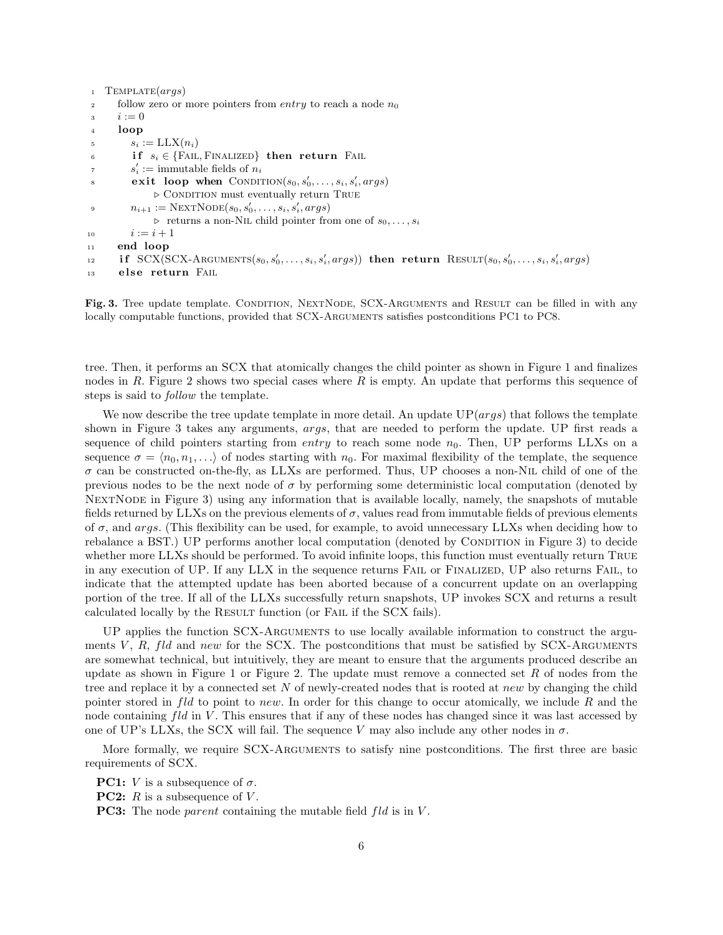```
1 TEMPLATE(args)_{2} follow zero or more pointers from entry to reach a node n_{0}3 i := 04 loop
s_i := \text{LLX}(n_i)6 if s_i \in \{FAIL, FINALIZED\} then return FAIL
 s_i' := \text{immutable fields of } n_is exit loop when \text{Comportion}(s_0, s'_0, \ldots, s_i, s'_i, args)\triangleright CONDITION must eventually return TRUE
 9 n_{i+1} := \text{NEXTNODE}(s_0, s'_0, \ldots, s_i, s'_i, args)\triangleright returns a non-NIL child pointer from one of s_0, \ldots, s_i10 i := i + 111 end loop
12 if SCX(SCX-ARGUMENTS(s_0, s'_0, \ldots, s_i, s'_i, args)) then return RESULT(s_0, s'_0, \ldots, s_i, s'_i, args)13 else return FAIL
```
Fig. 3. Tree update template. CONDITION, NEXTNODE, SCX-ARGUMENTS and RESULT can be filled in with any locally computable functions, provided that SCX-ARGUMENTS satisfies postconditions PC1 to PC8.

tree. Then, it performs an SCX that atomically changes the child pointer as shown in Figure 1 and finalizes nodes in R. Figure 2 shows two special cases where  $R$  is empty. An update that performs this sequence of steps is said to follow the template.

We now describe the tree update template in more detail. An update  $UP(args)$  that follows the template shown in Figure 3 takes any arguments, args, that are needed to perform the update. UP first reads a sequence of child pointers starting from entry to reach some node  $n_0$ . Then, UP performs LLXs on a sequence  $\sigma = \langle n_0, n_1, \ldots \rangle$  of nodes starting with  $n_0$ . For maximal flexibility of the template, the sequence  $\sigma$  can be constructed on-the-fly, as LLXs are performed. Thus, UP chooses a non-NIL child of one of the previous nodes to be the next node of  $\sigma$  by performing some deterministic local computation (denoted by NextNode in Figure 3) using any information that is available locally, namely, the snapshots of mutable fields returned by LLXs on the previous elements of  $\sigma$ , values read from immutable fields of previous elements of  $\sigma$ , and args. (This flexibility can be used, for example, to avoid unnecessary LLXs when deciding how to rebalance a BST.) UP performs another local computation (denoted by CONDITION in Figure 3) to decide whether more LLXs should be performed. To avoid infinite loops, this function must eventually return True in any execution of UP. If any LLX in the sequence returns Fail or Finalized, UP also returns Fail, to indicate that the attempted update has been aborted because of a concurrent update on an overlapping portion of the tree. If all of the LLXs successfully return snapshots, UP invokes SCX and returns a result calculated locally by the RESULT function (or FAIL if the SCX fails).

UP applies the function SCX-ARGUMENTS to use locally available information to construct the arguments V, R, fld and new for the SCX. The postconditions that must be satisfied by  $SCX$ -ARGUMENTS are somewhat technical, but intuitively, they are meant to ensure that the arguments produced describe an update as shown in Figure 1 or Figure 2. The update must remove a connected set  $R$  of nodes from the tree and replace it by a connected set N of newly-created nodes that is rooted at new by changing the child pointer stored in  $fld$  to point to new. In order for this change to occur atomically, we include R and the node containing  $fld$  in V. This ensures that if any of these nodes has changed since it was last accessed by one of UP's LLXs, the SCX will fail. The sequence V may also include any other nodes in  $\sigma$ .

More formally, we require SCX-ARGUMENTS to satisfy nine postconditions. The first three are basic requirements of SCX.

**PC1:** *V* is a subsequence of  $\sigma$ .

**PC2:**  $R$  is a subsequence of  $V$ .

**PC3:** The node parent containing the mutable field  $fld$  is in V.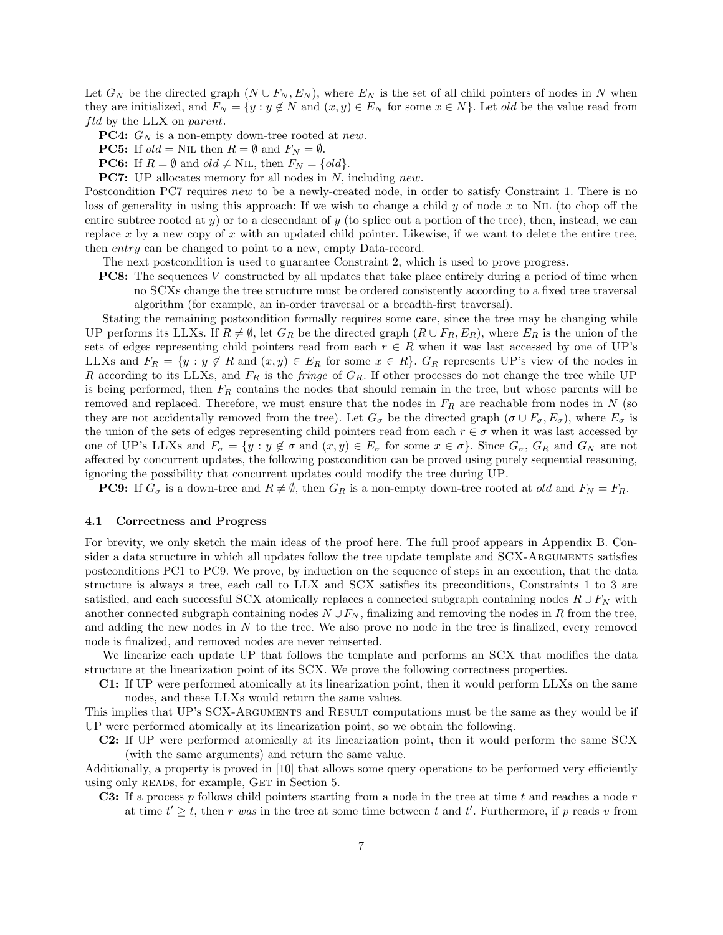Let  $G_N$  be the directed graph  $(N \cup F_N, E_N)$ , where  $E_N$  is the set of all child pointers of nodes in N when they are initialized, and  $F_N = \{y : y \notin N \text{ and } (x, y) \in E_N \text{ for some } x \in N\}$ . Let old be the value read from fld by the LLX on parent.

**PC4:**  $G_N$  is a non-empty down-tree rooted at new.

**PC5:** If  $old = \text{NIL}$  then  $R = \emptyset$  and  $F_N = \emptyset$ .

**PC6:** If  $R = \emptyset$  and  $old \neq \text{NIL}$ , then  $F_N = \{old\}.$ 

**PC7:** UP allocates memory for all nodes in  $N$ , including new.

Postcondition PC7 requires new to be a newly-created node, in order to satisfy Constraint 1. There is no loss of generality in using this approach: If we wish to change a child  $y$  of node  $x$  to NIL (to chop off the entire subtree rooted at  $y$ ) or to a descendant of  $y$  (to splice out a portion of the tree), then, instead, we can replace x by a new copy of x with an updated child pointer. Likewise, if we want to delete the entire tree, then *entry* can be changed to point to a new, empty Data-record.

The next postcondition is used to guarantee Constraint 2, which is used to prove progress.

**PC8:** The sequences V constructed by all updates that take place entirely during a period of time when no SCXs change the tree structure must be ordered consistently according to a fixed tree traversal algorithm (for example, an in-order traversal or a breadth-first traversal).

Stating the remaining postcondition formally requires some care, since the tree may be changing while UP performs its LLXs. If  $R \neq \emptyset$ , let  $G_R$  be the directed graph  $(R \cup F_R, E_R)$ , where  $E_R$  is the union of the sets of edges representing child pointers read from each  $r \in R$  when it was last accessed by one of UP's LLXs and  $F_R = \{y : y \notin R \text{ and } (x, y) \in E_R \text{ for some } x \in R\}$ .  $G_R$  represents UP's view of the nodes in R according to its LLXs, and  $F_R$  is the *fringe* of  $G_R$ . If other processes do not change the tree while UP is being performed, then  $F_R$  contains the nodes that should remain in the tree, but whose parents will be removed and replaced. Therefore, we must ensure that the nodes in  $F_R$  are reachable from nodes in N (so they are not accidentally removed from the tree). Let  $G_{\sigma}$  be the directed graph ( $\sigma \cup F_{\sigma}$ ,  $E_{\sigma}$ ), where  $E_{\sigma}$  is the union of the sets of edges representing child pointers read from each  $r \in \sigma$  when it was last accessed by one of UP's LLXs and  $F_{\sigma} = \{y : y \notin \sigma \text{ and } (x, y) \in E_{\sigma} \text{ for some } x \in \sigma\}$ . Since  $G_{\sigma}$ ,  $G_R$  and  $G_N$  are not affected by concurrent updates, the following postcondition can be proved using purely sequential reasoning, ignoring the possibility that concurrent updates could modify the tree during UP.

**PC9:** If  $G_{\sigma}$  is a down-tree and  $R \neq \emptyset$ , then  $G_R$  is a non-empty down-tree rooted at *old* and  $F_N = F_R$ .

## 4.1 Correctness and Progress

For brevity, we only sketch the main ideas of the proof here. The full proof appears in Appendix B. Consider a data structure in which all updates follow the tree update template and SCX-ARGUMENTS satisfies postconditions PC1 to PC9. We prove, by induction on the sequence of steps in an execution, that the data structure is always a tree, each call to LLX and SCX satisfies its preconditions, Constraints 1 to 3 are satisfied, and each successful SCX atomically replaces a connected subgraph containing nodes  $R \cup F_N$  with another connected subgraph containing nodes  $N \cup F_N$ , finalizing and removing the nodes in R from the tree, and adding the new nodes in  $N$  to the tree. We also prove no node in the tree is finalized, every removed node is finalized, and removed nodes are never reinserted.

We linearize each update UP that follows the template and performs an SCX that modifies the data structure at the linearization point of its SCX. We prove the following correctness properties.

C1: If UP were performed atomically at its linearization point, then it would perform LLXs on the same nodes, and these LLXs would return the same values.

This implies that UP's SCX-ARGUMENTS and RESULT computations must be the same as they would be if UP were performed atomically at its linearization point, so we obtain the following.

C2: If UP were performed atomically at its linearization point, then it would perform the same SCX (with the same arguments) and return the same value.

Additionally, a property is proved in [10] that allows some query operations to be performed very efficiently using only READS, for example, GET in Section 5.

**C3:** If a process p follows child pointers starting from a node in the tree at time t and reaches a node  $r$ at time  $t' \geq t$ , then r was in the tree at some time between t and t'. Furthermore, if p reads v from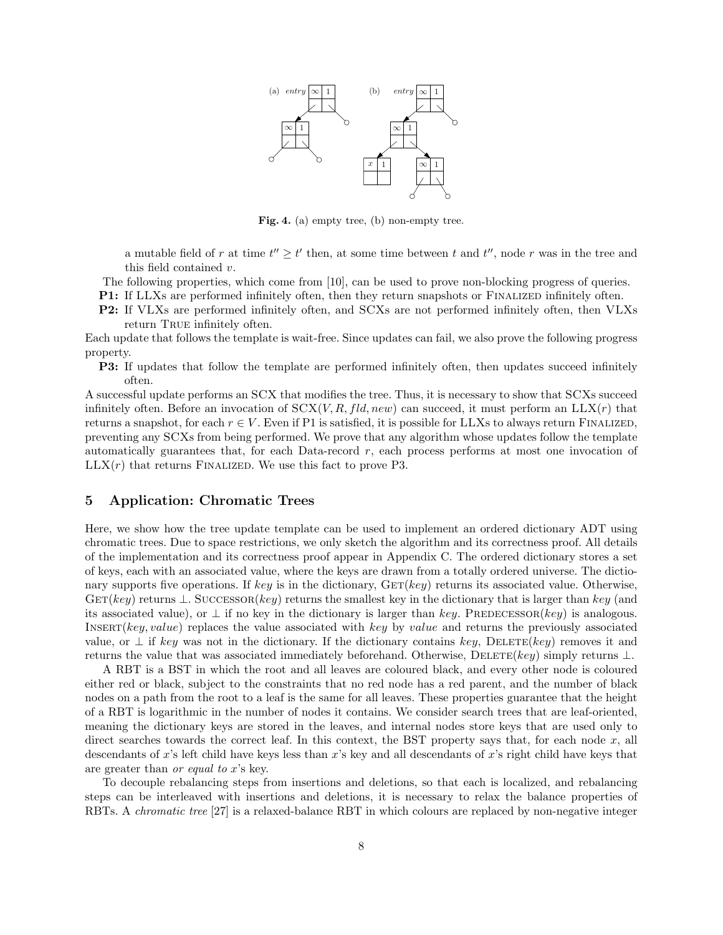

Fig. 4. (a) empty tree, (b) non-empty tree.

a mutable field of r at time  $t'' \ge t'$  then, at some time between t and  $t''$ , node r was in the tree and this field contained v.

The following properties, which come from [10], can be used to prove non-blocking progress of queries.

**P1:** If LLXs are performed infinitely often, then they return snapshots or FINALIZED infinitely often.

P2: If VLXs are performed infinitely often, and SCXs are not performed infinitely often, then VLXs return True infinitely often.

Each update that follows the template is wait-free. Since updates can fail, we also prove the following progress property.

P3: If updates that follow the template are performed infinitely often, then updates succeed infinitely often.

A successful update performs an SCX that modifies the tree. Thus, it is necessary to show that SCXs succeed infinitely often. Before an invocation of  $SCX(V, R, fld, new)$  can succeed, it must perform an  $LLX(r)$  that returns a snapshot, for each  $r \in V$ . Even if P1 is satisfied, it is possible for LLXs to always return FINALIZED, preventing any SCXs from being performed. We prove that any algorithm whose updates follow the template automatically guarantees that, for each Data-record  $r$ , each process performs at most one invocation of  $LLX(r)$  that returns FINALIZED. We use this fact to prove P3.

# 5 Application: Chromatic Trees

Here, we show how the tree update template can be used to implement an ordered dictionary ADT using chromatic trees. Due to space restrictions, we only sketch the algorithm and its correctness proof. All details of the implementation and its correctness proof appear in Appendix C. The ordered dictionary stores a set of keys, each with an associated value, where the keys are drawn from a totally ordered universe. The dictionary supports five operations. If key is in the dictionary,  $GET(key)$  returns its associated value. Otherwise,  $GET(key)$  returns  $\perp$ . SUCCESSOR(key) returns the smallest key in the dictionary that is larger than key (and its associated value), or  $\perp$  if no key in the dictionary is larger than key. PREDECESSOR(key) is analogous. INSERT $(key, value)$  replaces the value associated with key by value and returns the previously associated value, or  $\perp$  if key was not in the dictionary. If the dictionary contains key, DELETE(key) removes it and returns the value that was associated immediately beforehand. Otherwise, DELETE(key) simply returns ⊥.

A RBT is a BST in which the root and all leaves are coloured black, and every other node is coloured either red or black, subject to the constraints that no red node has a red parent, and the number of black nodes on a path from the root to a leaf is the same for all leaves. These properties guarantee that the height of a RBT is logarithmic in the number of nodes it contains. We consider search trees that are leaf-oriented, meaning the dictionary keys are stored in the leaves, and internal nodes store keys that are used only to direct searches towards the correct leaf. In this context, the BST property says that, for each node x, all descendants of x's left child have keys less than x's key and all descendants of x's right child have keys that are greater than or equal to x's key.

To decouple rebalancing steps from insertions and deletions, so that each is localized, and rebalancing steps can be interleaved with insertions and deletions, it is necessary to relax the balance properties of RBTs. A *chromatic tree* [27] is a relaxed-balance RBT in which colours are replaced by non-negative integer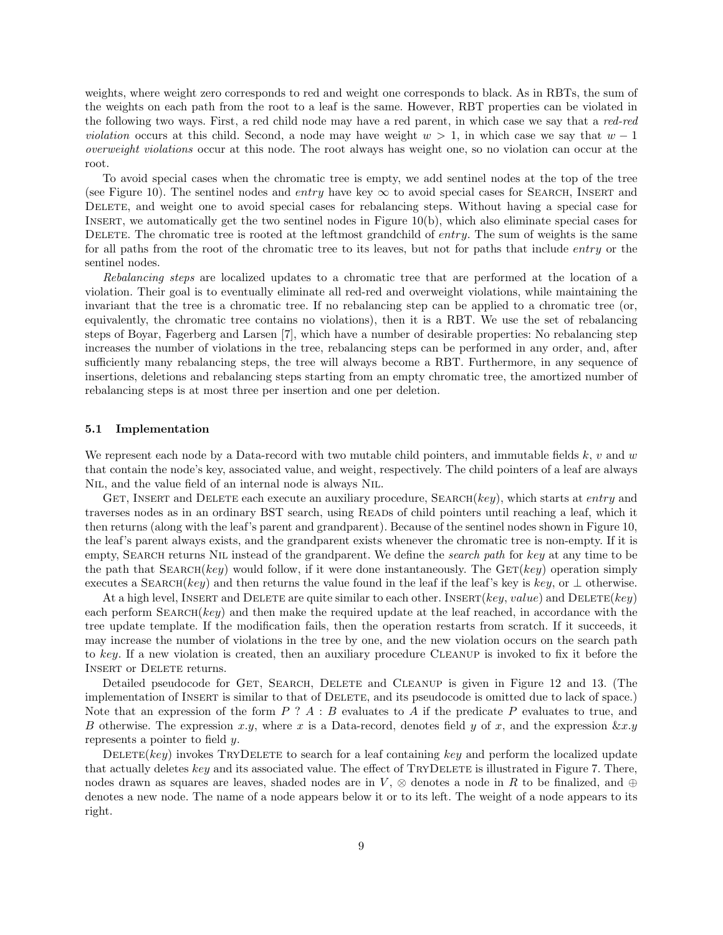weights, where weight zero corresponds to red and weight one corresponds to black. As in RBTs, the sum of the weights on each path from the root to a leaf is the same. However, RBT properties can be violated in the following two ways. First, a red child node may have a red parent, in which case we say that a red-red *violation* occurs at this child. Second, a node may have weight  $w > 1$ , in which case we say that  $w - 1$ overweight violations occur at this node. The root always has weight one, so no violation can occur at the root.

To avoid special cases when the chromatic tree is empty, we add sentinel nodes at the top of the tree (see Figure 10). The sentinel nodes and entry have key  $\infty$  to avoid special cases for SEARCH, INSERT and DELETE, and weight one to avoid special cases for rebalancing steps. Without having a special case for Insert, we automatically get the two sentinel nodes in Figure 10(b), which also eliminate special cases for DELETE. The chromatic tree is rooted at the leftmost grandchild of entry. The sum of weights is the same for all paths from the root of the chromatic tree to its leaves, but not for paths that include *entry* or the sentinel nodes.

Rebalancing steps are localized updates to a chromatic tree that are performed at the location of a violation. Their goal is to eventually eliminate all red-red and overweight violations, while maintaining the invariant that the tree is a chromatic tree. If no rebalancing step can be applied to a chromatic tree (or, equivalently, the chromatic tree contains no violations), then it is a RBT. We use the set of rebalancing steps of Boyar, Fagerberg and Larsen [7], which have a number of desirable properties: No rebalancing step increases the number of violations in the tree, rebalancing steps can be performed in any order, and, after sufficiently many rebalancing steps, the tree will always become a RBT. Furthermore, in any sequence of insertions, deletions and rebalancing steps starting from an empty chromatic tree, the amortized number of rebalancing steps is at most three per insertion and one per deletion.

### 5.1 Implementation

We represent each node by a Data-record with two mutable child pointers, and immutable fields  $k, v$  and  $w$ that contain the node's key, associated value, and weight, respectively. The child pointers of a leaf are always Nil, and the value field of an internal node is always Nil.

GET, INSERT and DELETE each execute an auxiliary procedure,  $SEARCH(key)$ , which starts at entry and traverses nodes as in an ordinary BST search, using Reads of child pointers until reaching a leaf, which it then returns (along with the leaf's parent and grandparent). Because of the sentinel nodes shown in Figure 10, the leaf's parent always exists, and the grandparent exists whenever the chromatic tree is non-empty. If it is empty, SEARCH returns NIL instead of the grandparent. We define the *search path* for key at any time to be the path that  $SEARCH(key)$  would follow, if it were done instantaneously. The  $GET(key)$  operation simply executes a SEARCH(key) and then returns the value found in the leaf if the leaf's key, or  $\perp$  otherwise.

At a high level, INSERT and DELETE are quite similar to each other. INSERT(key, value) and DELETE(key) each perform  $SEARCH(key)$  and then make the required update at the leaf reached, in accordance with the tree update template. If the modification fails, then the operation restarts from scratch. If it succeeds, it may increase the number of violations in the tree by one, and the new violation occurs on the search path to key. If a new violation is created, then an auxiliary procedure CLEANUP is invoked to fix it before the INSERT or DELETE returns.

Detailed pseudocode for GET, SEARCH, DELETE and CLEANUP is given in Figure 12 and 13. (The implementation of INSERT is similar to that of DELETE, and its pseudocode is omitted due to lack of space.) Note that an expression of the form  $P$ ?  $A : B$  evaluates to  $A$  if the predicate  $P$  evaluates to true, and B otherwise. The expression x.y, where x is a Data-record, denotes field y of x, and the expression  $\&x.y$ represents a pointer to field y.

DELETE(key) invokes TRYDELETE to search for a leaf containing key and perform the localized update that actually deletes key and its associated value. The effect of  $TRYDELETE$  is illustrated in Figure 7. There, nodes drawn as squares are leaves, shaded nodes are in V,  $\otimes$  denotes a node in R to be finalized, and  $\oplus$ denotes a new node. The name of a node appears below it or to its left. The weight of a node appears to its right.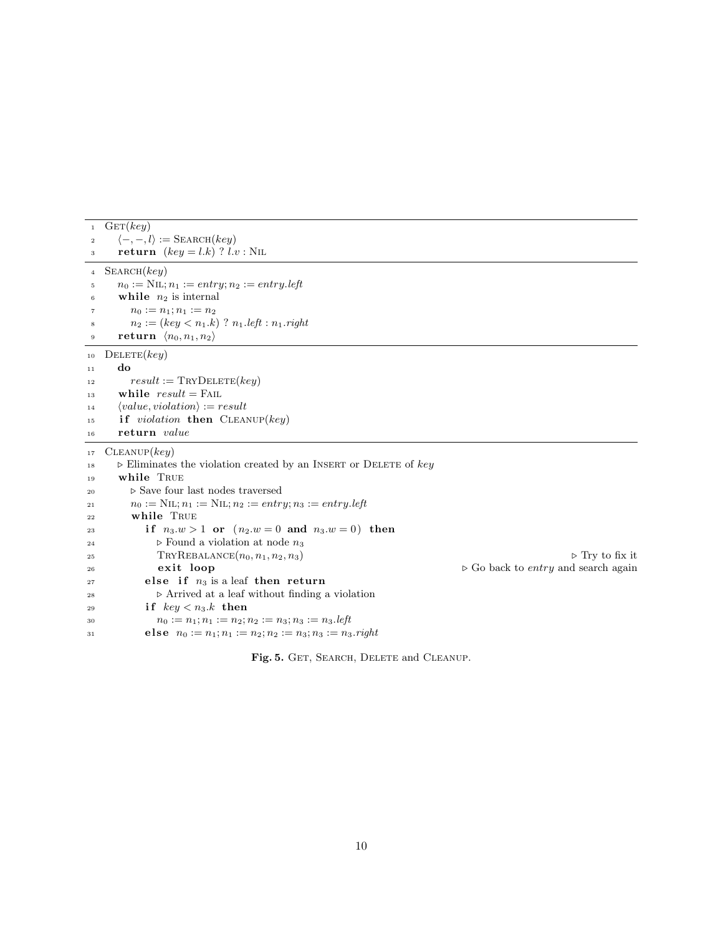| $1\,$          | GET(key)                                                                        |                                                           |
|----------------|---------------------------------------------------------------------------------|-----------------------------------------------------------|
| $\overline{2}$ | $\langle -, -, l \rangle := \text{SEARCH}(key)$                                 |                                                           |
| 3              | return $(key = l.k)$ ? $l.v$ : NIL                                              |                                                           |
| $\overline{4}$ | SEARCH(key)                                                                     |                                                           |
| 5              | $n_0 := \text{NIL}; n_1 := entry; n_2 := entry.left$                            |                                                           |
| 6              | while $n_2$ is internal                                                         |                                                           |
| $\overline{7}$ | $n_0 := n_1; n_1 := n_2$                                                        |                                                           |
| 8              | $n_2 := (key < n_1.k)$ ? $n_1.left : n_1.right$                                 |                                                           |
| 9              | return $\langle n_0, n_1, n_2 \rangle$                                          |                                                           |
| $10\,$         | DELETE(key)                                                                     |                                                           |
| 11             | do                                                                              |                                                           |
| 12             | $result := \text{TrYDELETE}(key)$                                               |                                                           |
| 13             | while $result = FAIL$                                                           |                                                           |
| 14             | $\langle value, violation \rangle := result$                                    |                                                           |
| 15             | if <i>violation</i> then $CLEANUP(key)$                                         |                                                           |
| 16             | return value                                                                    |                                                           |
| 17             | CLEANUP(key)                                                                    |                                                           |
| 18             | $\triangleright$ Eliminates the violation created by an INSERT or DELETE of key |                                                           |
| 19             | while TRUE                                                                      |                                                           |
| 20             | $\triangleright$ Save four last nodes traversed                                 |                                                           |
| 21             | $n_0 := \text{NIL}; n_1 := \text{NIL}; n_2 := entry; n_3 := entry.left$         |                                                           |
| 22             | while TRUE                                                                      |                                                           |
| 23             | if $n_3.w > 1$ or $(n_2.w = 0 \text{ and } n_3.w = 0)$ then                     |                                                           |
| 24             | $\triangleright$ Found a violation at node <i>n</i> <sub>3</sub>                |                                                           |
| 25             | $TRYREBALANCE(n_0, n_1, n_2, n_3)$                                              | $\triangleright$ Try to fix it                            |
| 26             | exit loop                                                                       | $\triangleright$ Go back to <i>entry</i> and search again |
| 27             | else if $n_3$ is a leaf then return                                             |                                                           |
| 28             | $\triangleright$ Arrived at a leaf without finding a violation                  |                                                           |
|                |                                                                                 |                                                           |
| 29             | if $key < n_3.k$ then                                                           |                                                           |
| 30             | $n_0 := n_1; n_1 := n_2; n_2 := n_3; n_3 := n_3.$ left                          |                                                           |

Fig. 5. GET, SEARCH, DELETE and CLEANUP.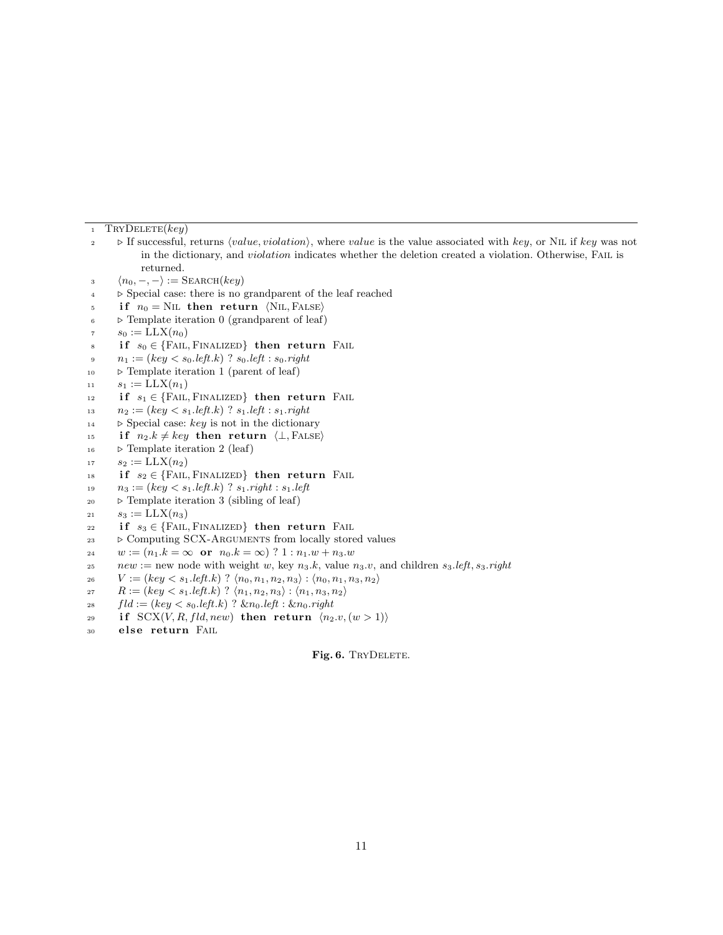$_1$  TRYDELETE(key)

- $\triangleright$  If successful, returns (value, violation), where value is the value associated with key, or NIL if key was not in the dictionary, and violation indicates whether the deletion created a violation. Otherwise, Fail is returned.
- $\langle n_0, -, \rangle := \text{SEARCH}(key)$
- <sup>4</sup> . Special case: there is no grandparent of the leaf reached
- 5 if  $n_0 = \text{NIL}$  then return  $\langle \text{NIL}, \text{FALSE} \rangle$
- $6 \rightarrow$  Template iteration 0 (grandparent of leaf)
- $s_0 := L L X(n_0)$
- 8 if  $s_0 \in \{$ FAIL, FINALIZED $\}$  then return FAIL
- 9  $n_1 := (key < s_0.left.k)$  ?  $s_0.left : s_0.right$
- $10 \rightarrow$  Template iteration 1 (parent of leaf)
- $s_1 := \text{LLX}(n_1)$
- 12 if  $s_1 \in \{$  FAIL, FINALIZED} then return FAIL
- 13  $n_2 := (key < s_1.left.k) ? s_1.left : s_1.right$
- $14 \rightarrow$  Special case: key is not in the dictionary
- 15 if  $n_2.k \neq key$  then return  $\langle \perp, \text{FALSE} \rangle$
- <sup>16</sup>  $\triangleright$  Template iteration 2 (leaf)
- $s_2 := LLX(n_2)$
- 18 if  $s_2 \in \{$  FAIL, FINALIZED} then return FAIL
- 19  $n_3 := (key < s_1.left.k)$  ?  $s_1.right : s_1.left$
- 20  $\triangleright$  Template iteration 3 (sibling of leaf)
- $s_3 := LLX(n_3)$
- 22 if  $s_3 \in \{$  FAIL, FINALIZED} then return FAIL
- $23 \rightarrow$  Computing SCX-ARGUMENTS from locally stored values
- 24  $w := (n_1.k = \infty \text{ or } n_0.k = \infty) ? 1 : n_1.w + n_3.w$
- <sup>25</sup> new := new node with weight w, key  $n_3.k$ , value  $n_3.v$ , and children  $s_3.left$ ,  $s_3.right$
- 26  $V := (key < s_1.left.k) ? \langle n_0, n_1, n_2, n_3 \rangle : \langle n_0, n_1, n_3, n_2 \rangle$
- 27  $R := (key < s_1.left.k) ? \langle n_1, n_2, n_3 \rangle : \langle n_1, n_3, n_2 \rangle$
- 28  $fld := (key < s_0.left.k) ? & n_0.left : & n_0.right$
- 29 if  $SCX(V, R, fld, new)$  then return  $\langle n_2.v, (w > 1) \rangle$
- 30 else return FAIL

Fig. 6. TRYDELETE.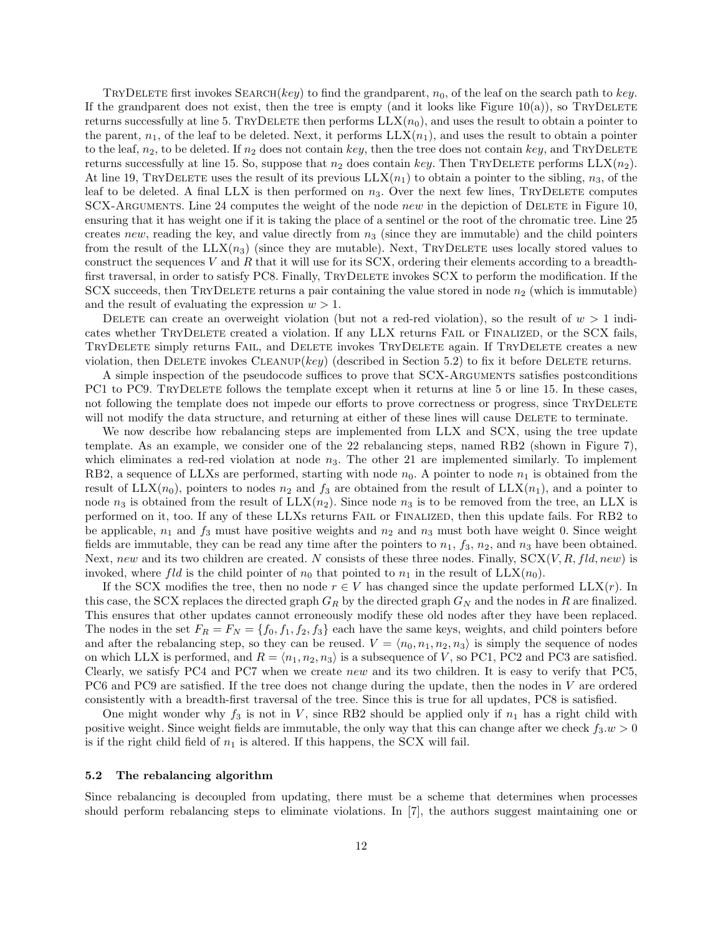TRYDELETE first invokes SEARCH(key) to find the grandparent,  $n_0$ , of the leaf on the search path to key. If the grandparent does not exist, then the tree is empty (and it looks like Figure  $10(a)$ ), so TRYDELETE returns successfully at line 5. TRYDELETE then performs  $LLX(n_0)$ , and uses the result to obtain a pointer to the parent,  $n_1$ , of the leaf to be deleted. Next, it performs  $LLX(n_1)$ , and uses the result to obtain a pointer to the leaf,  $n_2$ , to be deleted. If  $n_2$  does not contain key, then the tree does not contain key, and TRYDELETE returns successfully at line 15. So, suppose that  $n_2$  does contain key. Then TRYDELETE performs  $LLX(n_2)$ . At line 19, TRYDELETE uses the result of its previous  $LLX(n_1)$  to obtain a pointer to the sibling,  $n_3$ , of the leaf to be deleted. A final LLX is then performed on  $n_3$ . Over the next few lines, TRYDELETE computes SCX-ARGUMENTS. Line 24 computes the weight of the node *new* in the depiction of DELETE in Figure 10, ensuring that it has weight one if it is taking the place of a sentinel or the root of the chromatic tree. Line 25 creates new, reading the key, and value directly from  $n_3$  (since they are immutable) and the child pointers from the result of the  $LLX(n_3)$  (since they are mutable). Next, TRYDELETE uses locally stored values to construct the sequences V and R that it will use for its  $SCX$ , ordering their elements according to a breadthfirst traversal, in order to satisfy PC8. Finally, TRYDELETE invokes SCX to perform the modification. If the SCX succeeds, then TRYDELETE returns a pair containing the value stored in node  $n_2$  (which is immutable) and the result of evaluating the expression  $w > 1$ .

DELETE can create an overweight violation (but not a red-red violation), so the result of  $w > 1$  indicates whether TRYDELETE created a violation. If any LLX returns FAIL or FINALIZED, or the SCX fails. TRYDELETE simply returns FAIL, and DELETE invokes TRYDELETE again. If TRYDELETE creates a new violation, then DELETE invokes CLEANUP(key) (described in Section 5.2) to fix it before DELETE returns.

A simple inspection of the pseudocode suffices to prove that SCX-Arguments satisfies postconditions PC1 to PC9. TRYDELETE follows the template except when it returns at line 5 or line 15. In these cases, not following the template does not impede our efforts to prove correctness or progress, since TRYDELETE will not modify the data structure, and returning at either of these lines will cause DELETE to terminate.

We now describe how rebalancing steps are implemented from LLX and SCX, using the tree update template. As an example, we consider one of the 22 rebalancing steps, named RB2 (shown in Figure 7), which eliminates a red-red violation at node  $n_3$ . The other 21 are implemented similarly. To implement RB2, a sequence of LLXs are performed, starting with node  $n_0$ . A pointer to node  $n_1$  is obtained from the result of  $LLX(n_0)$ , pointers to nodes  $n_2$  and  $f_3$  are obtained from the result of  $LLX(n_1)$ , and a pointer to node  $n_3$  is obtained from the result of  $LLX(n_2)$ . Since node  $n_3$  is to be removed from the tree, an LLX is performed on it, too. If any of these LLXs returns Fail or Finalized, then this update fails. For RB2 to be applicable,  $n_1$  and  $f_3$  must have positive weights and  $n_2$  and  $n_3$  must both have weight 0. Since weight fields are immutable, they can be read any time after the pointers to  $n_1$ ,  $f_3$ ,  $n_2$ , and  $n_3$  have been obtained. Next, new and its two children are created. N consists of these three nodes. Finally,  $SCX(V, R, fld, new)$  is invoked, where fld is the child pointer of  $n_0$  that pointed to  $n_1$  in the result of  $LLX(n_0)$ .

If the SCX modifies the tree, then no node  $r \in V$  has changed since the update performed LLX $(r)$ . In this case, the SCX replaces the directed graph  $G_R$  by the directed graph  $G_N$  and the nodes in R are finalized. This ensures that other updates cannot erroneously modify these old nodes after they have been replaced. The nodes in the set  $F_R = F_N = \{f_0, f_1, f_2, f_3\}$  each have the same keys, weights, and child pointers before and after the rebalancing step, so they can be reused.  $V = \langle n_0, n_1, n_2, n_3 \rangle$  is simply the sequence of nodes on which LLX is performed, and  $R = \langle n_1, n_2, n_3 \rangle$  is a subsequence of V, so PC1, PC2 and PC3 are satisfied. Clearly, we satisfy PC4 and PC7 when we create new and its two children. It is easy to verify that PC5, PC6 and PC9 are satisfied. If the tree does not change during the update, then the nodes in V are ordered consistently with a breadth-first traversal of the tree. Since this is true for all updates, PC8 is satisfied.

One might wonder why  $f_3$  is not in V, since RB2 should be applied only if  $n_1$  has a right child with positive weight. Since weight fields are immutable, the only way that this can change after we check  $f_3 \cdot w > 0$ is if the right child field of  $n_1$  is altered. If this happens, the SCX will fail.

### 5.2 The rebalancing algorithm

Since rebalancing is decoupled from updating, there must be a scheme that determines when processes should perform rebalancing steps to eliminate violations. In [7], the authors suggest maintaining one or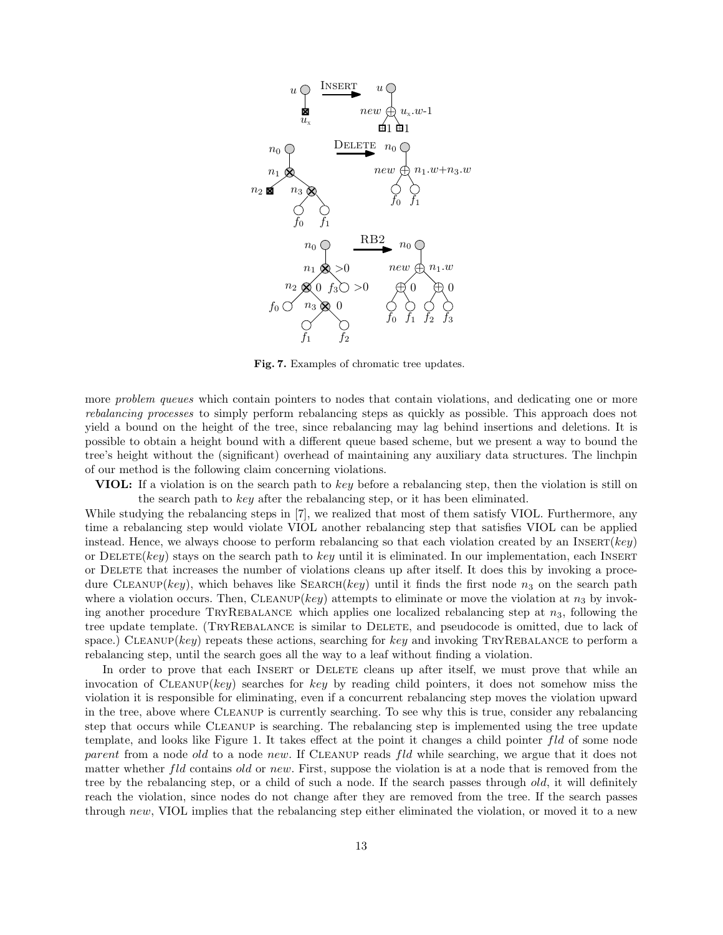

Fig. 7. Examples of chromatic tree updates.

more *problem queues* which contain pointers to nodes that contain violations, and dedicating one or more rebalancing processes to simply perform rebalancing steps as quickly as possible. This approach does not yield a bound on the height of the tree, since rebalancing may lag behind insertions and deletions. It is possible to obtain a height bound with a different queue based scheme, but we present a way to bound the tree's height without the (significant) overhead of maintaining any auxiliary data structures. The linchpin of our method is the following claim concerning violations.

VIOL: If a violation is on the search path to key before a rebalancing step, then the violation is still on the search path to key after the rebalancing step, or it has been eliminated.

While studying the rebalancing steps in [7], we realized that most of them satisfy VIOL. Furthermore, any time a rebalancing step would violate VIOL another rebalancing step that satisfies VIOL can be applied instead. Hence, we always choose to perform rebalancing so that each violation created by an INSERT(key) or DELETE(key) stays on the search path to key until it is eliminated. In our implementation, each INSERT or Delete that increases the number of violations cleans up after itself. It does this by invoking a procedure CLEANUP(key), which behaves like SEARCH(key) until it finds the first node  $n_3$  on the search path where a violation occurs. Then, CLEANUP(key) attempts to eliminate or move the violation at  $n_3$  by invoking another procedure TRYREBALANCE which applies one localized rebalancing step at  $n_3$ , following the tree update template. (TRYREBALANCE is similar to DELETE, and pseudocode is omitted, due to lack of space.) CLEANUP( $key$ ) repeats these actions, searching for  $key$  and invoking TRYREBALANCE to perform a rebalancing step, until the search goes all the way to a leaf without finding a violation.

In order to prove that each INSERT or DELETE cleans up after itself, we must prove that while an invocation of CLEANUP(key) searches for key by reading child pointers, it does not somehow miss the violation it is responsible for eliminating, even if a concurrent rebalancing step moves the violation upward in the tree, above where Cleanup is currently searching. To see why this is true, consider any rebalancing step that occurs while Cleanup is searching. The rebalancing step is implemented using the tree update template, and looks like Figure 1. It takes effect at the point it changes a child pointer fld of some node parent from a node old to a node new. If CLEANUP reads fld while searching, we argue that it does not matter whether fld contains old or new. First, suppose the violation is at a node that is removed from the tree by the rebalancing step, or a child of such a node. If the search passes through old, it will definitely reach the violation, since nodes do not change after they are removed from the tree. If the search passes through new, VIOL implies that the rebalancing step either eliminated the violation, or moved it to a new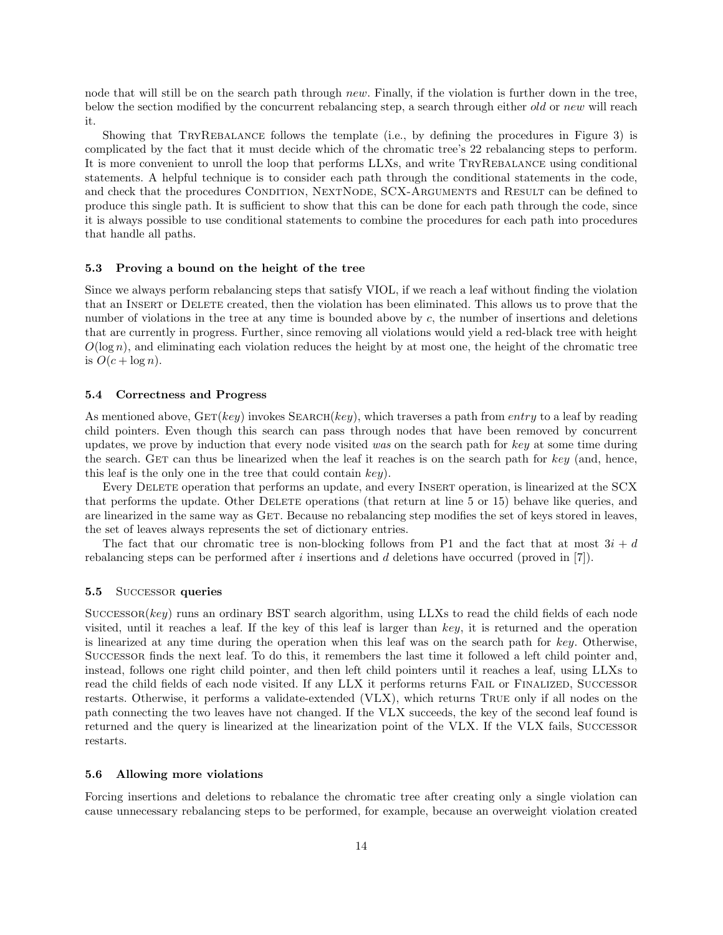node that will still be on the search path through new. Finally, if the violation is further down in the tree, below the section modified by the concurrent rebalancing step, a search through either old or new will reach it.

Showing that TryRebalance follows the template (i.e., by defining the procedures in Figure 3) is complicated by the fact that it must decide which of the chromatic tree's 22 rebalancing steps to perform. It is more convenient to unroll the loop that performs LLXs, and write TRYREBALANCE using conditional statements. A helpful technique is to consider each path through the conditional statements in the code, and check that the procedures CONDITION, NEXTNODE, SCX-ARGUMENTS and RESULT can be defined to produce this single path. It is sufficient to show that this can be done for each path through the code, since it is always possible to use conditional statements to combine the procedures for each path into procedures that handle all paths.

### 5.3 Proving a bound on the height of the tree

Since we always perform rebalancing steps that satisfy VIOL, if we reach a leaf without finding the violation that an Insert or Delete created, then the violation has been eliminated. This allows us to prove that the number of violations in the tree at any time is bounded above by c, the number of insertions and deletions that are currently in progress. Further, since removing all violations would yield a red-black tree with height  $O(\log n)$ , and eliminating each violation reduces the height by at most one, the height of the chromatic tree is  $O(c + \log n)$ .

### 5.4 Correctness and Progress

As mentioned above,  $GET(key)$  invokes SEARCH(key), which traverses a path from entry to a leaf by reading child pointers. Even though this search can pass through nodes that have been removed by concurrent updates, we prove by induction that every node visited was on the search path for  $key$  at some time during the search. GET can thus be linearized when the leaf it reaches is on the search path for  $key$  (and, hence, this leaf is the only one in the tree that could contain  $key$ ).

Every DELETE operation that performs an update, and every INSERT operation, is linearized at the SCX that performs the update. Other DELETE operations (that return at line 5 or 15) behave like queries, and are linearized in the same way as GET. Because no rebalancing step modifies the set of keys stored in leaves, the set of leaves always represents the set of dictionary entries.

The fact that our chromatic tree is non-blocking follows from P1 and the fact that at most  $3i + d$ rebalancing steps can be performed after i insertions and d deletions have occurred (proved in  $[7]$ ).

### 5.5 SUCCESSOR queries

 $SuccessOR(key)$  runs an ordinary BST search algorithm, using LLXs to read the child fields of each node visited, until it reaches a leaf. If the key of this leaf is larger than key, it is returned and the operation is linearized at any time during the operation when this leaf was on the search path for key. Otherwise, Successor finds the next leaf. To do this, it remembers the last time it followed a left child pointer and, instead, follows one right child pointer, and then left child pointers until it reaches a leaf, using LLXs to read the child fields of each node visited. If any LLX it performs returns FAIL or FINALIZED, SUCCESSOR restarts. Otherwise, it performs a validate-extended (VLX), which returns True only if all nodes on the path connecting the two leaves have not changed. If the VLX succeeds, the key of the second leaf found is returned and the query is linearized at the linearization point of the VLX. If the VLX fails, Successor restarts.

#### 5.6 Allowing more violations

Forcing insertions and deletions to rebalance the chromatic tree after creating only a single violation can cause unnecessary rebalancing steps to be performed, for example, because an overweight violation created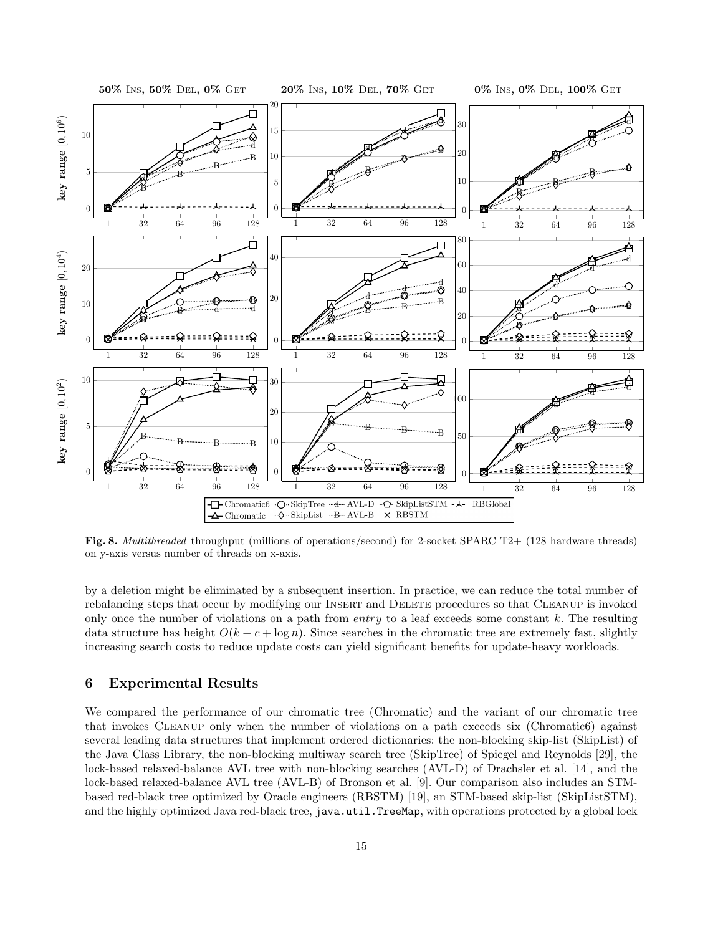

Fig. 8. Multithreaded throughput (millions of operations/second) for 2-socket SPARC T2+ (128 hardware threads) on y-axis versus number of threads on x-axis.

rebalancing steps that occur by modifying our INSERT and DELETE procedures so that CLEANUP is invoked only once the number of violations on a path from *entry* to a leaf exceeds some constant k. The resulting by a deletion might be eliminated by a subsequent insertion. In practice, we can reduce the total number of data structure has height  $O(k + c + \log n)$ . Since searches in the chromatic tree are extremely fast, slightly increasing search costs to reduce update costs can yield significant benefits for update-heavy workloads.

## 6 Experimental Results

 $\overline{a}$ several leading data structures that implement ordered dictionaries: the non-blocking skip-list (SkipList) of We compared the performance of our chromatic tree (Chromatic) and the variant of our chromatic tree that invokes Cleanup only when the number of violations on a path exceeds six (Chromatic6) against the Java Class Library, the non-blocking multiway search tree (SkipTree) of Spiegel and Reynolds [29], the lock-based relaxed-balance AVL tree with non-blocking searches (AVL-D) of Drachsler et al. [14], and the lock-based relaxed-balance AVL tree (AVL-B) of Bronson et al. [9]. Our comparison also includes an STMbased red-black tree optimized by Oracle engineers (RBSTM) [19], an STM-based skip-list (SkipListSTM), and the highly optimized Java red-black tree, java.util.TreeMap, with operations protected by a global lock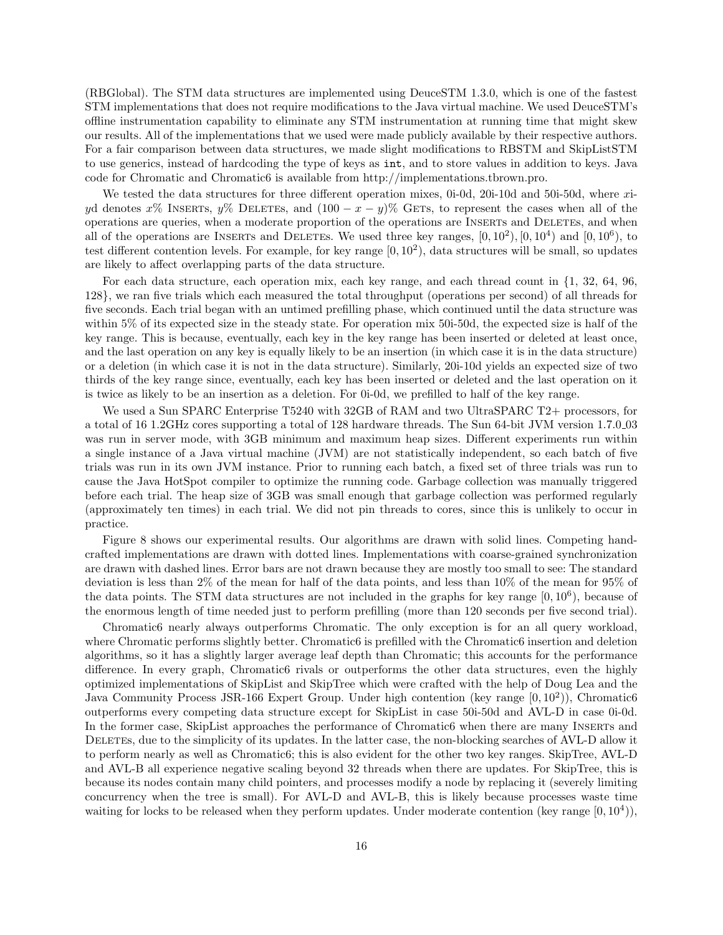(RBGlobal). The STM data structures are implemented using DeuceSTM 1.3.0, which is one of the fastest STM implementations that does not require modifications to the Java virtual machine. We used DeuceSTM's offline instrumentation capability to eliminate any STM instrumentation at running time that might skew our results. All of the implementations that we used were made publicly available by their respective authors. For a fair comparison between data structures, we made slight modifications to RBSTM and SkipListSTM to use generics, instead of hardcoding the type of keys as int, and to store values in addition to keys. Java code for Chromatic and Chromatic6 is available from http://implementations.tbrown.pro.

We tested the data structures for three different operation mixes, 0i-0d, 20i-10d and 50i-50d, where xiyd denotes x% INSERTS, y% DELETES, and  $(100 - x - y)$ % GETS, to represent the cases when all of the operations are queries, when a moderate proportion of the operations are Inserts and Deletes, and when all of the operations are INSERTs and DELETES. We used three key ranges,  $[0, 10^2)$ ,  $[0, 10^4)$  and  $[0, 10^6)$ , to test different contention levels. For example, for key range  $[0, 10^2)$ , data structures will be small, so updates are likely to affect overlapping parts of the data structure.

For each data structure, each operation mix, each key range, and each thread count in {1, 32, 64, 96, 128}, we ran five trials which each measured the total throughput (operations per second) of all threads for five seconds. Each trial began with an untimed prefilling phase, which continued until the data structure was within 5% of its expected size in the steady state. For operation mix 50i-50d, the expected size is half of the key range. This is because, eventually, each key in the key range has been inserted or deleted at least once, and the last operation on any key is equally likely to be an insertion (in which case it is in the data structure) or a deletion (in which case it is not in the data structure). Similarly, 20i-10d yields an expected size of two thirds of the key range since, eventually, each key has been inserted or deleted and the last operation on it is twice as likely to be an insertion as a deletion. For 0i-0d, we prefilled to half of the key range.

We used a Sun SPARC Enterprise T5240 with 32GB of RAM and two UltraSPARC T2+ processors, for a total of 16 1.2GHz cores supporting a total of 128 hardware threads. The Sun 64-bit JVM version 1.7.0 03 was run in server mode, with 3GB minimum and maximum heap sizes. Different experiments run within a single instance of a Java virtual machine (JVM) are not statistically independent, so each batch of five trials was run in its own JVM instance. Prior to running each batch, a fixed set of three trials was run to cause the Java HotSpot compiler to optimize the running code. Garbage collection was manually triggered before each trial. The heap size of 3GB was small enough that garbage collection was performed regularly (approximately ten times) in each trial. We did not pin threads to cores, since this is unlikely to occur in practice.

Figure 8 shows our experimental results. Our algorithms are drawn with solid lines. Competing handcrafted implementations are drawn with dotted lines. Implementations with coarse-grained synchronization are drawn with dashed lines. Error bars are not drawn because they are mostly too small to see: The standard deviation is less than 2% of the mean for half of the data points, and less than 10% of the mean for 95% of the data points. The STM data structures are not included in the graphs for key range  $[0, 10^6)$ , because of the enormous length of time needed just to perform prefilling (more than 120 seconds per five second trial).

Chromatic6 nearly always outperforms Chromatic. The only exception is for an all query workload, where Chromatic performs slightly better. Chromatic6 is prefilled with the Chromatic6 insertion and deletion algorithms, so it has a slightly larger average leaf depth than Chromatic; this accounts for the performance difference. In every graph, Chromatic6 rivals or outperforms the other data structures, even the highly optimized implementations of SkipList and SkipTree which were crafted with the help of Doug Lea and the Java Community Process JSR-166 Expert Group. Under high contention (key range  $[0, 10^2)$ ), Chromatic6 outperforms every competing data structure except for SkipList in case 50i-50d and AVL-D in case 0i-0d. In the former case, SkipList approaches the performance of Chromatic6 when there are many Inserts and DELETES, due to the simplicity of its updates. In the latter case, the non-blocking searches of AVL-D allow it to perform nearly as well as Chromatic6; this is also evident for the other two key ranges. SkipTree, AVL-D and AVL-B all experience negative scaling beyond 32 threads when there are updates. For SkipTree, this is because its nodes contain many child pointers, and processes modify a node by replacing it (severely limiting concurrency when the tree is small). For AVL-D and AVL-B, this is likely because processes waste time waiting for locks to be released when they perform updates. Under moderate contention (key range  $[0, 10^4)$ ),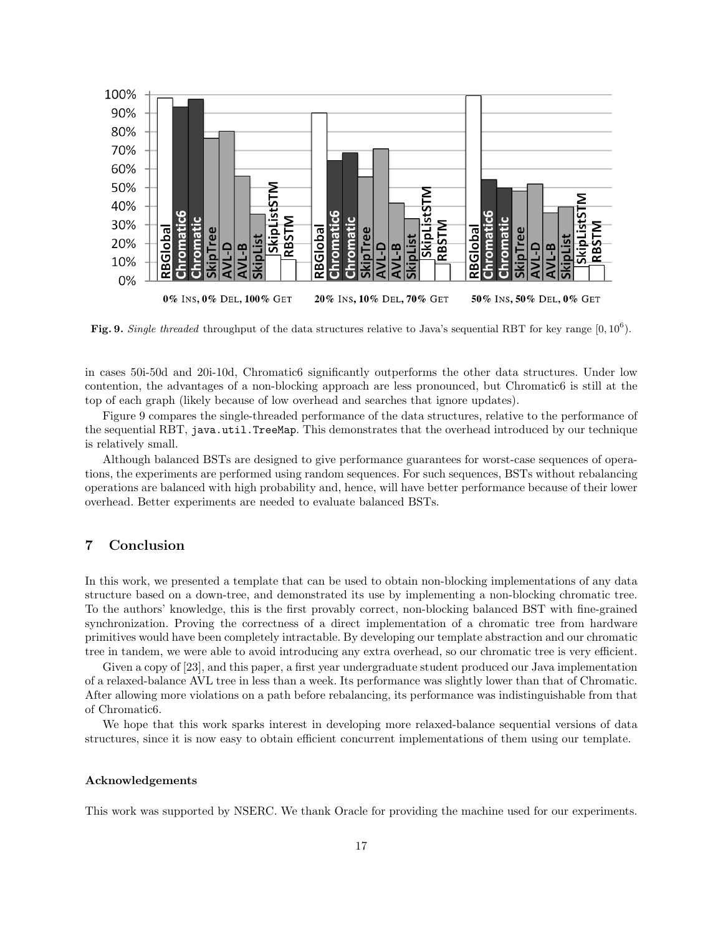

Fig. 9. Single threaded throughput of the data structures relative to Java's sequential RBT for key range  $[0, 10^6)$ .

in cases 50i-50d and 20i-10d, Chromatic6 significantly outperforms the other data structures. Under low contention, the advantages of a non-blocking approach are less pronounced, but Chromatic6 is still at the top of each graph (likely because of low overhead and searches that ignore updates).

Figure 9 compares the single-threaded performance of the data structures, relative to the performance of the sequential RBT, java.util.TreeMap. This demonstrates that the overhead introduced by our technique is relatively small.

Although balanced BSTs are designed to give performance guarantees for worst-case sequences of operations, the experiments are performed using random sequences. For such sequences, BSTs without rebalancing operations are balanced with high probability and, hence, will have better performance because of their lower overhead. Better experiments are needed to evaluate balanced BSTs.

# 7 Conclusion

In this work, we presented a template that can be used to obtain non-blocking implementations of any data structure based on a down-tree, and demonstrated its use by implementing a non-blocking chromatic tree. To the authors' knowledge, this is the first provably correct, non-blocking balanced BST with fine-grained synchronization. Proving the correctness of a direct implementation of a chromatic tree from hardware primitives would have been completely intractable. By developing our template abstraction and our chromatic tree in tandem, we were able to avoid introducing any extra overhead, so our chromatic tree is very efficient.

Given a copy of [23], and this paper, a first year undergraduate student produced our Java implementation of a relaxed-balance AVL tree in less than a week. Its performance was slightly lower than that of Chromatic. After allowing more violations on a path before rebalancing, its performance was indistinguishable from that of Chromatic6.

We hope that this work sparks interest in developing more relaxed-balance sequential versions of data structures, since it is now easy to obtain efficient concurrent implementations of them using our template.

### Acknowledgements

This work was supported by NSERC. We thank Oracle for providing the machine used for our experiments.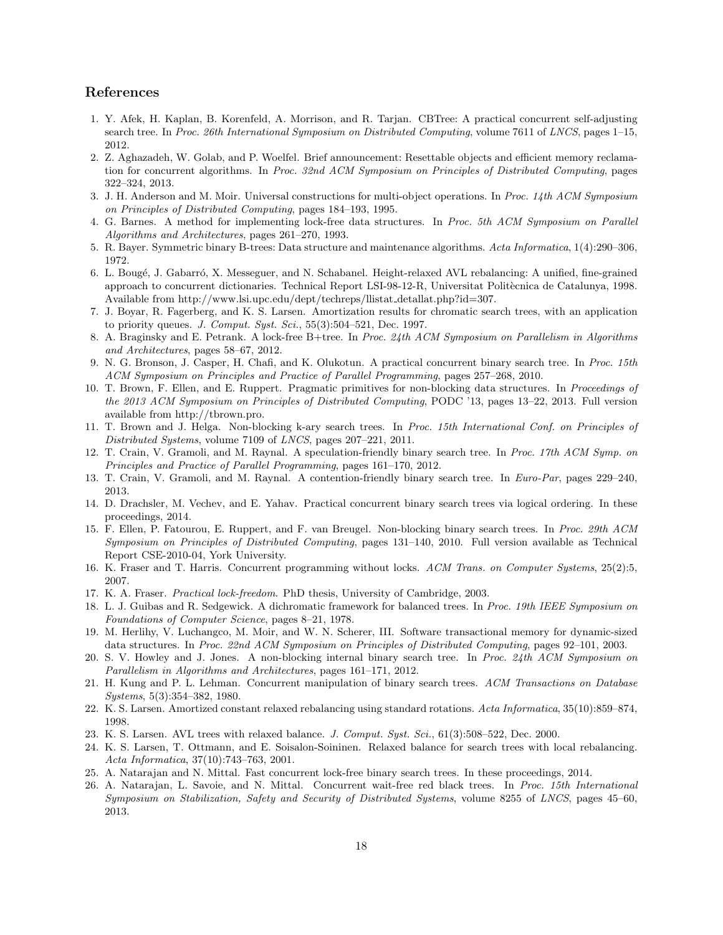# References

- 1. Y. Afek, H. Kaplan, B. Korenfeld, A. Morrison, and R. Tarjan. CBTree: A practical concurrent self-adjusting search tree. In Proc. 26th International Symposium on Distributed Computing, volume 7611 of LNCS, pages 1–15, 2012.
- 2. Z. Aghazadeh, W. Golab, and P. Woelfel. Brief announcement: Resettable objects and efficient memory reclamation for concurrent algorithms. In Proc. 32nd ACM Symposium on Principles of Distributed Computing, pages 322–324, 2013.
- 3. J. H. Anderson and M. Moir. Universal constructions for multi-object operations. In Proc. 14th ACM Symposium on Principles of Distributed Computing, pages 184–193, 1995.
- 4. G. Barnes. A method for implementing lock-free data structures. In Proc. 5th ACM Symposium on Parallel Algorithms and Architectures, pages 261–270, 1993.
- 5. R. Bayer. Symmetric binary B-trees: Data structure and maintenance algorithms. Acta Informatica, 1(4):290–306, 1972.
- 6. L. Bougé, J. Gabarró, X. Messeguer, and N. Schabanel. Height-relaxed AVL rebalancing: A unified, fine-grained approach to concurrent dictionaries. Technical Report LSI-98-12-R, Universitat Polit`ecnica de Catalunya, 1998. Available from http://www.lsi.upc.edu/dept/techreps/llistat detallat.php?id=307.
- 7. J. Boyar, R. Fagerberg, and K. S. Larsen. Amortization results for chromatic search trees, with an application to priority queues. J. Comput. Syst. Sci., 55(3):504–521, Dec. 1997.
- 8. A. Braginsky and E. Petrank. A lock-free B+tree. In Proc. 24th ACM Symposium on Parallelism in Algorithms and Architectures, pages 58–67, 2012.
- 9. N. G. Bronson, J. Casper, H. Chafi, and K. Olukotun. A practical concurrent binary search tree. In Proc. 15th ACM Symposium on Principles and Practice of Parallel Programming, pages 257–268, 2010.
- 10. T. Brown, F. Ellen, and E. Ruppert. Pragmatic primitives for non-blocking data structures. In Proceedings of the 2013 ACM Symposium on Principles of Distributed Computing, PODC '13, pages 13–22, 2013. Full version available from http://tbrown.pro.
- 11. T. Brown and J. Helga. Non-blocking k-ary search trees. In Proc. 15th International Conf. on Principles of Distributed Systems, volume 7109 of LNCS, pages 207-221, 2011.
- 12. T. Crain, V. Gramoli, and M. Raynal. A speculation-friendly binary search tree. In Proc. 17th ACM Symp. on Principles and Practice of Parallel Programming, pages 161–170, 2012.
- 13. T. Crain, V. Gramoli, and M. Raynal. A contention-friendly binary search tree. In Euro-Par, pages 229–240, 2013.
- 14. D. Drachsler, M. Vechev, and E. Yahav. Practical concurrent binary search trees via logical ordering. In these proceedings, 2014.
- 15. F. Ellen, P. Fatourou, E. Ruppert, and F. van Breugel. Non-blocking binary search trees. In Proc. 29th ACM Symposium on Principles of Distributed Computing, pages 131–140, 2010. Full version available as Technical Report CSE-2010-04, York University.
- 16. K. Fraser and T. Harris. Concurrent programming without locks. ACM Trans. on Computer Systems, 25(2):5, 2007.
- 17. K. A. Fraser. Practical lock-freedom. PhD thesis, University of Cambridge, 2003.
- 18. L. J. Guibas and R. Sedgewick. A dichromatic framework for balanced trees. In Proc. 19th IEEE Symposium on Foundations of Computer Science, pages 8–21, 1978.
- 19. M. Herlihy, V. Luchangco, M. Moir, and W. N. Scherer, III. Software transactional memory for dynamic-sized data structures. In Proc. 22nd ACM Symposium on Principles of Distributed Computing, pages 92–101, 2003.
- 20. S. V. Howley and J. Jones. A non-blocking internal binary search tree. In Proc. 24th ACM Symposium on Parallelism in Algorithms and Architectures, pages 161–171, 2012.
- 21. H. Kung and P. L. Lehman. Concurrent manipulation of binary search trees. ACM Transactions on Database Systems, 5(3):354–382, 1980.
- 22. K. S. Larsen. Amortized constant relaxed rebalancing using standard rotations. Acta Informatica, 35(10):859–874, 1998.
- 23. K. S. Larsen. AVL trees with relaxed balance. J. Comput. Syst. Sci., 61(3):508–522, Dec. 2000.
- 24. K. S. Larsen, T. Ottmann, and E. Soisalon-Soininen. Relaxed balance for search trees with local rebalancing. Acta Informatica, 37(10):743–763, 2001.
- 25. A. Natarajan and N. Mittal. Fast concurrent lock-free binary search trees. In these proceedings, 2014.
- 26. A. Natarajan, L. Savoie, and N. Mittal. Concurrent wait-free red black trees. In Proc. 15th International Symposium on Stabilization, Safety and Security of Distributed Systems, volume 8255 of LNCS, pages 45–60, 2013.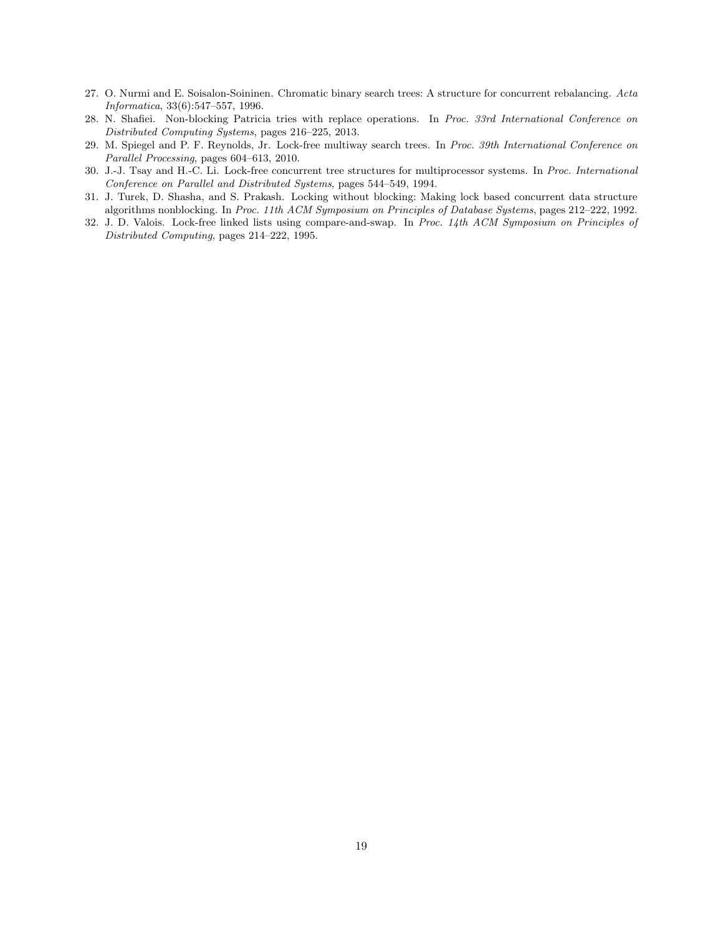- 27. O. Nurmi and E. Soisalon-Soininen. Chromatic binary search trees: A structure for concurrent rebalancing. Acta Informatica, 33(6):547–557, 1996.
- 28. N. Shafiei. Non-blocking Patricia tries with replace operations. In Proc. 33rd International Conference on Distributed Computing Systems, pages 216–225, 2013.
- 29. M. Spiegel and P. F. Reynolds, Jr. Lock-free multiway search trees. In Proc. 39th International Conference on Parallel Processing, pages 604–613, 2010.
- 30. J.-J. Tsay and H.-C. Li. Lock-free concurrent tree structures for multiprocessor systems. In Proc. International Conference on Parallel and Distributed Systems, pages 544–549, 1994.
- 31. J. Turek, D. Shasha, and S. Prakash. Locking without blocking: Making lock based concurrent data structure algorithms nonblocking. In Proc. 11th ACM Symposium on Principles of Database Systems, pages 212–222, 1992.
- 32. J. D. Valois. Lock-free linked lists using compare-and-swap. In Proc. 14th ACM Symposium on Principles of Distributed Computing, pages 214–222, 1995.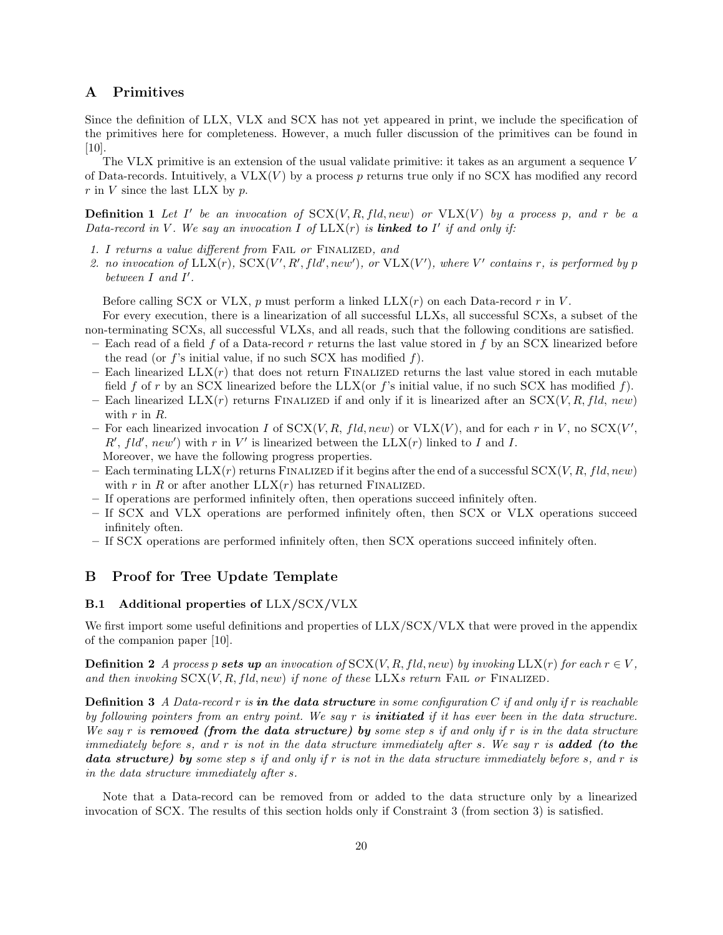# A Primitives

Since the definition of LLX, VLX and SCX has not yet appeared in print, we include the specification of the primitives here for completeness. However, a much fuller discussion of the primitives can be found in [10].

The VLX primitive is an extension of the usual validate primitive: it takes as an argument a sequence V of Data-records. Intuitively, a  $V L X(V)$  by a process p returns true only if no SCX has modified any record  $r$  in V since the last LLX by  $p$ .

**Definition 1** Let I' be an invocation of  $SCX(V, R, fld, new)$  or  $VLX(V)$  by a process p, and r be a Data-record in V. We say an invocation I of  $LLX(r)$  is **linked to** I' if and only if:

- 1. I returns a value different from FAIL or FINALIZED, and
- 2. no invocation of  $LLX(r)$ ,  $SCX(V', R', fld', new')$ , or  $VLX(V')$ , where V' contains r, is performed by p between  $I$  and  $I'$ .

Before calling SCX or VLX, p must perform a linked  $LLX(r)$  on each Data-record r in V.

For every execution, there is a linearization of all successful LLXs, all successful SCXs, a subset of the non-terminating SCXs, all successful VLXs, and all reads, such that the following conditions are satisfied.

- Each read of a field f of a Data-record r returns the last value stored in f by an SCX linearized before the read (or  $f$ 's initial value, if no such SCX has modified  $f$ ).
- Each linearized  $LLX(r)$  that does not return FINALIZED returns the last value stored in each mutable field f of r by an SCX linearized before the LLX(or f's initial value, if no such SCX has modified f).
- Each linearized  $LLX(r)$  returns FINALIZED if and only if it is linearized after an  $SCX(V, R, fld, new)$ with  $r$  in  $R$ .
- For each linearized invocation I of  $SCX(V, R, fld, new)$  or  $V LX(V)$ , and for each r in V, no  $SCX(V', R, fld, new)$  $R'$ , fld', new') with r in V' is linearized between the LLX(r) linked to I and I. Moreover, we have the following progress properties.
- Each terminating  $LLX(r)$  returns FINALIZED if it begins after the end of a successful  $SCX(V, R, fld, new)$ with r in R or after another  $LLX(r)$  has returned FINALIZED.
- If operations are performed infinitely often, then operations succeed infinitely often.
- If SCX and VLX operations are performed infinitely often, then SCX or VLX operations succeed infinitely often.
- If SCX operations are performed infinitely often, then SCX operations succeed infinitely often.

# B Proof for Tree Update Template

## B.1 Additional properties of LLX/SCX/VLX

We first import some useful definitions and properties of  $LLX/SCX/VLX$  that were proved in the appendix of the companion paper [10].

**Definition 2** A process p sets up an invocation of  $SCX(V, R, fd, new)$  by invoking LLX(r) for each  $r \in V$ , and then invoking  $SCX(V, R, fld, new)$  if none of these LLXs return FAIL or FINALIZED.

**Definition 3** A Data-record r is in the data structure in some configuration C if and only if r is reachable by following pointers from an entry point. We say r is **initiated** if it has ever been in the data structure. We say r is removed (from the data structure) by some step s if and only if r is in the data structure immediately before s, and r is not in the data structure immediately after s. We say r is **added (to the data structure)** by some step s if and only if r is not in the data structure immediately before s, and r is in the data structure immediately after s.

Note that a Data-record can be removed from or added to the data structure only by a linearized invocation of SCX. The results of this section holds only if Constraint 3 (from section 3) is satisfied.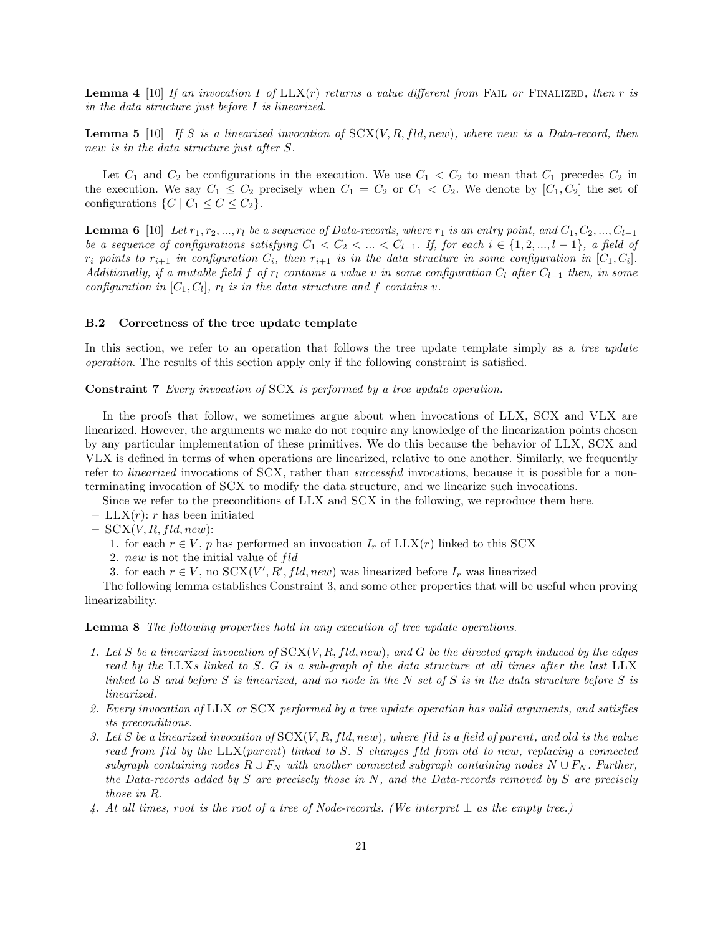**Lemma 4** [10] If an invocation I of  $LLX(r)$  returns a value different from FAIL or FINALIZED, then r is in the data structure just before I is linearized.

**Lemma 5** [10] If S is a linearized invocation of  $SCX(V, R, fd, new)$ , where new is a Data-record, then new is in the data structure just after S.

Let  $C_1$  and  $C_2$  be configurations in the execution. We use  $C_1 < C_2$  to mean that  $C_1$  precedes  $C_2$  in the execution. We say  $C_1 \leq C_2$  precisely when  $C_1 = C_2$  or  $C_1 < C_2$ . We denote by  $[C_1, C_2]$  the set of configurations  $\{C \mid C_1 \leq C \leq C_2\}.$ 

**Lemma 6** [10] Let  $r_1, r_2, ..., r_l$  be a sequence of Data-records, where  $r_1$  is an entry point, and  $C_1, C_2, ..., C_{l-1}$ be a sequence of configurations satisfying  $C_1 < C_2 < ... < C_{l-1}$ . If, for each  $i \in \{1, 2, ..., l-1\}$ , a field of  $r_i$  points to  $r_{i+1}$  in configuration  $C_i$ , then  $r_{i+1}$  is in the data structure in some configuration in  $[C_1, C_i]$ . Additionally, if a mutable field f of r<sub>l</sub> contains a value v in some configuration  $C_l$  after  $C_{l-1}$  then, in some configuration in  $[C_1, C_1]$ ,  $r_l$  is in the data structure and f contains v.

### B.2 Correctness of the tree update template

In this section, we refer to an operation that follows the tree update template simply as a *tree update* operation. The results of this section apply only if the following constraint is satisfied.

Constraint 7 Every invocation of SCX is performed by a tree update operation.

In the proofs that follow, we sometimes argue about when invocations of LLX, SCX and VLX are linearized. However, the arguments we make do not require any knowledge of the linearization points chosen by any particular implementation of these primitives. We do this because the behavior of LLX, SCX and VLX is defined in terms of when operations are linearized, relative to one another. Similarly, we frequently refer to *linearized* invocations of SCX, rather than *successful* invocations, because it is possible for a nonterminating invocation of SCX to modify the data structure, and we linearize such invocations.

Since we refer to the preconditions of LLX and SCX in the following, we reproduce them here.

- $LLX(r)$ : r has been initiated
- $-$  SCX(*V, R, fld, new*):
	- 1. for each  $r \in V$ , p has performed an invocation  $I_r$  of  $LLX(r)$  linked to this SCX
	- 2. new is not the initial value of fld
	- 3. for each  $r \in V$ , no  $SCX(V', R', fld, new)$  was linearized before  $I_r$  was linearized

The following lemma establishes Constraint 3, and some other properties that will be useful when proving linearizability.

Lemma 8 The following properties hold in any execution of tree update operations.

- 1. Let S be a linearized invocation of  $SCX(V, R, fld, new)$ , and G be the directed graph induced by the edges read by the LLXs linked to S. G is a sub-graph of the data structure at all times after the last LLX linked to S and before S is linearized, and no node in the N set of S is in the data structure before S is linearized.
- 2. Every invocation of LLX or SCX performed by a tree update operation has valid arguments, and satisfies its preconditions.
- 3. Let S be a linearized invocation of  $SCX(V, R, fld, new)$ , where fld is a field of parent, and old is the value read from fld by the LLX(parent) linked to S. S changes fld from old to new, replacing a connected subgraph containing nodes  $R \cup F_N$  with another connected subgraph containing nodes  $N \cup F_N$ . Further, the Data-records added by S are precisely those in  $N$ , and the Data-records removed by S are precisely those in R.
- 4. At all times, root is the root of a tree of Node-records. (We interpret  $\perp$  as the empty tree.)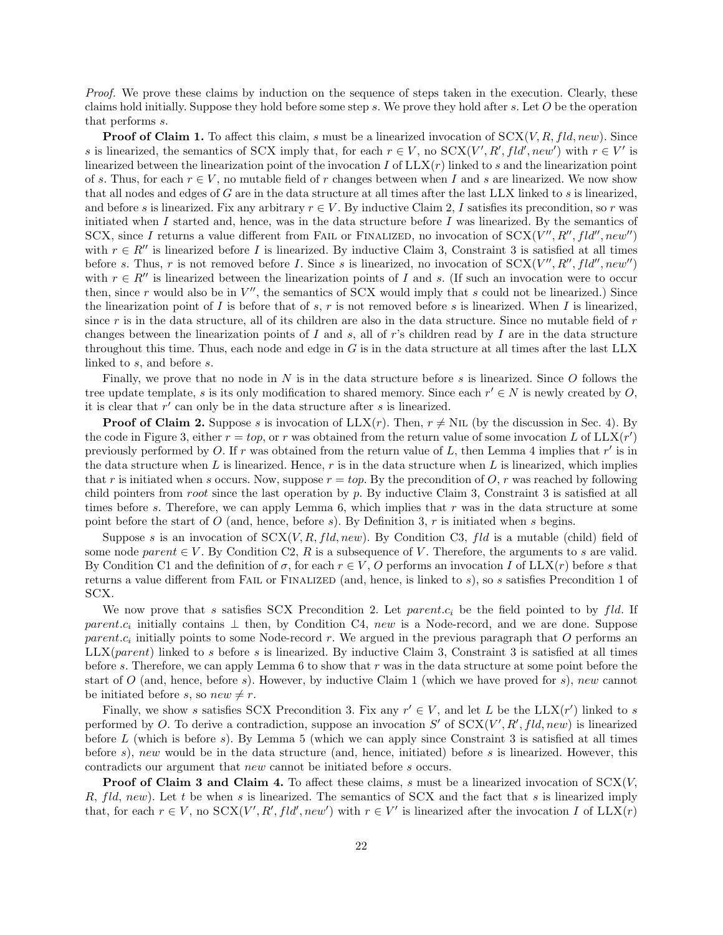Proof. We prove these claims by induction on the sequence of steps taken in the execution. Clearly, these claims hold initially. Suppose they hold before some step s. We prove they hold after s. Let  $O$  be the operation that performs s.

**Proof of Claim 1.** To affect this claim, s must be a linearized invocation of  $SCX(V, R, fld, new)$ . Since s is linearized, the semantics of SCX imply that, for each  $r \in V$ , no  $SCX(V', R', fld', new')$  with  $r \in V'$  is linearized between the linearization point of the invocation I of  $LLX(r)$  linked to s and the linearization point of s. Thus, for each  $r \in V$ , no mutable field of r changes between when I and s are linearized. We now show that all nodes and edges of G are in the data structure at all times after the last LLX linked to  $s$  is linearized, and before s is linearized. Fix any arbitrary  $r \in V$ . By inductive Claim 2, I satisfies its precondition, so r was initiated when I started and, hence, was in the data structure before I was linearized. By the semantics of SCX, since I returns a value different from FAIL or FINALIZED, no invocation of  $SCX(V'', R'', fld'', new'')$ with  $r \in R''$  is linearized before I is linearized. By inductive Claim 3, Constraint 3 is satisfied at all times before s. Thus, r is not removed before I. Since s is linearized, no invocation of  $SCX(V'', R'', fld'', new'')$ with  $r \in R''$  is linearized between the linearization points of I and s. (If such an invocation were to occur then, since r would also be in  $V''$ , the semantics of SCX would imply that s could not be linearized.) Since the linearization point of I is before that of s, r is not removed before s is linearized. When I is linearized, since r is in the data structure, all of its children are also in the data structure. Since no mutable field of  $r$ changes between the linearization points of I and s, all of r's children read by I are in the data structure throughout this time. Thus, each node and edge in  $G$  is in the data structure at all times after the last LLX linked to s, and before s.

Finally, we prove that no node in  $N$  is in the data structure before  $s$  is linearized. Since  $O$  follows the tree update template, s is its only modification to shared memory. Since each  $r' \in N$  is newly created by O, it is clear that  $r'$  can only be in the data structure after  $s$  is linearized.

**Proof of Claim 2.** Suppose s is invocation of  $LLX(r)$ . Then,  $r \neq NL$  (by the discussion in Sec. 4). By the code in Figure 3, either  $r = top$ , or r was obtained from the return value of some invocation L of  $LLX(r')$ previously performed by O. If r was obtained from the return value of  $L$ , then Lemma 4 implies that  $r'$  is in the data structure when  $L$  is linearized. Hence,  $r$  is in the data structure when  $L$  is linearized, which implies that r is initiated when s occurs. Now, suppose  $r = top$ . By the precondition of O, r was reached by following child pointers from root since the last operation by p. By inductive Claim 3, Constraint 3 is satisfied at all times before s. Therefore, we can apply Lemma 6, which implies that  $r$  was in the data structure at some point before the start of O (and, hence, before s). By Definition 3, r is initiated when s begins.

Suppose s is an invocation of  $SCX(V, R, fld, new)$ . By Condition C3, fld is a mutable (child) field of some node parent  $\in V$ . By Condition C2, R is a subsequence of V. Therefore, the arguments to s are valid. By Condition C1 and the definition of  $\sigma$ , for each  $r \in V$ , O performs an invocation I of LLX(r) before s that returns a value different from FAIL or FINALIZED (and, hence, is linked to  $s$ ), so  $s$  satisfies Precondition 1 of SCX.

We now prove that s satisfies SCX Precondition 2. Let  $parent.c_i$  be the field pointed to by fld. If parent.c<sub>i</sub> initially contains  $\perp$  then, by Condition C4, new is a Node-record, and we are done. Suppose parent. $c_i$  initially points to some Node-record r. We argued in the previous paragraph that O performs an  $LLX(parent)$  linked to s before s is linearized. By inductive Claim 3, Constraint 3 is satisfied at all times before s. Therefore, we can apply Lemma 6 to show that r was in the data structure at some point before the start of O (and, hence, before s). However, by inductive Claim 1 (which we have proved for s), new cannot be initiated before s, so  $new \neq r$ .

Finally, we show s satisfies SCX Precondition 3. Fix any  $r' \in V$ , and let L be the LLX $(r')$  linked to s performed by O. To derive a contradiction, suppose an invocation  $S'$  of  $SCX(V', R', fld, new)$  is linearized before L (which is before s). By Lemma 5 (which we can apply since Constraint 3 is satisfied at all times before s), new would be in the data structure (and, hence, initiated) before s is linearized. However, this contradicts our argument that new cannot be initiated before s occurs.

**Proof of Claim 3 and Claim 4.** To affect these claims, s must be a linearized invocation of  $SCX(V,$  $R, fld, new$ ). Let t be when s is linearized. The semantics of SCX and the fact that s is linearized imply that, for each  $r \in V$ , no  $SCX(V', R', fld', new')$  with  $r \in V'$  is linearized after the invocation I of LLX(r)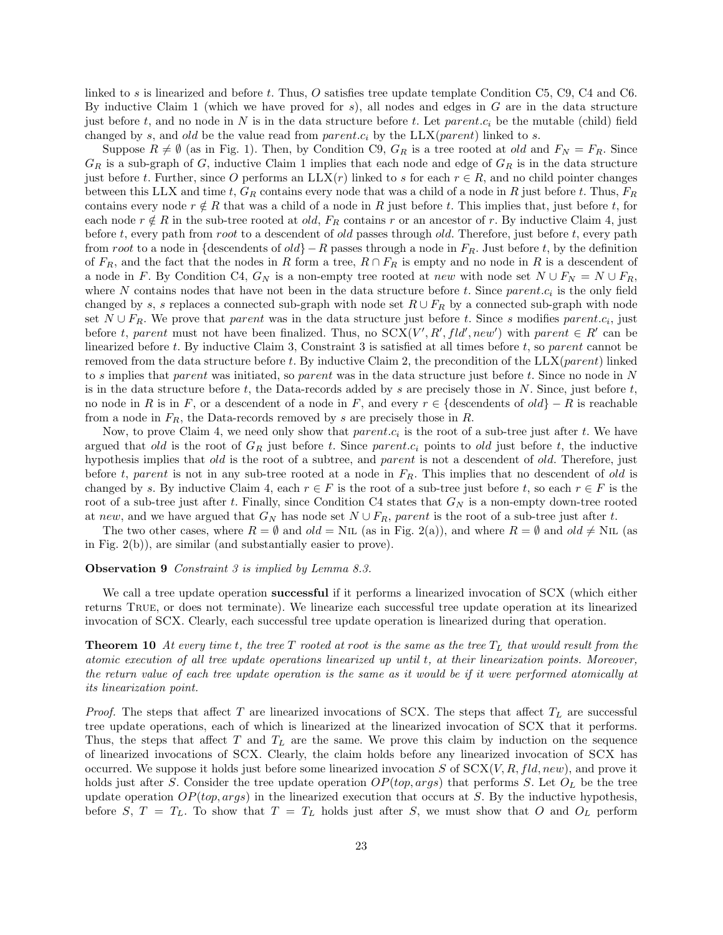linked to s is linearized and before t. Thus, O satisfies tree update template Condition C5, C9, C4 and C6. By inductive Claim 1 (which we have proved for  $s$ ), all nodes and edges in  $G$  are in the data structure just before t, and no node in N is in the data structure before t. Let  $parent.c_i$  be the mutable (child) field changed by s, and old be the value read from parent.  $c_i$  by the LLX(parent) linked to s.

Suppose  $R \neq \emptyset$  (as in Fig. 1). Then, by Condition C9,  $G_R$  is a tree rooted at *old* and  $F_N = F_R$ . Since  $G_R$  is a sub-graph of G, inductive Claim 1 implies that each node and edge of  $G_R$  is in the data structure just before t. Further, since O performs an  $LLX(r)$  linked to s for each  $r \in R$ , and no child pointer changes between this LLX and time t,  $G_R$  contains every node that was a child of a node in R just before t. Thus,  $F_R$ contains every node  $r \notin R$  that was a child of a node in R just before t. This implies that, just before t, for each node  $r \notin R$  in the sub-tree rooted at *old*,  $F_R$  contains r or an ancestor of r. By inductive Claim 4, just before t, every path from root to a descendent of old passes through old. Therefore, just before t, every path from root to a node in  ${descentents of old} - R$  passes through a node in  $F_R$ . Just before t, by the definition of  $F_R$ , and the fact that the nodes in R form a tree,  $R \cap F_R$  is empty and no node in R is a descendent of a node in F. By Condition C4,  $G_N$  is a non-empty tree rooted at new with node set  $N \cup F_N = N \cup F_R$ , where N contains nodes that have not been in the data structure before t. Since parent.  $c_i$  is the only field changed by s, s replaces a connected sub-graph with node set  $R \cup F_R$  by a connected sub-graph with node set  $N \cup F_R$ . We prove that parent was in the data structure just before t. Since s modifies parent.c<sub>i</sub>, just before t, parent must not have been finalized. Thus, no  $SCX(V', R', fld', new')$  with parent  $\in R'$  can be linearized before t. By inductive Claim 3, Constraint 3 is satisfied at all times before t, so parent cannot be removed from the data structure before t. By inductive Claim 2, the precondition of the  $LLX(parent)$  linked to s implies that parent was initiated, so parent was in the data structure just before t. Since no node in  $N$ is in the data structure before t, the Data-records added by s are precisely those in  $N$ . Since, just before t, no node in R is in F, or a descendent of a node in F, and every  $r \in \{\text{descendants of } old\} - R$  is reachable from a node in  $F_R$ , the Data-records removed by s are precisely those in R.

Now, to prove Claim 4, we need only show that  $parent.c_i$  is the root of a sub-tree just after t. We have argued that old is the root of  $G_R$  just before t. Since parent.c<sub>i</sub> points to old just before t, the inductive hypothesis implies that old is the root of a subtree, and parent is not a descendent of old. Therefore, just before t, parent is not in any sub-tree rooted at a node in  $F_R$ . This implies that no descendent of old is changed by s. By inductive Claim 4, each  $r \in F$  is the root of a sub-tree just before t, so each  $r \in F$  is the root of a sub-tree just after t. Finally, since Condition C4 states that  $G_N$  is a non-empty down-tree rooted at new, and we have argued that  $G_N$  has node set  $N \cup F_R$ , parent is the root of a sub-tree just after t.

The two other cases, where  $R = \emptyset$  and  $old = \text{NIL}$  (as in Fig. 2(a)), and where  $R = \emptyset$  and  $old \neq \text{NIL}$  (as in Fig. 2(b)), are similar (and substantially easier to prove).

### Observation 9 Constraint 3 is implied by Lemma 8.3.

We call a tree update operation **successful** if it performs a linearized invocation of SCX (which either returns True, or does not terminate). We linearize each successful tree update operation at its linearized invocation of SCX. Clearly, each successful tree update operation is linearized during that operation.

**Theorem 10** At every time t, the tree T rooted at root is the same as the tree  $T_L$  that would result from the atomic execution of all tree update operations linearized up until t, at their linearization points. Moreover, the return value of each tree update operation is the same as it would be if it were performed atomically at its linearization point.

*Proof.* The steps that affect T are linearized invocations of SCX. The steps that affect  $T_L$  are successful tree update operations, each of which is linearized at the linearized invocation of SCX that it performs. Thus, the steps that affect  $T$  and  $T<sub>L</sub>$  are the same. We prove this claim by induction on the sequence of linearized invocations of SCX. Clearly, the claim holds before any linearized invocation of SCX has occurred. We suppose it holds just before some linearized invocation S of  $SCX(V, R, fld, new)$ , and prove it holds just after S. Consider the tree update operation  $OP(top, args)$  that performs S. Let  $O_L$  be the tree update operation  $OP(top, args)$  in the linearized execution that occurs at S. By the inductive hypothesis, before S,  $T = T_L$ . To show that  $T = T_L$  holds just after S, we must show that O and  $O_L$  perform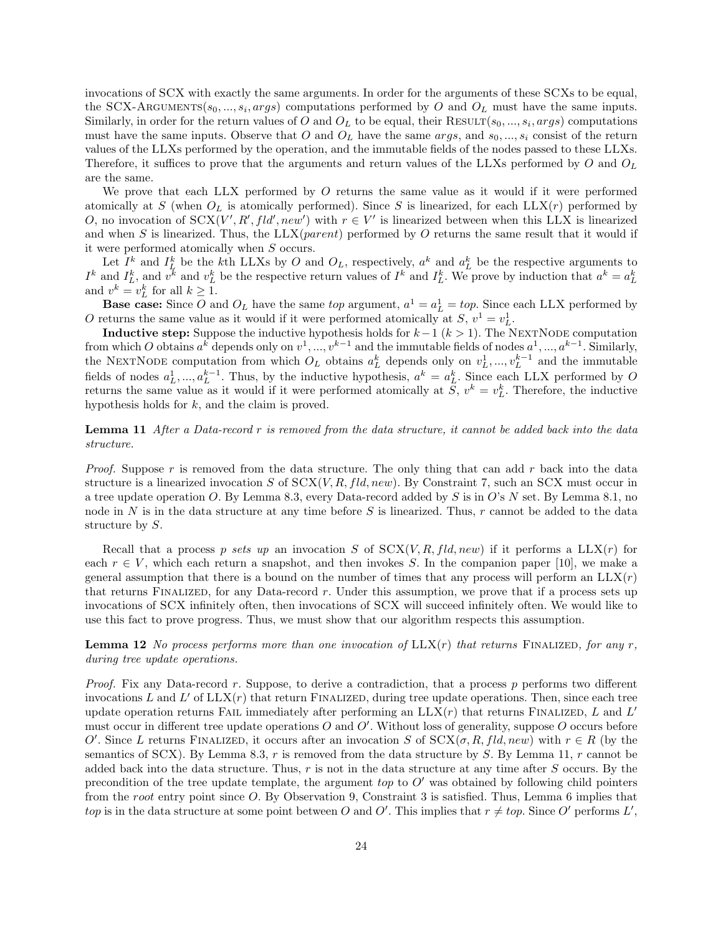invocations of SCX with exactly the same arguments. In order for the arguments of these SCXs to be equal, the SCX-ARGUMENTS( $s_0, ..., s_i, args$ ) computations performed by O and  $O_L$  must have the same inputs. Similarly, in order for the return values of O and  $O_L$  to be equal, their RESULT $(s_0, ..., s_i, args)$  computations must have the same inputs. Observe that O and  $O_L$  have the same args, and  $s_0, ..., s_i$  consist of the return values of the LLXs performed by the operation, and the immutable fields of the nodes passed to these LLXs. Therefore, it suffices to prove that the arguments and return values of the LLXs performed by O and  $O_L$ are the same.

We prove that each LLX performed by  $O$  returns the same value as it would if it were performed atomically at S (when  $O<sub>L</sub>$  is atomically performed). Since S is linearized, for each LLX(r) performed by O, no invocation of  $SCX(V', R', fld', new')$  with  $r \in V'$  is linearized between when this LLX is linearized and when S is linearized. Thus, the  $LLX(parent)$  performed by O returns the same result that it would if it were performed atomically when S occurs.

Let  $I^k$  and  $I^k$  be the kth LLXs by O and  $O_L$ , respectively,  $a^k$  and  $a^k$  be the respective arguments to  $I^k$  and  $I_L^k$ , and  $v^k$  and  $v^k_L$  be the respective return values of  $I^k$  and  $I_L^k$ . We prove by induction that  $a^k = a_L^k$ and  $v^k = v_L^k$  for all  $k \geq 1$ .

**Base case:** Since O and  $O_L$  have the same top argument,  $a^1 = a_L^1 = top$ . Since each LLX performed by O returns the same value as it would if it were performed atomically at  $S, v^1 = v_L^1$ .

**Inductive step:** Suppose the inductive hypothesis holds for  $k-1$  ( $k > 1$ ). The NEXTNODE computation from which O obtains  $a^k$  depends only on  $v^1, ..., v^{k-1}$  and the immutable fields of nodes  $a^1, ..., a^{k-1}$ . Similarly, the NEXTNODE computation from which  $O_L$  obtains  $a_L^k$  depends only on  $v_L^1, ..., v_L^{k-1}$  and the immutable fields of nodes  $a_L^1, ..., a_L^{k-1}$ . Thus, by the inductive hypothesis,  $a^k = a_L^k$ . Since each LLX performed by O returns the same value as it would if it were performed atomically at  $S, v^k = v_L^k$ . Therefore, the inductive hypothesis holds for k, and the claim is proved.

**Lemma 11** After a Data-record r is removed from the data structure, it cannot be added back into the data structure.

*Proof.* Suppose r is removed from the data structure. The only thing that can add r back into the data structure is a linearized invocation S of  $SCX(V, R, fld, new)$ . By Constraint 7, such an SCX must occur in a tree update operation O. By Lemma 8.3, every Data-record added by S is in O's N set. By Lemma 8.1, no node in  $N$  is in the data structure at any time before  $S$  is linearized. Thus,  $r$  cannot be added to the data structure by S.

Recall that a process p sets up an invocation S of  $SCX(V, R, fld, new)$  if it performs a  $LLX(r)$  for each  $r \in V$ , which each return a snapshot, and then invokes S. In the companion paper [10], we make a general assumption that there is a bound on the number of times that any process will perform an  $LLX(r)$ that returns FINALIZED, for any Data-record  $r$ . Under this assumption, we prove that if a process sets up invocations of SCX infinitely often, then invocations of SCX will succeed infinitely often. We would like to use this fact to prove progress. Thus, we must show that our algorithm respects this assumption.

**Lemma 12** No process performs more than one invocation of  $LLX(r)$  that returns FINALIZED, for any r, during tree update operations.

*Proof.* Fix any Data-record r. Suppose, to derive a contradiction, that a process p performs two different invocations  $L$  and  $L'$  of  $LLX(r)$  that return FINALIZED, during tree update operations. Then, since each tree update operation returns FAIL immediately after performing an  $LLX(r)$  that returns FINALIZED, L and L' must occur in different tree update operations  $O$  and  $O'$ . Without loss of generality, suppose  $O$  occurs before O'. Since L returns FINALIZED, it occurs after an invocation S of  $SCX(\sigma, R, fld, new)$  with  $r \in R$  (by the semantics of SCX). By Lemma 8.3, r is removed from the data structure by S. By Lemma 11, r cannot be added back into the data structure. Thus, r is not in the data structure at any time after S occurs. By the precondition of the tree update template, the argument top to  $O'$  was obtained by following child pointers from the root entry point since O. By Observation 9, Constraint 3 is satisfied. Thus, Lemma 6 implies that *top* is in the data structure at some point between O and O'. This implies that  $r \neq top$ . Since O' performs L',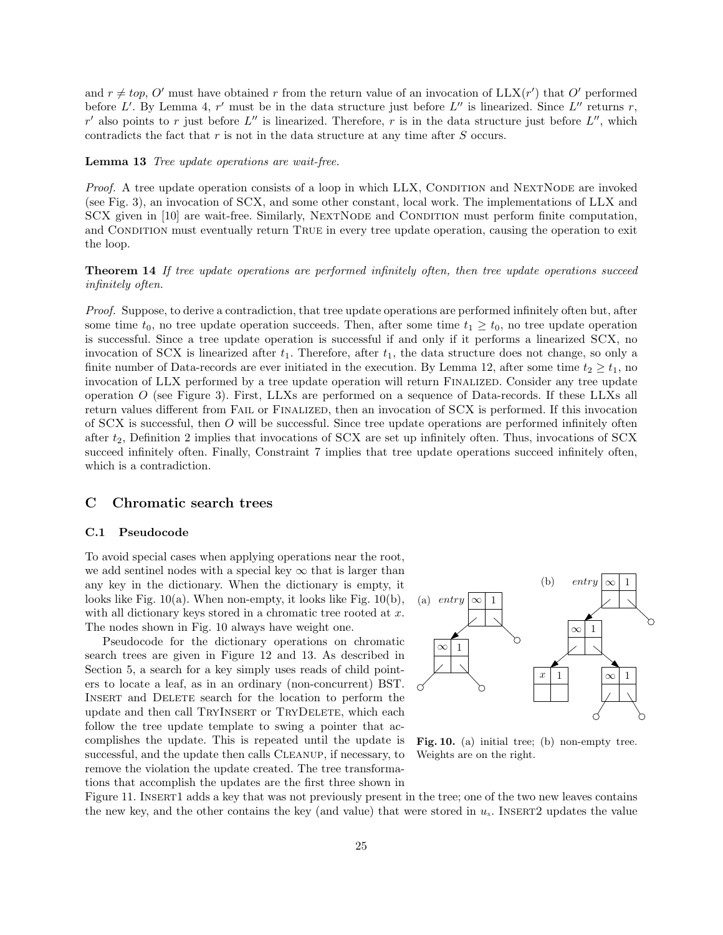and  $r \neq top$ , O' must have obtained r from the return value of an invocation of  $LLX(r')$  that O' performed before L'. By Lemma 4,  $r'$  must be in the data structure just before L'' is linearized. Since L'' returns r, r' also points to r just before  $L''$  is linearized. Therefore, r is in the data structure just before  $L''$ , which contradicts the fact that  $r$  is not in the data structure at any time after  $S$  occurs.

## Lemma 13 Tree update operations are wait-free.

Proof. A tree update operation consists of a loop in which LLX, CONDITION and NEXTNODE are invoked (see Fig. 3), an invocation of SCX, and some other constant, local work. The implementations of LLX and SCX given in [10] are wait-free. Similarly, NEXTNODE and CONDITION must perform finite computation, and CONDITION must eventually return TRUE in every tree update operation, causing the operation to exit the loop.

# Theorem 14 If tree update operations are performed infinitely often, then tree update operations succeed infinitely often.

Proof. Suppose, to derive a contradiction, that tree update operations are performed infinitely often but, after some time  $t_0$ , no tree update operation succeeds. Then, after some time  $t_1 \geq t_0$ , no tree update operation is successful. Since a tree update operation is successful if and only if it performs a linearized SCX, no invocation of SCX is linearized after  $t_1$ . Therefore, after  $t_1$ , the data structure does not change, so only a finite number of Data-records are ever initiated in the execution. By Lemma 12, after some time  $t_2 \geq t_1$ , no invocation of LLX performed by a tree update operation will return FINALIZED. Consider any tree update operation  $O$  (see Figure 3). First, LLXs are performed on a sequence of Data-records. If these LLXs all return values different from FAIL or FINALIZED, then an invocation of SCX is performed. If this invocation of SCX is successful, then O will be successful. Since tree update operations are performed infinitely often after  $t_2$ , Definition 2 implies that invocations of SCX are set up infinitely often. Thus, invocations of SCX succeed infinitely often. Finally, Constraint 7 implies that tree update operations succeed infinitely often, which is a contradiction.

## C Chromatic search trees

## C.1 Pseudocode

To avoid special cases when applying operations near the root, we add sentinel nodes with a special key  $\infty$  that is larger than any key in the dictionary. When the dictionary is empty, it looks like Fig. 10(a). When non-empty, it looks like Fig. 10(b), with all dictionary keys stored in a chromatic tree rooted at x. The nodes shown in Fig. 10 always have weight one.

Pseudocode for the dictionary operations on chromatic search trees are given in Figure 12 and 13. As described in Section 5, a search for a key simply uses reads of child pointers to locate a leaf, as in an ordinary (non-concurrent) BST. Insert and Delete search for the location to perform the update and then call TRYINSERT or TRYDELETE, which each follow the tree update template to swing a pointer that accomplishes the update. This is repeated until the update is successful, and the update then calls CLEANUP, if necessary, to remove the violation the update created. The tree transformations that accomplish the updates are the first three shown in



Fig. 10. (a) initial tree; (b) non-empty tree. Weights are on the right.

Figure 11. Insert1 adds a key that was not previously present in the tree; one of the two new leaves contains the new key, and the other contains the key (and value) that were stored in  $u_x$ . INSERT2 updates the value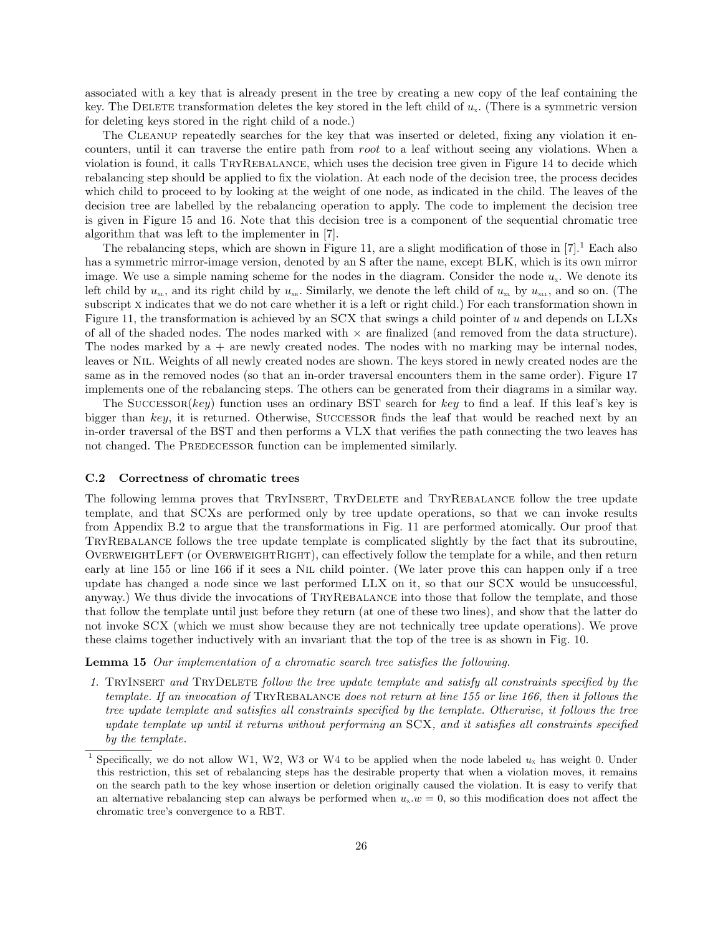associated with a key that is already present in the tree by creating a new copy of the leaf containing the key. The DELETE transformation deletes the key stored in the left child of  $u_x$ . (There is a symmetric version for deleting keys stored in the right child of a node.)

The Cleanup repeatedly searches for the key that was inserted or deleted, fixing any violation it encounters, until it can traverse the entire path from root to a leaf without seeing any violations. When a violation is found, it calls TryRebalance, which uses the decision tree given in Figure 14 to decide which rebalancing step should be applied to fix the violation. At each node of the decision tree, the process decides which child to proceed to by looking at the weight of one node, as indicated in the child. The leaves of the decision tree are labelled by the rebalancing operation to apply. The code to implement the decision tree is given in Figure 15 and 16. Note that this decision tree is a component of the sequential chromatic tree algorithm that was left to the implementer in [7].

The rebalancing steps, which are shown in Figure 11, are a slight modification of those in  $[7]^1$ . Each also has a symmetric mirror-image version, denoted by an S after the name, except BLK, which is its own mirror image. We use a simple naming scheme for the nodes in the diagram. Consider the node  $u<sub>x</sub>$ . We denote its left child by  $u_{\rm xu}$ , and its right child by  $u_{\rm xa}$ . Similarly, we denote the left child of  $u_{\rm xu}$  by  $u_{\rm xu}$ , and so on. (The subscript x indicates that we do not care whether it is a left or right child.) For each transformation shown in Figure 11, the transformation is achieved by an SCX that swings a child pointer of  $u$  and depends on LLXs of all of the shaded nodes. The nodes marked with  $\times$  are finalized (and removed from the data structure). The nodes marked by a + are newly created nodes. The nodes with no marking may be internal nodes, leaves or Nil. Weights of all newly created nodes are shown. The keys stored in newly created nodes are the same as in the removed nodes (so that an in-order traversal encounters them in the same order). Figure 17 implements one of the rebalancing steps. The others can be generated from their diagrams in a similar way.

The SUCCESSOR(key) function uses an ordinary BST search for key to find a leaf. If this leaf's key is bigger than key, it is returned. Otherwise, Successor finds the leaf that would be reached next by an in-order traversal of the BST and then performs a VLX that verifies the path connecting the two leaves has not changed. The PREDECESSOR function can be implemented similarly.

#### C.2 Correctness of chromatic trees

The following lemma proves that TRYINSERT, TRYDELETE and TRYREBALANCE follow the tree update template, and that SCXs are performed only by tree update operations, so that we can invoke results from Appendix B.2 to argue that the transformations in Fig. 11 are performed atomically. Our proof that TryRebalance follows the tree update template is complicated slightly by the fact that its subroutine, OverweightLeft (or OverweightRight), can effectively follow the template for a while, and then return early at line 155 or line 166 if it sees a NIL child pointer. (We later prove this can happen only if a tree update has changed a node since we last performed LLX on it, so that our SCX would be unsuccessful, anyway.) We thus divide the invocations of TRYREBALANCE into those that follow the template, and those that follow the template until just before they return (at one of these two lines), and show that the latter do not invoke SCX (which we must show because they are not technically tree update operations). We prove these claims together inductively with an invariant that the top of the tree is as shown in Fig. 10.

Lemma 15 Our implementation of a chromatic search tree satisfies the following.

1. TRYINSERT and TRYDELETE follow the tree update template and satisfy all constraints specified by the template. If an invocation of TryRebalance does not return at line 155 or line 166, then it follows the tree update template and satisfies all constraints specified by the template. Otherwise, it follows the tree update template up until it returns without performing an SCX, and it satisfies all constraints specified by the template.

<sup>&</sup>lt;sup>1</sup> Specifically, we do not allow W1, W2, W3 or W4 to be applied when the node labeled  $u_x$  has weight 0. Under this restriction, this set of rebalancing steps has the desirable property that when a violation moves, it remains on the search path to the key whose insertion or deletion originally caused the violation. It is easy to verify that an alternative rebalancing step can always be performed when  $u_x.w = 0$ , so this modification does not affect the chromatic tree's convergence to a RBT.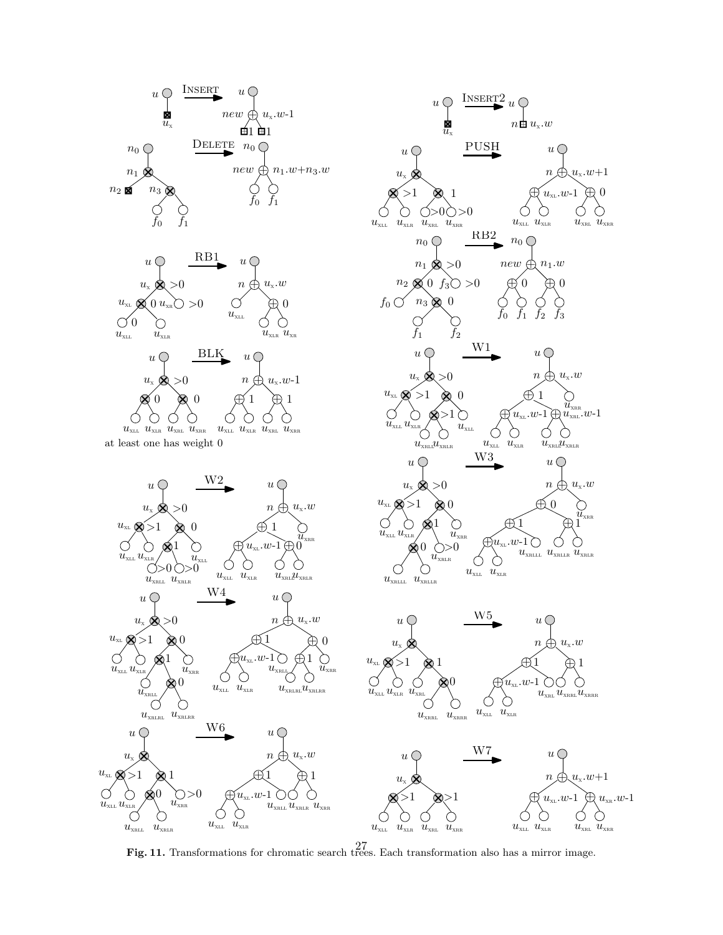

Fig. 11. Transformations for chromatic search trees. Each transformation also has a mirror image. <sup>27</sup>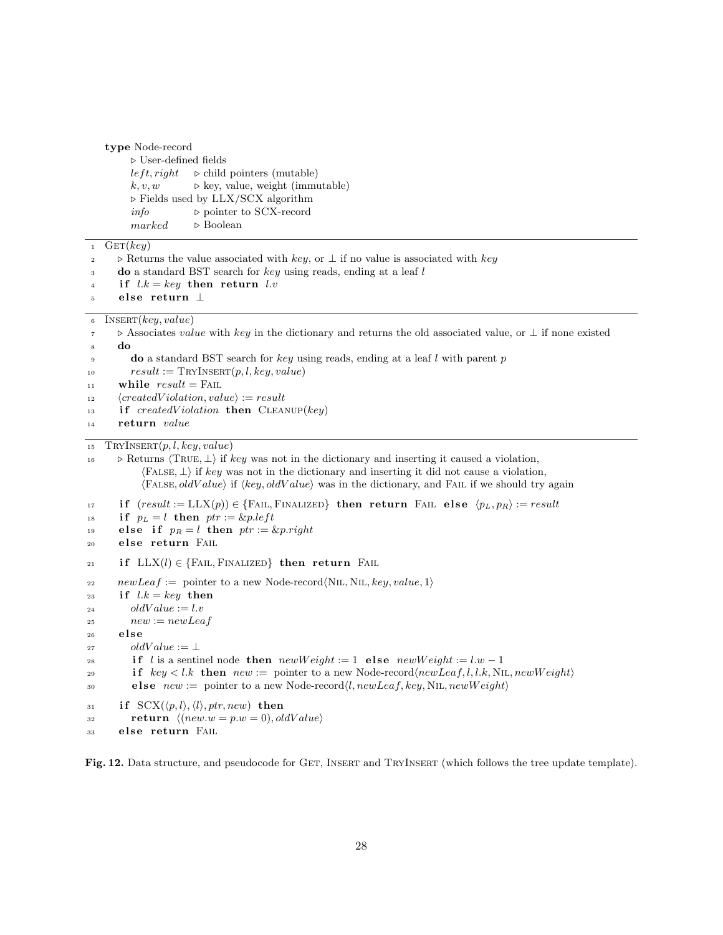|                     | type Node-record<br>$\triangleright$ User-defined fields<br>left, right<br>$\triangleright$ child pointers (mutable)                |  |  |  |  |
|---------------------|-------------------------------------------------------------------------------------------------------------------------------------|--|--|--|--|
|                     |                                                                                                                                     |  |  |  |  |
|                     |                                                                                                                                     |  |  |  |  |
|                     | $\rhd$ key, value, weight (immutable)<br>k, v, w                                                                                    |  |  |  |  |
|                     | $\triangleright$ Fields used by LLX/SCX algorithm                                                                                   |  |  |  |  |
|                     | $\triangleright$ pointer to SCX-record<br>info                                                                                      |  |  |  |  |
|                     | $\triangleright$ Boolean<br>marked                                                                                                  |  |  |  |  |
|                     |                                                                                                                                     |  |  |  |  |
| $\,1\,$             | GET(key)<br>$\triangleright$ Returns the value associated with key, or $\bot$ if no value is associated with key                    |  |  |  |  |
| $\overline{2}$      | do a standard BST search for $key$ using reads, ending at a leaf $l$                                                                |  |  |  |  |
| 3<br>$\overline{4}$ | if $l.k = key$ then return $l.v$                                                                                                    |  |  |  |  |
| 5                   | else return $\bot$                                                                                                                  |  |  |  |  |
|                     |                                                                                                                                     |  |  |  |  |
| 6                   | INSERT(key, value)                                                                                                                  |  |  |  |  |
| $\overline{7}$      | $\triangleright$ Associates value with key in the dictionary and returns the old associated value, or $\perp$ if none existed       |  |  |  |  |
| 8                   | do                                                                                                                                  |  |  |  |  |
| 9                   | <b>do</b> a standard BST search for key using reads, ending at a leaf $l$ with parent $p$                                           |  |  |  |  |
| 10                  | $result := \text{TRYINSERT}(p, l, key, value)$                                                                                      |  |  |  |  |
| 11                  | while $result = \text{FAIL}$                                                                                                        |  |  |  |  |
| 12                  | $\langle createdViolation, value \rangle := result$                                                                                 |  |  |  |  |
| 13                  | if createdViolation then CLEANUP(key)                                                                                               |  |  |  |  |
| 14                  | return value                                                                                                                        |  |  |  |  |
| $1\,5$              | TRYINSERT(p, l, key, value)                                                                                                         |  |  |  |  |
| 16                  | $\triangleright$ Returns $\langle \text{TRUE}, \perp \rangle$ if key was not in the dictionary and inserting it caused a violation, |  |  |  |  |
|                     | $\langle$ FALSE, $\perp$ if key was not in the dictionary and inserting it did not cause a violation,                               |  |  |  |  |
|                     | (FALSE, oldValue) if $\langle key, oldValue \rangle$ was in the dictionary, and FAIL if we should try again                         |  |  |  |  |
| 17                  | if $(result := LLX(p)) \in \{FAL, FINALIZED\}$ then return FAIL else $\langle p_L, p_R \rangle := result$                           |  |  |  |  |
| 18                  | if $p_L = l$ then $ptr := \&p.left$                                                                                                 |  |  |  |  |
| 19                  | else if $p_R = l$ then $ptr := \& pr right$                                                                                         |  |  |  |  |
| 20                  | else return FAIL                                                                                                                    |  |  |  |  |
| $2\sqrt{1}$         | if $LLX(l) \in \{FAIL, FINALIZED\}$ then return FAIL                                                                                |  |  |  |  |
| $^{\rm 22}$         | $newLeaf :=$ pointer to a new Node-record (NIL, NIL, key, value, 1)                                                                 |  |  |  |  |
| $^{\rm 23}$         | if $l.k = key$ then                                                                                                                 |  |  |  |  |
| 24                  | $oldValue := l.v$                                                                                                                   |  |  |  |  |
| 25                  | $new := newLeaf$                                                                                                                    |  |  |  |  |
| 26                  | else                                                                                                                                |  |  |  |  |
| 27                  | $oldValue := \bot$                                                                                                                  |  |  |  |  |
| 28                  | <b>if</b> l is a sentinel node then new Veight := 1 else new Veight := $l.w-1$                                                      |  |  |  |  |
| 29                  | <b>if</b> $key < l.k$ then $new :=$ pointer to a new Node-record (new Leaf, l, l, k, N <sub>IL</sub> , new Weight)                  |  |  |  |  |
| 30                  | else $new :=$ pointer to a new Node-record $\langle l, newLeaf, key, \text{NIL}, newWeight \rangle$                                 |  |  |  |  |
| $3\sqrt{1}$         | if $SCX(\langle p, l \rangle, \langle l \rangle, ptr, new)$ then                                                                    |  |  |  |  |
| 32                  | return $\langle (new.w = p.w = 0), oldValue \rangle$                                                                                |  |  |  |  |
| 33                  | else return FAIL                                                                                                                    |  |  |  |  |
|                     |                                                                                                                                     |  |  |  |  |

Fig. 12. Data structure, and pseudocode for GET, INSERT and TRYINSERT (which follows the tree update template).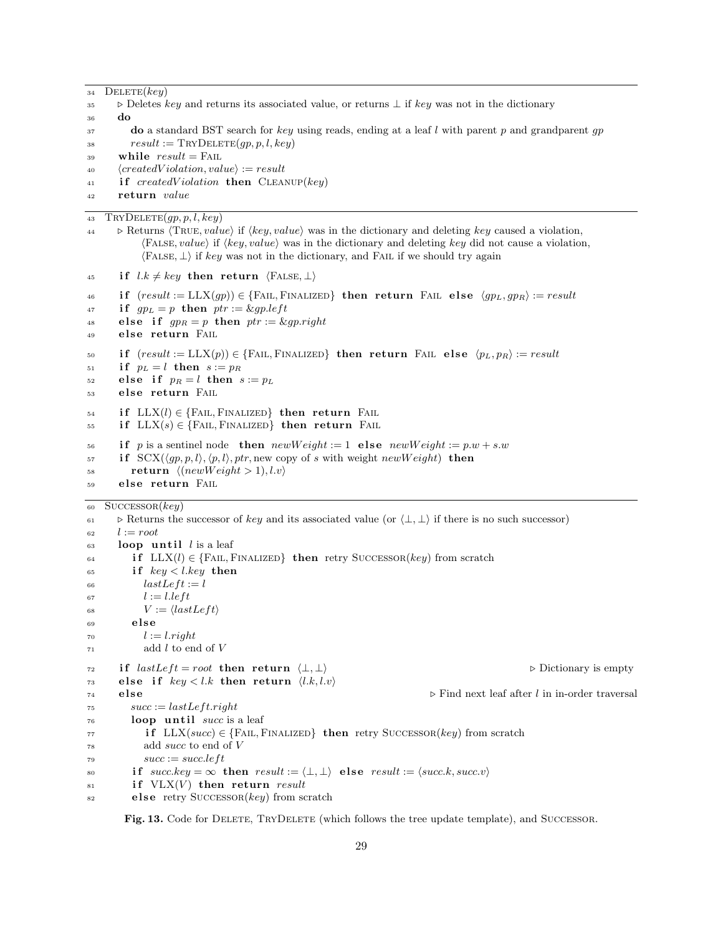34 DELETE $(key)$ 

- $\text{35}$  b Deletes key and returns its associated value, or returns ⊥ if key was not in the dictionary
- <sup>36</sup> do
- $37$  do a standard BST search for key using reads, ending at a leaf l with parent p and grandparent gp
- 38  $result := \text{TrYDELETE}(gp, p, l, key)$
- $39$  while  $result = \text{FAIL}$
- 40  $\langle createdViolation, value \rangle := result$
- 41 if  $createdViolation$  then  $CLEANUP(key)$
- <sup>42</sup> return value

```
43 TRYDELETE(qp, p, l, key)
```
 $\downarrow$ 44 . Returns (TRUE, value) if (key, value) was in the dictionary and deleting key caused a violation, (FALSE, value) if (key, value) was in the dictionary and deleting key did not cause a violation,  $\text{FALEE}, \perp$  if key was not in the dictionary, and FAIL if we should try again

```
45 if l.k \neq key then return \langleFALSE, ⊥\rangle
```

```
46 if (result := LLX(gp)) \in \{F \text{All}, F \text{INALIZED}\} then return FAIL else \langle gp_L, gp_R \rangle := result
```

```
47 if gp_L = p then ptr := \&gp.left48 else if gp_R = p then ptr := \& gp.right
```

```
49 else return FAIL
```

```
50 if (result := LLX(p)) \in \{FAIL, FINALIZED} then return FAIL else \langle p_L, p_R \rangle := result
```

```
51 if p_L = l then s := p_R
```

```
52 else if p_R = l then s := p_L
```

```
53 else return FAIL
```

```
54 if LLX(l) \in \{FAIL, FINALIZED\} then return FAIL
```

```
55 if LLX(s) \in \{FAIL, FINALIZED\} then return FAIL
```

```
56 if p is a sentinel node then newWeight := 1 else newWeight := p.w + s.w
```

```
57 if SCX(\langle gp, p, l \rangle, \langle p, l \rangle, ptr, new copy of s with weight newW eight) then
```

```
58 return \langle (newWeight > 1), l.v \rangle
```

```
59 else return FAIL
```

```
60 SUCCESSOR(key)
```

```
61 . Deturns the successor of key and its associated value (or \langle \perp, \perp \rangle if there is no such successor)
l := root63 loop until l is a leaf
64 if LLX(l) \in \{FAIL, FINALIZED\} then retry SUCCESSOR(key) from scratch
65 if key < l.key then
66 lastLeft := l67 l := l.left68 V := \langle lastLeft \rangle69 else
l := l.right71 add l to end of V
72 if lastLeft = root then return \langle \perp, \perp \rangle . Dictionary is empty
73 else if key < l.k then return \langle l.k, l.v \rangle\mathbb{R}^4 else . Example 1 else . Find next leaf after l in in-order traversal
_{75} succ := lastLeft.right76 loop until succ is a leaf
\mathbf{if} \text{ LLX}(succ) \in \{\text{FALL, FINALIZED}\} then retry Successor(key) from scratch
78 add succ to end of V
59 succ := succ.left
80 if succ-key = \infty then result := \langle \perp, \perp \rangle else result := \langle succ.k, succ.v \rangle81 if V L X(V) then return result
82 else retry \text{SUCCESSOR}(key) from scratch
```
Fig. 13. Code for DELETE, TRYDELETE (which follows the tree update template), and SUCCESSOR.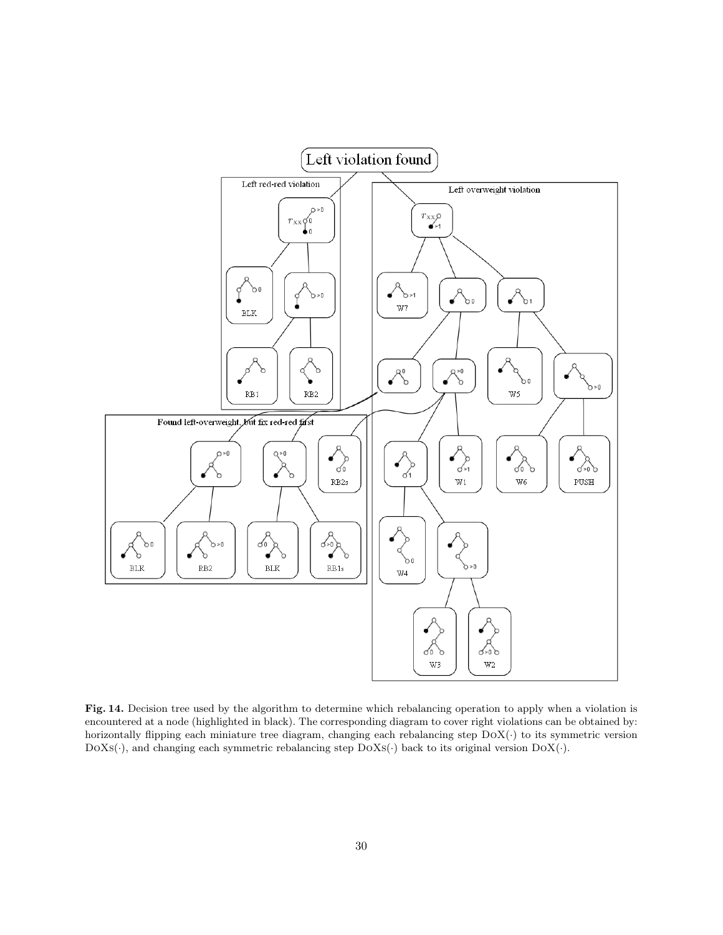

Fig. 14. Decision tree used by the algorithm to determine which rebalancing operation to apply when a violation is encountered at a node (highlighted in black). The corresponding diagram to cover right violations can be obtained by: horizontally flipping each miniature tree diagram, changing each rebalancing step  $Dox(\cdot)$  to its symmetric version  $DOX(s(\cdot))$ , and changing each symmetric rebalancing step  $DOX(s(\cdot))$  back to its original version  $DOX(\cdot)$ .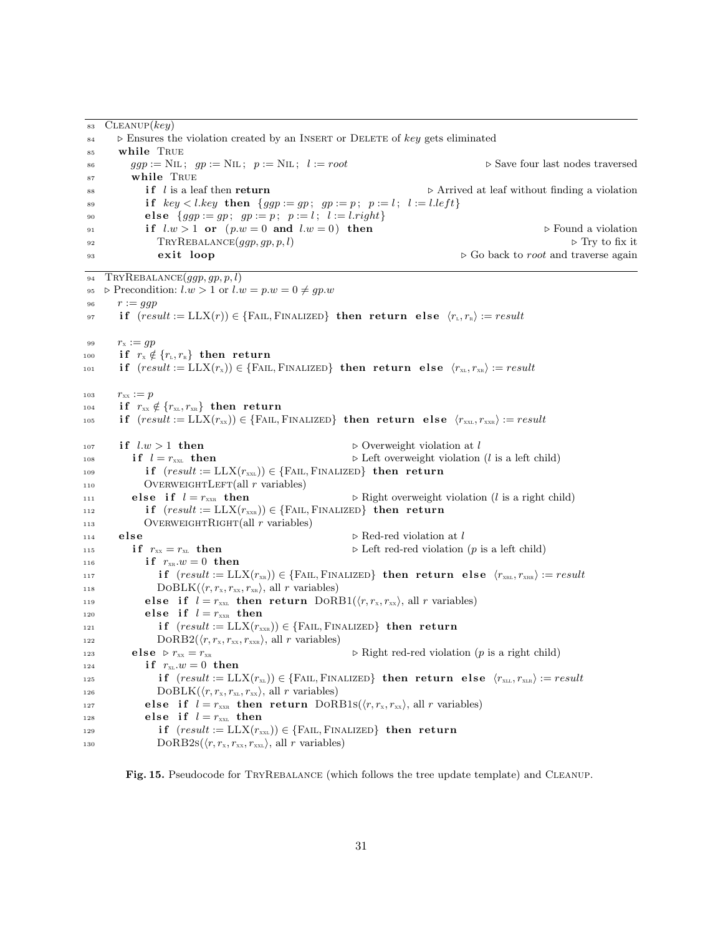83 CLEANUP $(key)$  $84 \rightarrow$  Ensures the violation created by an INSERT or DELETE of key gets eliminated <sup>85</sup> while True 86 ggp := NIL;  $gp := \text{NIL}$ ;  $p := \text{NIL}$ ;  $l := root$  .  $\triangleright$  Save four last nodes traversed <sup>87</sup> while True 88 if l is a leaf then return  $\triangleright$  Arrived at leaf without finding a violation 89 if  $key < l.key$  then  $\{ggp := gp; gp := p; p := l; l := l.left\}$ 90 else  ${ggp := gp; gp := p; p := l; l := l.right}$ 91 if  $l.w > 1$  or  $(p.w = 0 \text{ and } l.w = 0)$  then  $\triangleright$  Found a violation 92 TRYREBALANCE $(ggp, gp, p, l)$   $\triangleright$  Try to fix it 93 exit loop . Go back to root and traverse again 94 TRYREBALANCE $(ggp, gp, p, l)$ 95 > Precondition:  $l.w > 1$  or  $l.w = p.w = 0 \neq gp.w$ 96  $r := qqp$ 97 if  $(result := LLX(r)) \in \{FAIL, FINALIZED\}$  then return else  $\langle r_L, r_R \rangle := result$ 99  $r_x := qp$ 100 if  $r_x \notin \{r_{\text{\tiny L}}, r_{\text{\tiny R}}\}$  then return 101 if  $(result := LLX(r_{x})) \in \{FAIL, FINALIZED\}$  then return else  $\langle r_{x_L}, r_{x_R} \rangle := result$ 103  $r_{xx} := p$ 104 if  $r_{xx} \notin \{r_{xx}, r_{xx}\}\)$  then return 105 if  $(result := LLX(r_{xx})) \in \{FAIL, FINALIZED\}$  then return else  $\langle r_{xx}, r_{xxx} \rangle := result$  $107$  if  $l.w > 1$  then  $\triangleright$  Overweight violation at l 108 if  $l = r_{xx}$  then  $\triangleright$  Left overweight violation (l is a left child) 109 **if**  $(result := LLX(r_{xx}) \in \{FAL, FINALIZED\}$  then return 110  $\text{O}}\text{VERWEIGHTLEFT}(\text{all } r \text{ variables})$ 111 else if  $l = r_{x}$  then  $\triangleright$  Right overweight violation (l is a right child) 112 **if**  $(result := LLX(r_{xxR})) \in \{FAIL, FINALIZED\}$  then return  $113$  OVERWEIGHTRIGHT(all r variables) 114 **e l s e**  $\downarrow$  **e l s e**  $\downarrow$  **e**  $\downarrow$  **e**  $\downarrow$  **e**  $\downarrow$  **e**  $\downarrow$  **e**  $\downarrow$  **e**  $\downarrow$  **e**  $\downarrow$  **e**  $\downarrow$  **e**  $\downarrow$  **e**  $\downarrow$  **e**  $\downarrow$  **e**  $\downarrow$  **e**  $\downarrow$  **e**  $\downarrow$  **e**  $\downarrow$  **e**  $\downarrow$  **e**  $\downarrow$  **e**  $\downarrow$  **e** 115 if  $r_{xx} = r_{xx}$  then  $\triangleright$  Left red-red violation (p is a left child) 116 **if**  $r_{xR}.w = 0$  **then** 117 **if**  $(result := LLX(r_{\text{XR}}) \in \{FALL, FINALIZED\}$  then return else  $\langle r_{\text{XRL}}, r_{\text{XRR}} \rangle := result$ 118 DOBLK $(\langle r, r_x, r_{xx}, r_{xx}\rangle, \text{ all } r \text{ variables})$ 119 else if  $l = r_{\text{xxL}}$  then return  $\text{DoRB1}(\langle r, r_x, r_{xx} \rangle)$ , all r variables) 120 else if  $l = r_{\text{xxR}}$  then 121 **if**  $(result := LLX(r_{xxx})) \in \{FAIL, FINALIZED\}$  then return  $122 \qquad \qquad \text{DORB2}(\langle r, r_{\text{x}}, r_{\text{xx}}, r_{\text{xxx}} \rangle, \text{ all } r \text{ variables})$ 123 e l s e  $r_{xx} = r_{xx}$   $\triangleright$  Right red-red violation (p is a right child) 124 if  $r_{\text{\tiny{XL}}} \cdot w = 0$  then 125 **if**  $(result := LLX(r_{\text{XL}}) \in \{FALL, FINALIZED\}$  then return else  $\langle r_{\text{XLL}}, r_{\text{XLR}} \rangle := result$ 126 DOBLK $(\langle r, r_{\rm x}, r_{\rm xL}, r_{\rm xx}\rangle)$ , all r variables) 127 else if  $l = r_{xxx}$  then return  $\text{DoRB1s}(\langle r, r_x, r_{xx} \rangle)$ , all r variables) 128 else if  $l = r_{xx}$  then 129 **if**  $(result := LLX(r_{xxL})) \in \{FAIL, FINALIZED\}$  then return 130 DORB2s( $\langle r, r_{\rm x}, r_{\rm xx}, r_{\rm xxL}}\rangle$ , all r variables)

Fig. 15. Pseudocode for TryRebalance (which follows the tree update template) and Cleanup.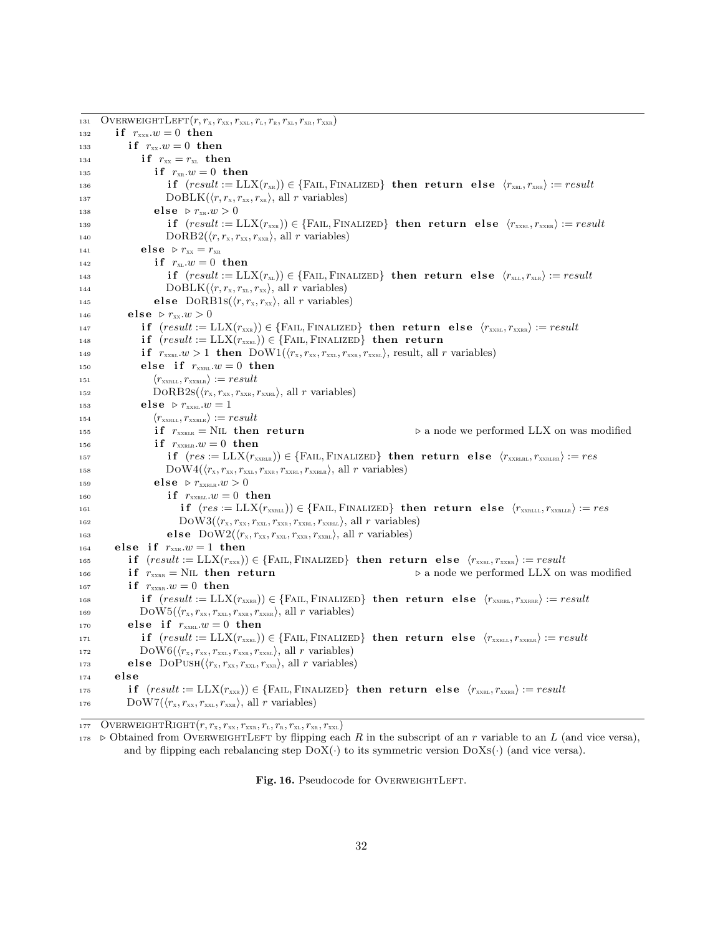| 131        | OVERWEIGHTLEFT $(r, r_{\rm x}, r_{\rm xx}, r_{\rm xx}, r_{\rm L}, r_{\rm R}, r_{\rm XL}, r_{\rm xx}, r_{\rm xxR}, r_{\rm xxR})$                                                          |
|------------|------------------------------------------------------------------------------------------------------------------------------------------------------------------------------------------|
| 132        | if $r_{\text{xxR}}.w=0$ then                                                                                                                                                             |
| 133        | if $r_{xx}.w=0$ then                                                                                                                                                                     |
| 134        | if $r_{xx} = r_{xx}$ then                                                                                                                                                                |
| 135        | if $r_{xx} w = 0$ then                                                                                                                                                                   |
| 136        | if $(result := LLX(r_{xx})) \in \{FAIL, FINALIZED\}$ then return else $\langle r_{x_{RL}}, r_{x_{RR}} \rangle := result$                                                                 |
| 137        | $DOBLK(\langle r, r_{x}, r_{xx}, r_{xx}\rangle)$ , all r variables)                                                                                                                      |
| 138        | else $\triangleright r_{\scriptscriptstyle \text{XR}}.w > 0$                                                                                                                             |
| 139        | if $(result := LLX(r_{xx}) \in \{FAIL, FINALIZED\}$ then return else $\langle r_{xxn}, r_{xxn}\rangle := result$                                                                         |
| 140        | $DORB2({\langle}r, r_{x}, r_{xx}, r_{xxR}}),$ all r variables)                                                                                                                           |
| 141        | else $\triangleright r_{xx} = r_{xx}$                                                                                                                                                    |
| 142        | if $r_{\text{\tiny{NL}}} \cdot w = 0$ then                                                                                                                                               |
| 143        | if $(result := LLX(r_{xL})) \in \{FALL, FINALIZED\}$ then return else $\langle r_{xLL}, r_{xLR} \rangle := result$                                                                       |
| 144        | $DOBLK(\langle r, r_{x}, r_{xx}, r_{xx}\rangle)$ , all r variables)                                                                                                                      |
| 145        | else DORB1s( $\langle r, r_{x}, r_{xx} \rangle$ , all r variables)                                                                                                                       |
| 146        | else $\triangleright r_{xx}.w > 0$                                                                                                                                                       |
| 147        | if $(result := LLX(r_{xxx})) \in \{FAIL, FINALIZED\}$ then return else $\langle r_{xx\mu}, r_{xx\mu}\rangle := result$                                                                   |
| 148        | if $(result := LLX(r_{\text{xxAL}})) \in \{ \text{FAIL}, \text{FINALIZED} \}$ then return                                                                                                |
| 149        | if $r_{\text{xx}_{\text{RL}}} \cdot w > 1$ then $\text{DOW1}(\langle r_{\text{x}}, r_{\text{xx}}, r_{\text{xx}_{\text{L}}}, r_{\text{xx}_{\text{RL}}}\rangle$ , result, all r variables) |
| 150        | else if $r_{\text{xxra}}.w=0$ then                                                                                                                                                       |
| 151        | $\langle r_{\text{\tiny{XXRLL}}}, r_{\text{\tiny{XXRLR}}}\rangle := result$                                                                                                              |
| 152        | $\text{DoRB2s}(\langle r_{x}, r_{xx}, r_{xxx}, r_{xxxx}\rangle)$ , all r variables)                                                                                                      |
| 153        | else $\triangleright r_{\text{xxRL}}.w = 1$                                                                                                                                              |
| 154        | $\langle r_{\text{\tiny{XXRLL}}}, r_{\text{\tiny{XXRLR}}}\rangle := result$                                                                                                              |
| 155        | if $r_{xxxx} = \text{NIL}$ then return<br>$\triangleright$ a node we performed LLX on was modified                                                                                       |
| 156        | if $r_{\text{xxrln}}.w=0$ then                                                                                                                                                           |
| 157        | if $(res := LLX(r_{x,x\text{R},R})) \in \{FALL, FINALIZED\}$ then return else $\langle r_{x,x\text{R},LR}, r_{x,x\text{R},RR}\rangle := res$                                             |
| 158        | $\text{DOW4}(\langle r_{\rm x}, r_{\rm xx}, r_{\rm xxL}, r_{\rm xxR}, r_{\rm xxRL}, r_{\rm xxRLR}}\rangle)$ , all r variables)                                                           |
| 159        | else $\triangleright r_{\text{xxrl},w}>0$                                                                                                                                                |
| 160        | if $r_{\text{xxRL}}.w=0$ then                                                                                                                                                            |
| 161        | if $(res := LLX(r_{xxRLL})) \in \{FALL, FINALIZED\}$ then return else $\langle r_{xxRLLL}, r_{xxRLLR} \rangle := res$                                                                    |
| 162        | $\text{DOW3}(\langle r_{\rm x}, r_{\rm xx}, r_{\rm xxL}, r_{\rm xxR}, r_{\rm xxRL}, r_{\rm xxRLL}}\rangle)$ , all r variables)                                                           |
| 163        | else DoW2( $\langle r_{x}, r_{xx}, r_{xxL}, r_{xxR}, r_{xxR}\rangle$ , all r variables)                                                                                                  |
| 164        | else if $r_{xxx}.w=1$ then                                                                                                                                                               |
| 165        | if $(result := LLX(r_{xxx})) \in \{FAIL, FINALIZED\}$ then return else $\langle r_{xx\text{RL}}, r_{xx\text{RR}} \rangle := result$                                                      |
| 166        | if $r_{xxxx} = \text{NIL}$ then return<br>$\triangleright$ a node we performed LLX on was modified                                                                                       |
| 167        | if $r_{xxxx}.w=0$ then                                                                                                                                                                   |
| 168        | if $(result := LLX(r_{xxRR})) \in \{FALL, FINALIZED\}$ then return else $\langle r_{xxRRL}, r_{xxRRR} \rangle := result$                                                                 |
| 169        | $\text{DOW5}(\langle r_{\rm x}, r_{\rm xx}, r_{\rm xxL}, r_{\rm xxR}, r_{\rm xxRR}\rangle)$ , all r variables)                                                                           |
| 170        | else if $r_{xxxx}.w=0$ then                                                                                                                                                              |
|            | if $(result := LLX(r_{xxRL})) \in \{FAIL, FINALIZED\}$ then return else $\langle r_{xxRLL}, r_{xxRLR}\rangle := result$                                                                  |
| 171        | $\text{DoW6}(\langle r_{\rm x}, r_{\rm xx}, r_{\rm xxL}, r_{\rm xxR}, r_{\rm xxRL}}\rangle)$ , all r variables)                                                                          |
| 172<br>173 | else DOPUSH( $\langle r_x, r_{xx}, r_{xx} \rangle$ , all r variables)                                                                                                                    |
|            | else                                                                                                                                                                                     |
| 174        | if $(result := LLX(r_{xxx})) \in \{FAIL, FINALIZED\}$ then return else $\langle r_{xxxx} , r_{xxxx} \rangle := result$                                                                   |
| 175<br>176 | $\text{DOW7}(\langle r_{\rm x}, r_{\rm xx}, r_{\rm xxL}, r_{\rm xxR}}\rangle)$ , all r variables)                                                                                        |
|            |                                                                                                                                                                                          |

177 OVERWEIGHT $\text{RIGHT}(r, r_x, r_{xx}, r_{xx}, r_{r_x}, r_{x_x}, r_{x_x}, r_{xx}, r_{xx})$ 

 D Obtained from OVERWEIGHTLEFT by flipping each R in the subscript of an r variable to an L (and vice versa), and by flipping each rebalancing step  $DoX(\cdot)$  to its symmetric version  $DoXs(\cdot)$  (and vice versa).

Fig. 16. Pseudocode for OVERWEIGHTLEFT.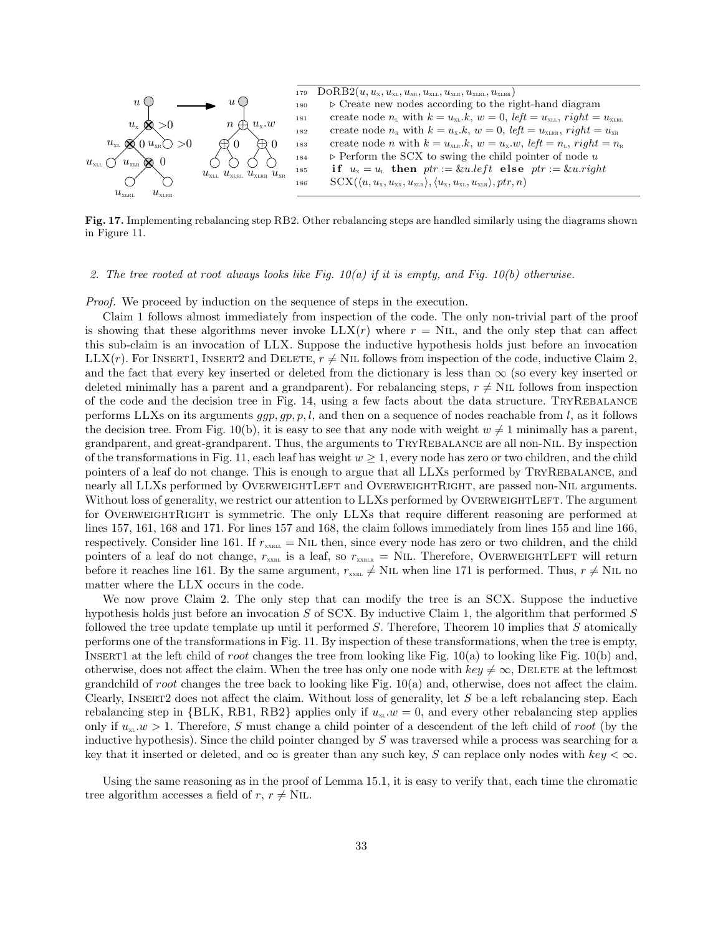

Fig. 17. Implementing rebalancing step RB2. Other rebalancing steps are handled similarly using the diagrams shown in Figure 11.

## 2. The tree rooted at root always looks like Fig.  $10(a)$  if it is empty, and Fig. 10(b) otherwise.

Proof. We proceed by induction on the sequence of steps in the execution.

Claim 1 follows almost immediately from inspection of the code. The only non-trivial part of the proof is showing that these algorithms never invoke  $LLX(r)$  where  $r = NIL$ , and the only step that can affect this sub-claim is an invocation of LLX. Suppose the inductive hypothesis holds just before an invocation LLX $(r)$ . For INSERT1, INSERT2 and DELETE,  $r \neq$  NIL follows from inspection of the code, inductive Claim 2, and the fact that every key inserted or deleted from the dictionary is less than  $\infty$  (so every key inserted or deleted minimally has a parent and a grandparent). For rebalancing steps,  $r \neq \text{NL}$  follows from inspection of the code and the decision tree in Fig. 14, using a few facts about the data structure. TryRebalance performs LLXs on its arguments  $ggp, gp, p, l$ , and then on a sequence of nodes reachable from l, as it follows the decision tree. From Fig. 10(b), it is easy to see that any node with weight  $w \neq 1$  minimally has a parent, grandparent, and great-grandparent. Thus, the arguments to TryRebalance are all non-Nil. By inspection of the transformations in Fig. 11, each leaf has weight  $w > 1$ , every node has zero or two children, and the child pointers of a leaf do not change. This is enough to argue that all LLXs performed by TRYREBALANCE, and nearly all LLXs performed by OVERWEIGHTLEFT and OVERWEIGHTRIGHT, are passed non-NIL arguments. Without loss of generality, we restrict our attention to LLXs performed by OVERWEIGHTLEFT. The argument for OVERWEIGHTRIGHT is symmetric. The only LLXs that require different reasoning are performed at lines 157, 161, 168 and 171. For lines 157 and 168, the claim follows immediately from lines 155 and line 166, respectively. Consider line 161. If  $r_{x,xuL} = NIL$  then, since every node has zero or two children, and the child pointers of a leaf do not change,  $r_{\text{xxRL}}$  is a leaf, so  $r_{\text{xxRLR}} = \text{NIL}$ . Therefore, OVERWEIGHTLEFT will return before it reaches line 161. By the same argument,  $r_{\text{xxrL}} \neq \text{NIL}$  when line 171 is performed. Thus,  $r \neq \text{NIL}$  no matter where the LLX occurs in the code.

We now prove Claim 2. The only step that can modify the tree is an SCX. Suppose the inductive hypothesis holds just before an invocation  $S$  of SCX. By inductive Claim 1, the algorithm that performed  $S$ followed the tree update template up until it performed  $S$ . Therefore, Theorem 10 implies that  $S$  atomically performs one of the transformations in Fig. 11. By inspection of these transformations, when the tree is empty, INSERT1 at the left child of root changes the tree from looking like Fig.  $10(a)$  to looking like Fig.  $10(b)$  and, otherwise, does not affect the claim. When the tree has only one node with  $key \neq \infty$ , DELETE at the leftmost grandchild of root changes the tree back to looking like Fig.  $10(a)$  and, otherwise, does not affect the claim. Clearly, Insert2 does not affect the claim. Without loss of generality, let S be a left rebalancing step. Each rebalancing step in {BLK, RB1, RB2} applies only if  $u_{xx}.w = 0$ , and every other rebalancing step applies only if  $u_{x_i} \ll v > 1$ . Therefore, S must change a child pointer of a descendent of the left child of root (by the inductive hypothesis). Since the child pointer changed by S was traversed while a process was searching for a key that it inserted or deleted, and  $\infty$  is greater than any such key, S can replace only nodes with key  $\lt \infty$ .

Using the same reasoning as in the proof of Lemma 15.1, it is easy to verify that, each time the chromatic tree algorithm accesses a field of  $r, r \neq \text{NIL}$ .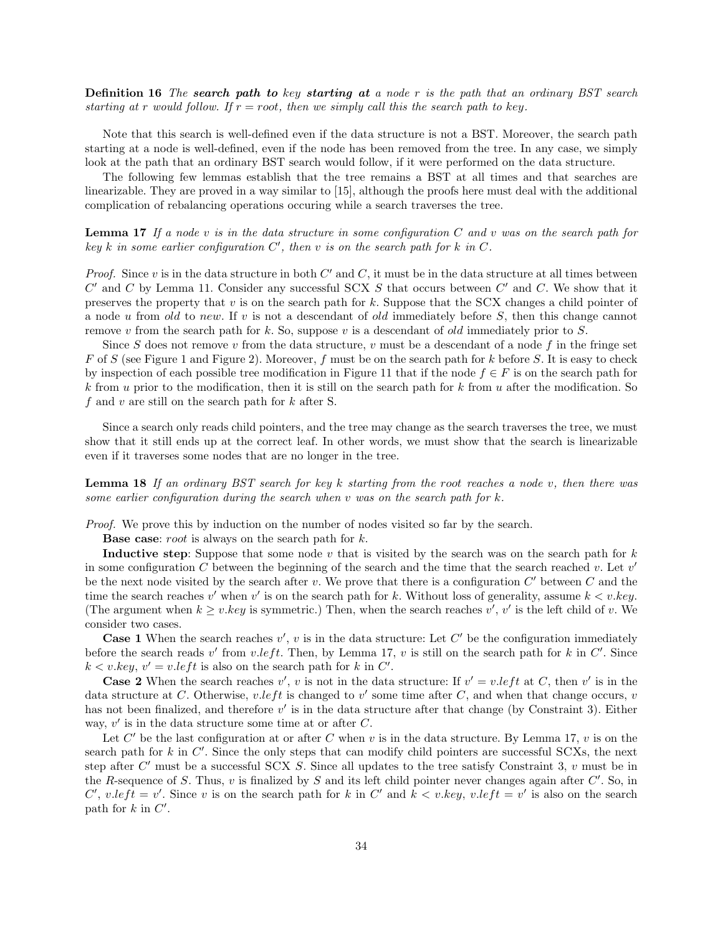**Definition 16** The **search path to** key **starting at** a node r is the path that an ordinary BST search starting at r would follow. If  $r = root$ , then we simply call this the search path to key.

Note that this search is well-defined even if the data structure is not a BST. Moreover, the search path starting at a node is well-defined, even if the node has been removed from the tree. In any case, we simply look at the path that an ordinary BST search would follow, if it were performed on the data structure.

The following few lemmas establish that the tree remains a BST at all times and that searches are linearizable. They are proved in a way similar to [15], although the proofs here must deal with the additional complication of rebalancing operations occuring while a search traverses the tree.

**Lemma 17** If a node v is in the data structure in some configuration  $C$  and v was on the search path for key k in some earlier configuration  $C'$ , then v is on the search path for k in  $C$ .

Proof. Since  $v$  is in the data structure in both  $C'$  and  $C$ , it must be in the data structure at all times between  $C'$  and  $C$  by Lemma 11. Consider any successful SCX  $S$  that occurs between  $C'$  and  $C$ . We show that it preserves the property that  $v$  is on the search path for k. Suppose that the SCX changes a child pointer of a node u from old to new. If v is not a descendant of old immediately before  $S$ , then this change cannot remove v from the search path for k. So, suppose v is a descendant of old immediately prior to S.

Since S does not remove v from the data structure, v must be a descendant of a node f in the fringe set F of S (see Figure 1 and Figure 2). Moreover, f must be on the search path for k before S. It is easy to check by inspection of each possible tree modification in Figure 11 that if the node  $f \in F$  is on the search path for k from u prior to the modification, then it is still on the search path for k from u after the modification. So f and v are still on the search path for  $k$  after S.

Since a search only reads child pointers, and the tree may change as the search traverses the tree, we must show that it still ends up at the correct leaf. In other words, we must show that the search is linearizable even if it traverses some nodes that are no longer in the tree.

**Lemma 18** If an ordinary BST search for key k starting from the root reaches a node v, then there was some earlier configuration during the search when  $v$  was on the search path for  $k$ .

Proof. We prove this by induction on the number of nodes visited so far by the search.

**Base case:** root is always on the search path for  $k$ .

**Inductive step:** Suppose that some node v that is visited by the search was on the search path for  $k$ in some configuration C between the beginning of the search and the time that the search reached v. Let  $v'$ be the next node visited by the search after v. We prove that there is a configuration  $C'$  between  $C$  and the time the search reaches v' when v' is on the search path for k. Without loss of generality, assume  $k < v. key$ . (The argument when  $k \geq v \cdot key$  is symmetric.) Then, when the search reaches  $v'$ ,  $v'$  is the left child of v. We consider two cases.

**Case 1** When the search reaches  $v'$ ,  $v$  is in the data structure: Let  $C'$  be the configuration immediately before the search reads v' from v.left. Then, by Lemma 17, v is still on the search path for k in  $C'$ . Since  $k < v \tkey, v' = v \tleftarrow t$  is also on the search path for k in C'.

**Case 2** When the search reaches v', v is not in the data structure: If  $v' = v.left$  at C, then v' is in the data structure at C. Otherwise,  $v.left$  is changed to  $v'$  some time after C, and when that change occurs,  $v$ has not been finalized, and therefore  $v'$  is in the data structure after that change (by Constraint 3). Either way,  $v'$  is in the data structure some time at or after  $C$ .

Let  $C'$  be the last configuration at or after C when v is in the data structure. By Lemma 17, v is on the search path for  $k$  in  $C'$ . Since the only steps that can modify child pointers are successful SCXs, the next step after  $C'$  must be a successful SCX  $S$ . Since all updates to the tree satisfy Constraint 3,  $v$  must be in the R-sequence of S. Thus,  $v$  is finalized by S and its left child pointer never changes again after  $C'$ . So, in C', v.left = v'. Since v is on the search path for k in C' and  $k < v.key$ , v.left = v' is also on the search path for  $k$  in  $C'$ .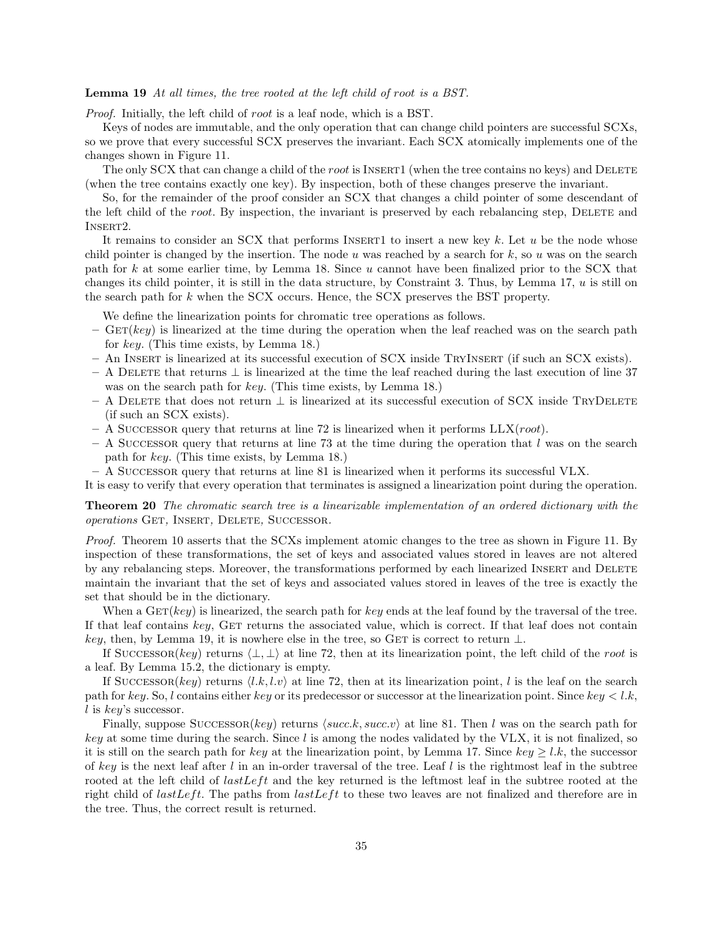#### Lemma 19 At all times, the tree rooted at the left child of root is a BST.

Proof. Initially, the left child of root is a leaf node, which is a BST.

Keys of nodes are immutable, and the only operation that can change child pointers are successful SCXs, so we prove that every successful SCX preserves the invariant. Each SCX atomically implements one of the changes shown in Figure 11.

The only SCX that can change a child of the root is INSERT1 (when the tree contains no keys) and DELETE (when the tree contains exactly one key). By inspection, both of these changes preserve the invariant.

So, for the remainder of the proof consider an SCX that changes a child pointer of some descendant of the left child of the root. By inspection, the invariant is preserved by each rebalancing step, DELETE and INSERT2.

It remains to consider an SCX that performs INSERT1 to insert a new key  $k$ . Let  $u$  be the node whose child pointer is changed by the insertion. The node u was reached by a search for k, so u was on the search path for k at some earlier time, by Lemma 18. Since u cannot have been finalized prior to the SCX that changes its child pointer, it is still in the data structure, by Constraint 3. Thus, by Lemma 17, u is still on the search path for k when the SCX occurs. Hence, the SCX preserves the BST property.

We define the linearization points for chromatic tree operations as follows.

- $-$  GET(key) is linearized at the time during the operation when the leaf reached was on the search path for key. (This time exists, by Lemma 18.)
- An Insert is linearized at its successful execution of SCX inside TryInsert (if such an SCX exists).
- $-$  A DELETE that returns  $\perp$  is linearized at the time the leaf reached during the last execution of line 37 was on the search path for *key*. (This time exists, by Lemma 18.)
- $-$  A DELETE that does not return  $\perp$  is linearized at its successful execution of SCX inside TRYDELETE (if such an SCX exists).
- $-$  A SUCCESSOR query that returns at line 72 is linearized when it performs  $LLX(root)$ .
- $-$  A SUCCESSOR query that returns at line 73 at the time during the operation that  $l$  was on the search path for key. (This time exists, by Lemma 18.)
- A Successor query that returns at line 81 is linearized when it performs its successful VLX.

It is easy to verify that every operation that terminates is assigned a linearization point during the operation.

Theorem 20 The chromatic search tree is a linearizable implementation of an ordered dictionary with the operations GET, INSERT, DELETE, SUCCESSOR.

Proof. Theorem 10 asserts that the SCXs implement atomic changes to the tree as shown in Figure 11. By inspection of these transformations, the set of keys and associated values stored in leaves are not altered by any rebalancing steps. Moreover, the transformations performed by each linearized INSERT and DELETE maintain the invariant that the set of keys and associated values stored in leaves of the tree is exactly the set that should be in the dictionary.

When a  $GET(key)$  is linearized, the search path for key ends at the leaf found by the traversal of the tree. If that leaf contains key, GET returns the associated value, which is correct. If that leaf does not contain key, then, by Lemma 19, it is nowhere else in the tree, so GET is correct to return  $\perp$ .

If SUCCESSOR(key) returns  $\langle \perp, \perp \rangle$  at line 72, then at its linearization point, the left child of the root is a leaf. By Lemma 15.2, the dictionary is empty.

If SUCCESSOR(key) returns  $\langle l.k, l.v \rangle$  at line 72, then at its linearization point, l is the leaf on the search path for key. So, l contains either key or its predecessor or successor at the linearization point. Since key  $\lt l.k$ , l is key's successor.

Finally, suppose SUCCESSOR(key) returns  $\langle succ.k, succ.v \rangle$  at line 81. Then l was on the search path for key at some time during the search. Since l is among the nodes validated by the VLX, it is not finalized, so it is still on the search path for key at the linearization point, by Lemma 17. Since key  $\geq l.k$ , the successor of key is the next leaf after l in an in-order traversal of the tree. Leaf l is the rightmost leaf in the subtree rooted at the left child of *lastLeft* and the key returned is the leftmost leaf in the subtree rooted at the right child of *lastLeft*. The paths from *lastLeft* to these two leaves are not finalized and therefore are in the tree. Thus, the correct result is returned.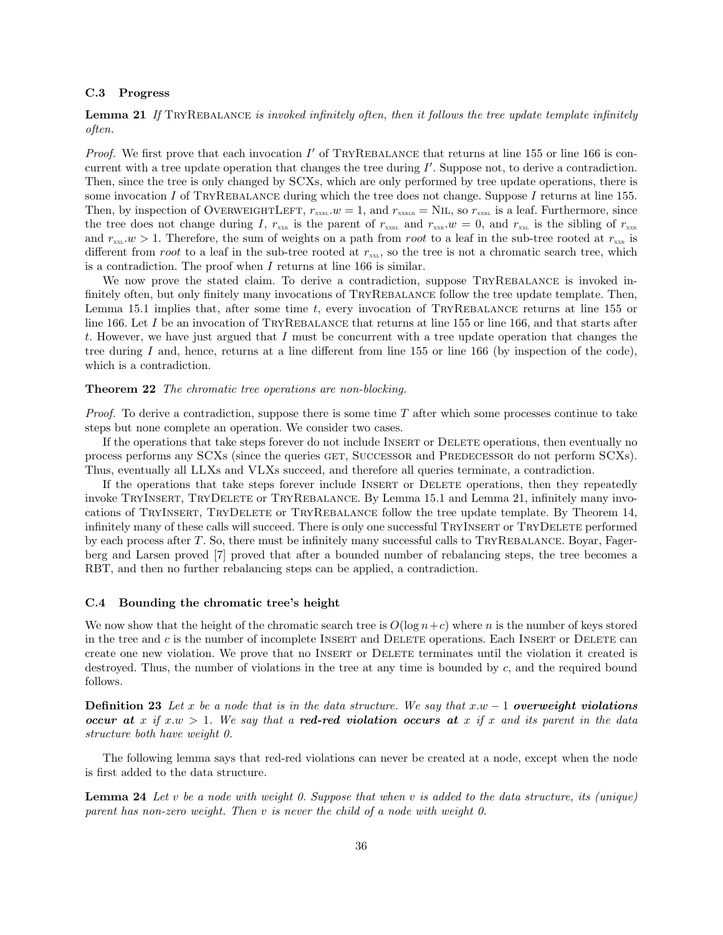#### C.3 Progress

**Lemma 21** If  $T_{\text{RY}}$ REBALANCE is invoked infinitely often, then it follows the tree update template infinitely often.

*Proof.* We first prove that each invocation  $I'$  of TRYREBALANCE that returns at line 155 or line 166 is concurrent with a tree update operation that changes the tree during  $I'$ . Suppose not, to derive a contradiction. Then, since the tree is only changed by SCXs, which are only performed by tree update operations, there is some invocation I of TRYREBALANCE during which the tree does not change. Suppose I returns at line 155. Then, by inspection of OVERWEIGHTLEFT,  $r_{\text{xx}}$ ,  $w = 1$ , and  $r_{\text{xx}}$ <sub>rxxl</sub> = NIL, so  $r_{\text{xxx}}$  is a leaf. Furthermore, since the tree does not change during I,  $r_{xx}$  is the parent of  $r_{xx}$  and  $r_{xx}$ ,  $w = 0$ , and  $r_{xx}$  is the sibling of  $r_{xx}$ and  $r_{\text{xx}} \cdot w > 1$ . Therefore, the sum of weights on a path from root to a leaf in the sub-tree rooted at  $r_{\text{xx}}$  is different from root to a leaf in the sub-tree rooted at  $r_{xx}$ , so the tree is not a chromatic search tree, which is a contradiction. The proof when I returns at line 166 is similar.

We now prove the stated claim. To derive a contradiction, suppose TRYREBALANCE is invoked infinitely often, but only finitely many invocations of TRYREBALANCE follow the tree update template. Then, Lemma 15.1 implies that, after some time t, every invocation of TRYREBALANCE returns at line 155 or line 166. Let I be an invocation of TRYREBALANCE that returns at line 155 or line 166, and that starts after t. However, we have just argued that  $I$  must be concurrent with a tree update operation that changes the tree during I and, hence, returns at a line different from line 155 or line 166 (by inspection of the code), which is a contradiction.

### Theorem 22 The chromatic tree operations are non-blocking.

*Proof.* To derive a contradiction, suppose there is some time  $T$  after which some processes continue to take steps but none complete an operation. We consider two cases.

If the operations that take steps forever do not include INSERT or DELETE operations, then eventually no process performs any SCXs (since the queries GET, SUCCESSOR and PREDECESSOR do not perform SCXs). Thus, eventually all LLXs and VLXs succeed, and therefore all queries terminate, a contradiction.

If the operations that take steps forever include INSERT or DELETE operations, then they repeatedly invoke TRYINSERT, TRYDELETE OF TRYREBALANCE. By Lemma 15.1 and Lemma 21, infinitely many invocations of TryInsert, TryDelete or TryRebalance follow the tree update template. By Theorem 14, infinitely many of these calls will succeed. There is only one successful TRYINSERT or TRYDELETE performed by each process after T. So, there must be infinitely many successful calls to TryRebalance. Boyar, Fagerberg and Larsen proved [7] proved that after a bounded number of rebalancing steps, the tree becomes a RBT, and then no further rebalancing steps can be applied, a contradiction.

### C.4 Bounding the chromatic tree's height

We now show that the height of the chromatic search tree is  $O(\log n + c)$  where n is the number of keys stored in the tree and c is the number of incomplete INSERT and DELETE operations. Each INSERT or DELETE can create one new violation. We prove that no Insert or Delete terminates until the violation it created is destroyed. Thus, the number of violations in the tree at any time is bounded by  $c$ , and the required bound follows.

**Definition 23** Let x be a node that is in the data structure. We say that  $x.w - 1$  overweight violations occur at x if  $x.w > 1$ . We say that a red-red violation occurs at x if x and its parent in the data structure both have weight 0.

The following lemma says that red-red violations can never be created at a node, except when the node is first added to the data structure.

**Lemma 24** Let v be a node with weight 0. Suppose that when v is added to the data structure, its (unique) parent has non-zero weight. Then v is never the child of a node with weight 0.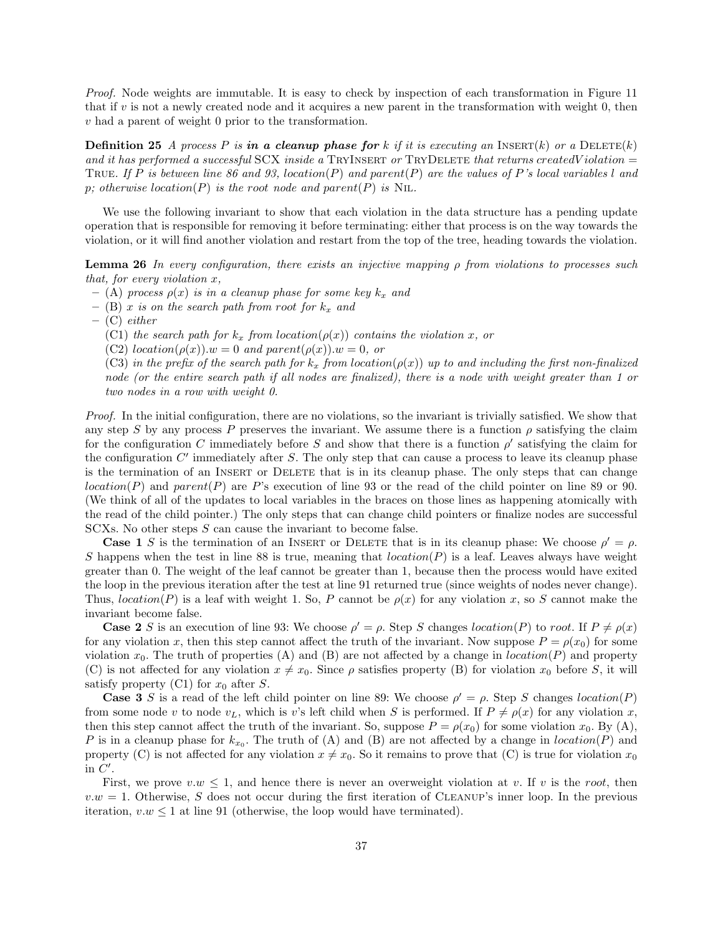Proof. Node weights are immutable. It is easy to check by inspection of each transformation in Figure 11 that if  $v$  is not a newly created node and it acquires a new parent in the transformation with weight 0, then v had a parent of weight 0 prior to the transformation.

**Definition 25** A process P is in a cleanup phase for k if it is executing an INSERT(k) or a DELETE(k) and it has performed a successful  $SCX$  inside a TRYINSERT or TRYDELETE that returns createdV iolation  $=$ TRUE. If P is between line 86 and 93, location(P) and parent(P) are the values of P's local variables l and p; otherwise location(P) is the root node and parent(P) is NIL.

We use the following invariant to show that each violation in the data structure has a pending update operation that is responsible for removing it before terminating: either that process is on the way towards the violation, or it will find another violation and restart from the top of the tree, heading towards the violation.

**Lemma 26** In every configuration, there exists an injective mapping  $\rho$  from violations to processes such that, for every violation  $x$ ,

- $-$  (A) process  $\rho(x)$  is in a cleanup phase for some key  $k_x$  and
- (B) x is on the search path from root for  $k_x$  and
- (C) either

(C1) the search path for  $k_x$  from location( $\rho(x)$ ) contains the violation x, or

(C2)  $location(\rho(x)) \cdot w = 0$  and  $parent(\rho(x)) \cdot w = 0$ , or

(C3) in the prefix of the search path for  $k_x$  from location( $\rho(x)$ ) up to and including the first non-finalized node (or the entire search path if all nodes are finalized), there is a node with weight greater than 1 or two nodes in a row with weight 0.

Proof. In the initial configuration, there are no violations, so the invariant is trivially satisfied. We show that any step S by any process P preserves the invariant. We assume there is a function  $\rho$  satisfying the claim for the configuration C immediately before S and show that there is a function  $\rho'$  satisfying the claim for the configuration  $C'$  immediately after  $S$ . The only step that can cause a process to leave its cleanup phase is the termination of an INSERT or DELETE that is in its cleanup phase. The only steps that can change  $location(P)$  and parent  $(P)$  are P's execution of line 93 or the read of the child pointer on line 89 or 90. (We think of all of the updates to local variables in the braces on those lines as happening atomically with the read of the child pointer.) The only steps that can change child pointers or finalize nodes are successful SCXs. No other steps S can cause the invariant to become false.

**Case 1** S is the termination of an INSERT or DELETE that is in its cleanup phase: We choose  $\rho' = \rho$ . S happens when the test in line 88 is true, meaning that  $location(P)$  is a leaf. Leaves always have weight greater than 0. The weight of the leaf cannot be greater than 1, because then the process would have exited the loop in the previous iteration after the test at line 91 returned true (since weights of nodes never change). Thus,  $location(P)$  is a leaf with weight 1. So, P cannot be  $\rho(x)$  for any violation x, so S cannot make the invariant become false.

**Case 2** S is an execution of line 93: We choose  $\rho' = \rho$ . Step S changes *location*(P) to root. If  $P \neq \rho(x)$ for any violation x, then this step cannot affect the truth of the invariant. Now suppose  $P = \rho(x_0)$  for some violation  $x_0$ . The truth of properties (A) and (B) are not affected by a change in *location*(P) and property (C) is not affected for any violation  $x \neq x_0$ . Since  $\rho$  satisfies property (B) for violation  $x_0$  before S, it will satisfy property (C1) for  $x_0$  after S.

**Case 3** S is a read of the left child pointer on line 89: We choose  $\rho' = \rho$ . Step S changes *location*(P) from some node v to node  $v<sub>L</sub>$ , which is v's left child when S is performed. If  $P \neq \rho(x)$  for any violation x, then this step cannot affect the truth of the invariant. So, suppose  $P = \rho(x_0)$  for some violation  $x_0$ . By (A), P is in a cleanup phase for  $k_{x_0}$ . The truth of (A) and (B) are not affected by a change in *location*(P) and property (C) is not affected for any violation  $x \neq x_0$ . So it remains to prove that (C) is true for violation  $x_0$ in  $C'$ .

First, we prove  $v.w \leq 1$ , and hence there is never an overweight violation at v. If v is the root, then  $v.w = 1$ . Otherwise, S does not occur during the first iteration of CLEANUP's inner loop. In the previous iteration,  $v.w \leq 1$  at line 91 (otherwise, the loop would have terminated).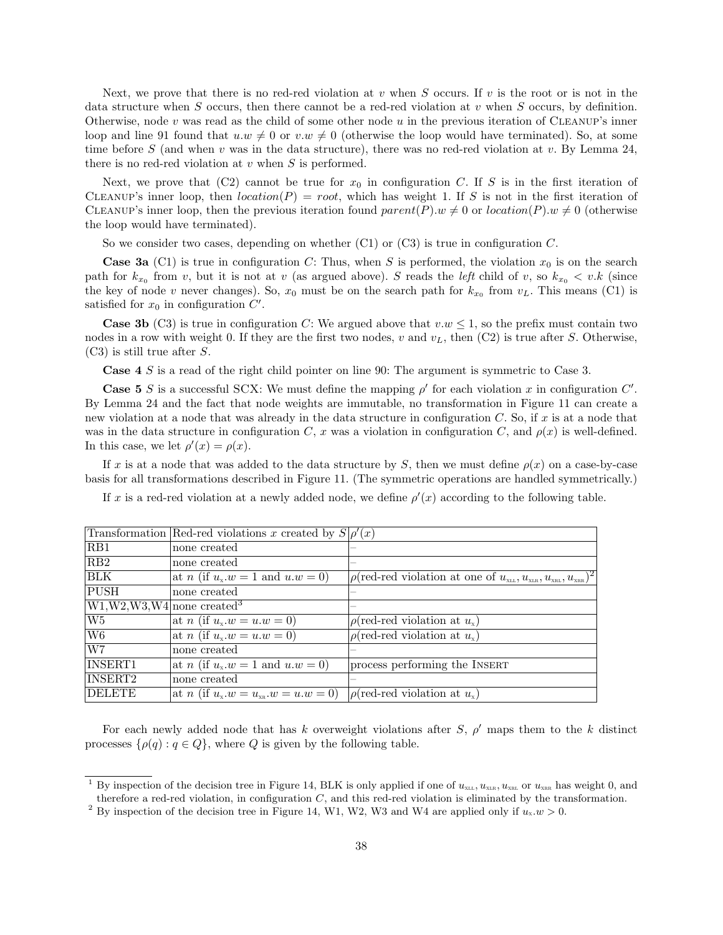Next, we prove that there is no red-red violation at v when  $S$  occurs. If v is the root or is not in the data structure when  $S$  occurs, then there cannot be a red-red violation at  $v$  when  $S$  occurs, by definition. Otherwise, node  $v$  was read as the child of some other node  $u$  in the previous iteration of CLEANUP's inner loop and line 91 found that  $u.w \neq 0$  or  $v.w \neq 0$  (otherwise the loop would have terminated). So, at some time before S (and when v was in the data structure), there was no red-red violation at v. By Lemma 24, there is no red-red violation at  $v$  when  $S$  is performed.

Next, we prove that  $(C2)$  cannot be true for  $x_0$  in configuration C. If S is in the first iteration of CLEANUP's inner loop, then  $location(P) = root$ , which has weight 1. If S is not in the first iteration of CLEANUP's inner loop, then the previous iteration found  $parent(P) \cdot w \neq 0$  or  $location(P) \cdot w \neq 0$  (otherwise the loop would have terminated).

So we consider two cases, depending on whether  $(C1)$  or  $(C3)$  is true in configuration C.

**Case 3a** (C1) is true in configuration C: Thus, when S is performed, the violation  $x_0$  is on the search path for  $k_{x_0}$  from v, but it is not at v (as argued above). S reads the *left* child of v, so  $k_{x_0} < v.k$  (since the key of node v never changes). So,  $x_0$  must be on the search path for  $k_{x_0}$  from  $v_L$ . This means (C1) is satisfied for  $x_0$  in configuration  $C'$ .

**Case 3b** (C3) is true in configuration C: We argued above that  $v.w \le 1$ , so the prefix must contain two nodes in a row with weight 0. If they are the first two nodes, v and  $v<sub>L</sub>$ , then (C2) is true after S. Otherwise,  $(C3)$  is still true after S.

Case 4 S is a read of the right child pointer on line 90: The argument is symmetric to Case 3.

**Case 5** S is a successful SCX: We must define the mapping  $\rho'$  for each violation x in configuration C'. By Lemma 24 and the fact that node weights are immutable, no transformation in Figure 11 can create a new violation at a node that was already in the data structure in configuration  $C$ . So, if x is at a node that was in the data structure in configuration C, x was a violation in configuration C, and  $\rho(x)$  is well-defined. In this case, we let  $\rho'(x) = \rho(x)$ .

If x is at a node that was added to the data structure by S, then we must define  $\rho(x)$  on a case-by-case basis for all transformations described in Figure 11. (The symmetric operations are handled symmetrically.)

If x is a red-red violation at a newly added node, we define  $\rho'(x)$  according to the following table.

|                                              | Transformation Red-red violations x created by $S \rho'(x)$ |                                                                                                                 |
|----------------------------------------------|-------------------------------------------------------------|-----------------------------------------------------------------------------------------------------------------|
| RB1                                          | none created                                                |                                                                                                                 |
| RB2                                          | none created                                                |                                                                                                                 |
| <b>BLK</b>                                   | at <i>n</i> (if $u_x.w = 1$ and $u.w = 0$ )                 | $\varphi(\text{red-red violation at one of } u_{\text{xLL}}, u_{\text{xLR}}, u_{\text{xRR}}, u_{\text{xRR}})^2$ |
| PUSH                                         | none created                                                |                                                                                                                 |
| $ W1, W2, W3, W4 $ none created <sup>3</sup> |                                                             |                                                                                                                 |
| W5                                           | at <i>n</i> (if $u_x.w = u.w = 0$ )                         | $\rho$ (red-red violation at $u_x$ )                                                                            |
| W6                                           | at <i>n</i> (if $u_x.w = u.w = 0$ )                         | $\rho$ (red-red violation at $u_x$ )                                                                            |
| W7                                           | none created                                                |                                                                                                                 |
| INSERT1                                      | at <i>n</i> (if $u_x.w = 1$ and $u.w = 0$ )                 | process performing the INSERT                                                                                   |
| <b>INSERT2</b>                               | none created                                                |                                                                                                                 |
| <b>DELETE</b>                                | at <i>n</i> (if $u_x.w = u_{xx}.w = u.w = 0$ )              | $\rho$ (red-red violation at $u_x$ )                                                                            |
|                                              |                                                             |                                                                                                                 |

For each newly added node that has k overweight violations after  $S$ ,  $\rho'$  maps them to the k distinct processes  $\{\rho(q): q \in Q\}$ , where Q is given by the following table.

<sup>&</sup>lt;sup>1</sup> By inspection of the decision tree in Figure 14, BLK is only applied if one of  $u_{\text{x}}$ ,  $u_{\text{x}}$ ,  $u_{\text{x}}$ ,  $u_{\text{x}}$ , has weight 0, and therefore a red-red violation, in configuration  $C$ , and this red-red violation is eliminated by the transformation.

<sup>&</sup>lt;sup>2</sup> By inspection of the decision tree in Figure 14, W1, W2, W3 and W4 are applied only if  $u_x.w > 0$ .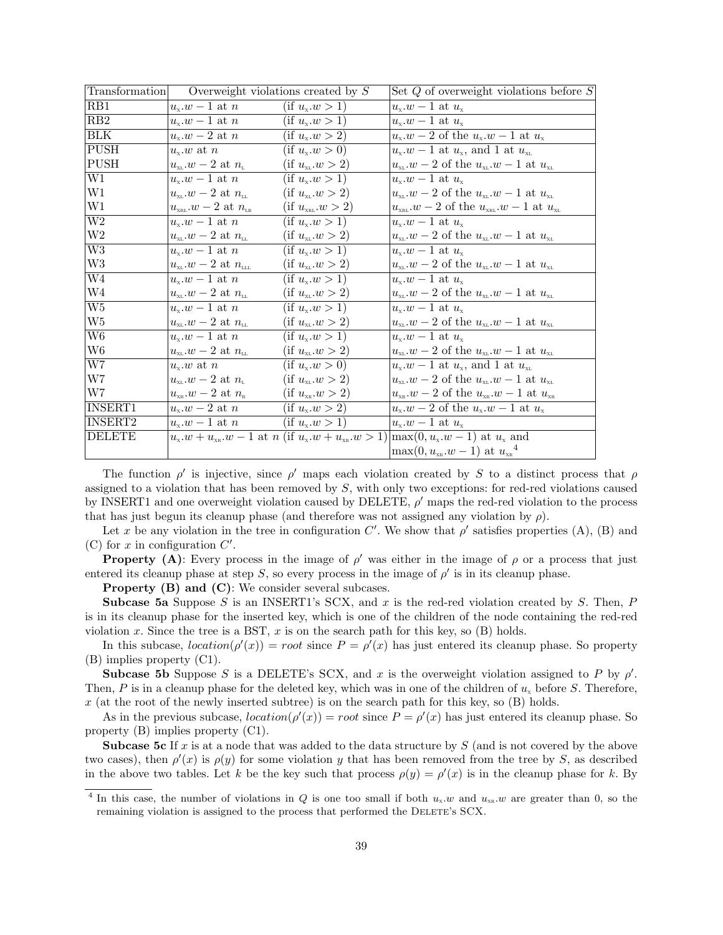| Transformation | Overweight violations created by $S$                                                |                                                              | Set $Q$ of overweight violations before $S$                                                                                           |
|----------------|-------------------------------------------------------------------------------------|--------------------------------------------------------------|---------------------------------------------------------------------------------------------------------------------------------------|
| RB1            | $u_{x}.w-1$ at n                                                                    | $(\text{if } u_x.w > 1)$                                     | $u_{\rm v} . w - 1$ at $u_{\rm v}$                                                                                                    |
| RB2            | $u_{x}.w-1$ at n                                                                    | $(\text{if } u_x.w > 1)$                                     | $u_{\rm x}.w-1$ at $u_{\rm x}$                                                                                                        |
| <b>BLK</b>     | $u_x.w - 2$ at n                                                                    | $(\text{if } u_x.w > 2)$                                     | $u_x.w - 2$ of the $u_x.w - 1$ at $u_x$                                                                                               |
| <b>PUSH</b>    | $u_{\rm v} \cdot w$ at n                                                            | $(\text{if } u_x.w > 0)$                                     | $u_{\rm x}.w-1$ at $u_{\rm x}$ , and 1 at $u_{\rm xx}$                                                                                |
| <b>PUSH</b>    | $u_{\rm xx}.w-2$ at $n_{\rm L}$                                                     | (if $u_{\rm xL}.w > 2$ )                                     | $u_{\rm\scriptscriptstyle NL}.w-2$ of the $u_{\rm\scriptscriptstyle NL}.w-1$ at $u_{\rm\scriptscriptstyle NL}$                        |
| W1             | $u_x.w - 1$ at n                                                                    | $(\text{if } u_x.w > 1)$                                     | $u_{\rm v} \cdot w - 1$ at $u_{\rm v}$                                                                                                |
| W1             | $u_{\rm NL}.w-2$ at $n_{\rm LL}$                                                    | (if $u_{\rm xL}.w > 2$ )                                     | $u_{xx}.w-2$ of the $u_{xx}.w-1$ at $u_{xx}$                                                                                          |
| W1             | $u_{\scriptscriptstyle\rm XRL}.w-2$ at $n_{\scriptscriptstyle\rm LR}$               | (if $u_{\scriptscriptstyle\text{XRL}}.w>2$ )                 | $u_{\scriptscriptstyle\rm XRL}.w-2$ of the $u_{\scriptscriptstyle\rm XRL}.w-1$ at $u_{\scriptscriptstyle\rm XL}$                      |
| W <sub>2</sub> | $u_x.w-1$ at n                                                                      | $(\text{if } u_x.w > 1)$                                     | $u_{\rm v} \cdot w - 1$ at $u_{\rm v}$                                                                                                |
| W <sub>2</sub> | $u_{\scriptscriptstyle{\text{NL}}}$ . $w-2$ at $n_{\scriptscriptstyle{\text{LL}}}$  | (if $u_{\rm xL}.w > 2$ )                                     | $u_{xx}.w-2$ of the $u_{xx}.w-1$ at $u_{xx}$                                                                                          |
| W3             | $u_{\rm v} \cdot w - 1$ at n                                                        | $(\text{if } u_x.w>1)$                                       | $u_{\rm x}.w-1$ at $u_{\rm x}$                                                                                                        |
| W <sub>3</sub> | $u_{\scriptscriptstyle{\text{NL}}}$ . $w-2$ at $n_{\scriptscriptstyle{\text{LLL}}}$ | (if $u_{\rm xL}.w > 2$ )                                     | $u_{xx}.w-2$ of the $u_{xx}.w-1$ at $u_{xx}$                                                                                          |
| W <sub>4</sub> | $u_x.w-1$ at n                                                                      | (if $u_{r} \cdot w > 1$ )                                    | $u_x.w - 1$ at $u_x$                                                                                                                  |
| W4             | $u_{\rm NL}.w-2$ at $n_{\rm LL}$                                                    | (if $u_{\rm xL}.w > 2$ )                                     | $u_{xx}.w-2$ of the $u_{xx}.w-1$ at $u_{xx}$                                                                                          |
| W <sub>5</sub> | $u_x.w-1$ at n                                                                      | $(\text{if } u_x.w > 1)$                                     | $u_{\rm v} \cdot w - 1$ at $u_{\rm v}$                                                                                                |
| W <sub>5</sub> | $u_{\rm NL}.w-2$ at $n_{\rm LL}$                                                    | (if $u_{\rm xL}.w > 2$ )                                     | $u_{xx}.w-2$ of the $u_{xx}.w-1$ at $u_{xx}$                                                                                          |
| W <sub>6</sub> | $u_x.w-1$ at n                                                                      | $(\text{if } u_x.w > 1)$                                     | $u_{\rm v} \cdot w - 1$ at $u_{\rm v}$                                                                                                |
| W <sub>6</sub> | $u_{\scriptscriptstyle{\text{NL}}}$ . $w-2$ at $n_{\scriptscriptstyle{\text{LL}}}$  | (if $u_{\rm xL}.w > 2$ )                                     | $u_{xx}.w-2$ of the $u_{xx}.w-1$ at $u_{xx}$                                                                                          |
| W7             | $u_{\rm v} \cdot w$ at n                                                            | $(\text{if } u_x.w > 0)$                                     | $u_{\rm x}.w-1$ at $u_{\rm x}$ , and 1 at $u_{\rm xx}$                                                                                |
| W7             | $u_{\rm w}$ . $w-2$ at $n_{\rm w}$                                                  | (if $u_{\rm xL}.w > 2$ )                                     | $u_{\scriptscriptstyle{\text{NL}}} . w - 2$ of the $u_{\scriptscriptstyle{\text{NL}}} . w - 1$ at $u_{\scriptscriptstyle{\text{NL}}}$ |
| W7             | $u_{\scriptscriptstyle \text{XR}}.w-2$ at $n_{\scriptscriptstyle \text{R}}$         | (if $u_{\rm xx} . w > 2$ )                                   | $u_{xx}$ . $w-2$ of the $u_{xx}$ . $w-1$ at $u_{xx}$                                                                                  |
| INSERT1        | $u_x.w - 2$ at n                                                                    | (if $u_x.w>2$ )                                              | $u_x.w - 2$ of the $u_x.w - 1$ at $u_x$                                                                                               |
| INSERT2        | $u_{r} \cdot w - 1$ at n                                                            | $(\text{if } u_x.w > 1)$                                     | $ u_{\rm x}.w-1\>$ at $u_{\rm x}$                                                                                                     |
| DELETE         |                                                                                     | $u_{x}.w + u_{xR}.w - 1$ at n (if $u_{x}.w + u_{xR}.w > 1$ ) | $\left(\max(0, u_x. w - 1)\right)$ at $u_x$ and                                                                                       |
|                |                                                                                     |                                                              | $\max(0, u_{xx}.w - 1)$ at $u_{xx}^4$                                                                                                 |

The function  $\rho'$  is injective, since  $\rho'$  maps each violation created by S to a distinct process that  $\rho$ assigned to a violation that has been removed by S, with only two exceptions: for red-red violations caused by INSERT1 and one overweight violation caused by DELETE,  $\rho'$  maps the red-red violation to the process that has just begun its cleanup phase (and therefore was not assigned any violation by  $\rho$ ).

Let x be any violation in the tree in configuration C'. We show that  $\rho'$  satisfies properties (A), (B) and (C) for  $x$  in configuration  $C'$ .

**Property** (A): Every process in the image of  $\rho'$  was either in the image of  $\rho$  or a process that just entered its cleanup phase at step S, so every process in the image of  $\rho'$  is in its cleanup phase.

Property (B) and (C): We consider several subcases.

Subcase 5a Suppose S is an INSERT1's SCX, and x is the red-red violation created by S. Then,  $P$ is in its cleanup phase for the inserted key, which is one of the children of the node containing the red-red violation x. Since the tree is a BST, x is on the search path for this key, so  $(B)$  holds.

In this subcase,  $location(\rho'(x)) = root$  since  $P = \rho'(x)$  has just entered its cleanup phase. So property (B) implies property (C1).

Subcase 5b Suppose S is a DELETE's SCX, and x is the overweight violation assigned to P by  $\rho'$ . Then, P is in a cleanup phase for the deleted key, which was in one of the children of  $u_x$  before S. Therefore, x (at the root of the newly inserted subtree) is on the search path for this key, so  $(B)$  holds.

As in the previous subcase,  $location(\rho'(x)) = root$  since  $P = \rho'(x)$  has just entered its cleanup phase. So property (B) implies property (C1).

Subcase 5c If x is at a node that was added to the data structure by S (and is not covered by the above two cases), then  $\rho'(x)$  is  $\rho(y)$  for some violation y that has been removed from the tree by S, as described in the above two tables. Let k be the key such that process  $\rho(y) = \rho'(x)$  is in the cleanup phase for k. By

<sup>&</sup>lt;sup>4</sup> In this case, the number of violations in Q is one too small if both  $u_x.w$  and  $u_{xx}w$  are greater than 0, so the remaining violation is assigned to the process that performed the DELETE's SCX.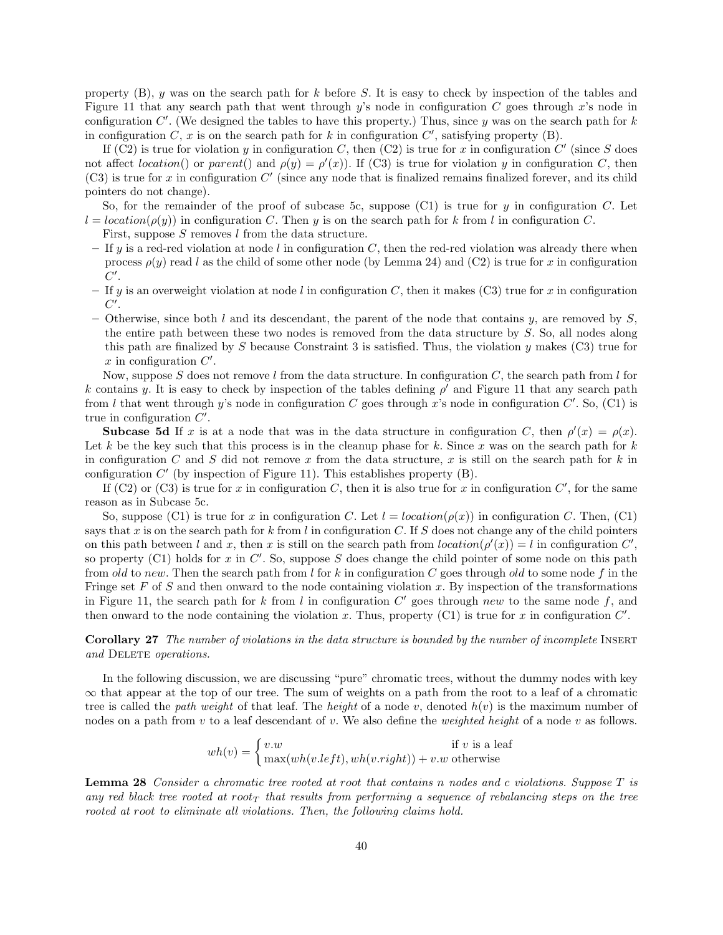property  $(B)$ , y was on the search path for k before S. It is easy to check by inspection of the tables and Figure 11 that any search path that went through  $y$ 's node in configuration C goes through x's node in configuration  $C'$ . (We designed the tables to have this property.) Thus, since y was on the search path for  $k$ in configuration  $C, x$  is on the search path for k in configuration  $C'$ , satisfying property (B).

If (C2) is true for violation y in configuration C, then (C2) is true for x in configuration C' (since S does not affect location() or parent() and  $\rho(y) = \rho'(x)$ . If (C3) is true for violation y in configuration C, then  $(C3)$  is true for x in configuration C' (since any node that is finalized remains finalized forever, and its child pointers do not change).

So, for the remainder of the proof of subcase 5c, suppose  $(C1)$  is true for y in configuration C. Let  $l = location(\rho(y))$  in configuration C. Then y is on the search path for k from l in configuration C.

First, suppose  $S$  removes  $l$  from the data structure.

- If y is a red-red violation at node l in configuration  $C$ , then the red-red violation was already there when process  $\rho(y)$  read l as the child of some other node (by Lemma 24) and (C2) is true for x in configuration  $C'.$
- If y is an overweight violation at node l in configuration C, then it makes (C3) true for x in configuration  $C'.$
- Otherwise, since both l and its descendant, the parent of the node that contains y, are removed by  $S$ , the entire path between these two nodes is removed from the data structure by S. So, all nodes along this path are finalized by S because Constraint 3 is satisfied. Thus, the violation y makes  $(C3)$  true for x in configuration  $C'$ .

Now, suppose S does not remove l from the data structure. In configuration  $C$ , the search path from l for k contains y. It is easy to check by inspection of the tables defining  $\rho'$  and Figure 11 that any search path from l that went through y's node in configuration C goes through x's node in configuration  $C'$ . So, (C1) is true in configuration  $C'$ .

**Subcase 5d** If x is at a node that was in the data structure in configuration C, then  $\rho'(x) = \rho(x)$ . Let k be the key such that this process is in the cleanup phase for k. Since x was on the search path for  $k$ in configuration C and S did not remove x from the data structure, x is still on the search path for  $k$  in configuration  $C'$  (by inspection of Figure 11). This establishes property  $(B)$ .

If  $(C2)$  or  $(C3)$  is true for x in configuration C, then it is also true for x in configuration C', for the same reason as in Subcase 5c.

So, suppose (C1) is true for x in configuration C. Let  $l = location(\rho(x))$  in configuration C. Then, (C1) says that x is on the search path for k from l in configuration C. If S does not change any of the child pointers on this path between l and x, then x is still on the search path from  $location(\rho'(x)) = l$  in configuration C', so property (C1) holds for x in  $C'$ . So, suppose S does change the child pointer of some node on this path from old to new. Then the search path from l for k in configuration C goes through old to some node f in the Fringe set  $F$  of  $S$  and then onward to the node containing violation  $x$ . By inspection of the transformations in Figure 11, the search path for k from l in configuration  $C'$  goes through new to the same node f, and then onward to the node containing the violation x. Thus, property (C1) is true for x in configuration  $C'$ .

Corollary 27 The number of violations in the data structure is bounded by the number of incomplete INSERT and DELETE operations.

In the following discussion, we are discussing "pure" chromatic trees, without the dummy nodes with key  $\infty$  that appear at the top of our tree. The sum of weights on a path from the root to a leaf of a chromatic tree is called the path weight of that leaf. The height of a node v, denoted  $h(v)$  is the maximum number of nodes on a path from v to a leaf descendant of v. We also define the *weighted height* of a node v as follows.

$$
wh(v) = \begin{cases} v.w & \text{if } v \text{ is a leaf} \\ \max(wh(v.left), wh(v.right)) + v.w \text{ otherwise} \end{cases}
$$

Lemma 28 Consider a chromatic tree rooted at root that contains n nodes and c violations. Suppose T is any red black tree rooted at root<sub>T</sub> that results from performing a sequence of rebalancing steps on the tree rooted at root to eliminate all violations. Then, the following claims hold.